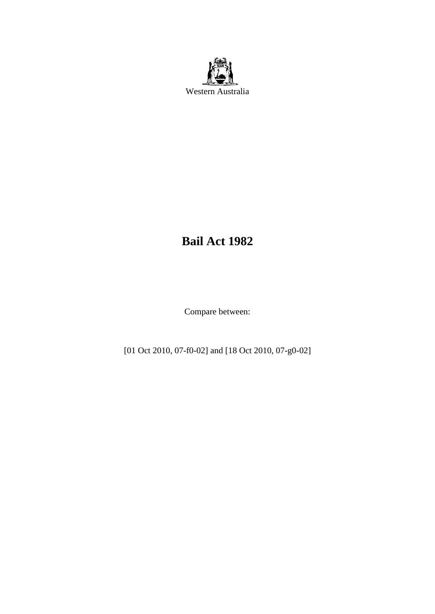

# **Bail Act 1982**

Compare between:

[01 Oct 2010, 07-f0-02] and [18 Oct 2010, 07-g0-02]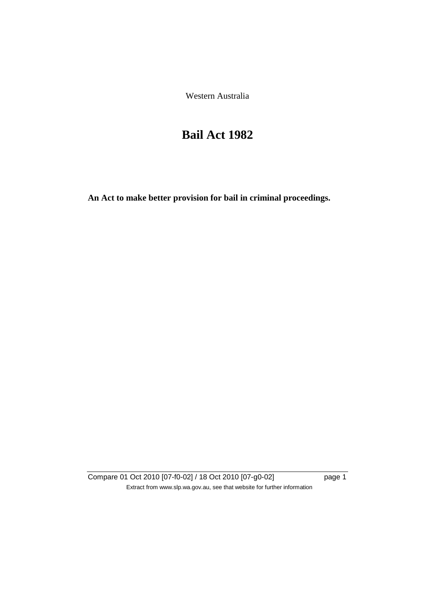Western Australia

# **Bail Act 1982**

**An Act to make better provision for bail in criminal proceedings.** 

Compare 01 Oct 2010 [07-f0-02] / 18 Oct 2010 [07-g0-02] page 1 Extract from www.slp.wa.gov.au, see that website for further information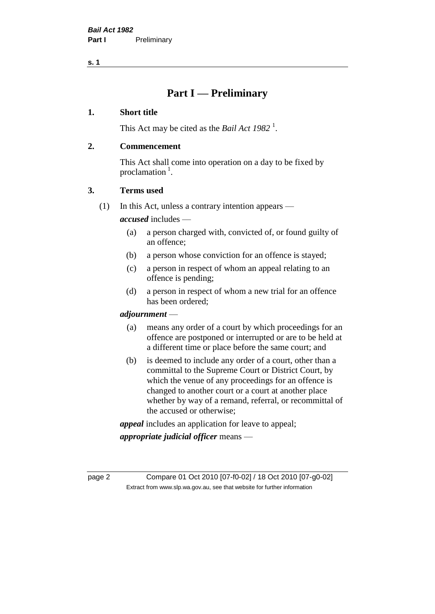**s. 1**

# **Part I — Preliminary**

# **1. Short title**

This Act may be cited as the *Bail Act* 1982<sup>1</sup>.

# **2. Commencement**

This Act shall come into operation on a day to be fixed by proclamation  $<sup>1</sup>$ .</sup>

# **3. Terms used**

(1) In this Act, unless a contrary intention appears —

*accused* includes —

- (a) a person charged with, convicted of, or found guilty of an offence;
- (b) a person whose conviction for an offence is stayed;
- (c) a person in respect of whom an appeal relating to an offence is pending;
- (d) a person in respect of whom a new trial for an offence has been ordered;

#### *adjournment* —

- (a) means any order of a court by which proceedings for an offence are postponed or interrupted or are to be held at a different time or place before the same court; and
- (b) is deemed to include any order of a court, other than a committal to the Supreme Court or District Court, by which the venue of any proceedings for an offence is changed to another court or a court at another place whether by way of a remand, referral, or recommittal of the accused or otherwise;

*appeal* includes an application for leave to appeal;

*appropriate judicial officer* means —

page 2 Compare 01 Oct 2010 [07-f0-02] / 18 Oct 2010 [07-g0-02] Extract from www.slp.wa.gov.au, see that website for further information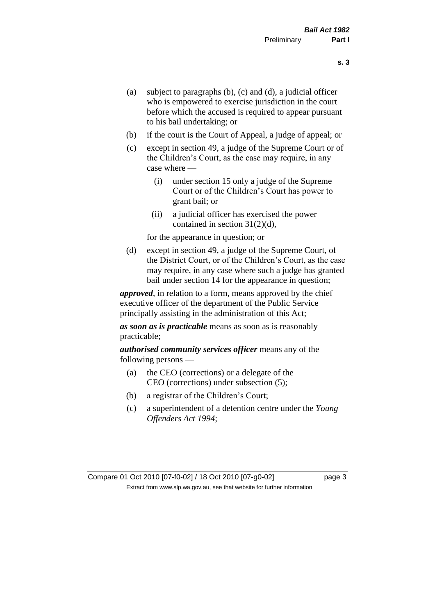- (a) subject to paragraphs (b), (c) and (d), a judicial officer who is empowered to exercise jurisdiction in the court before which the accused is required to appear pursuant to his bail undertaking; or
- (b) if the court is the Court of Appeal, a judge of appeal; or
- (c) except in section 49, a judge of the Supreme Court or of the Children's Court, as the case may require, in any case where —
	- (i) under section 15 only a judge of the Supreme Court or of the Children's Court has power to grant bail; or
	- (ii) a judicial officer has exercised the power contained in section 31(2)(d),

for the appearance in question; or

(d) except in section 49, a judge of the Supreme Court, of the District Court, or of the Children's Court, as the case may require, in any case where such a judge has granted bail under section 14 for the appearance in question;

*approved*, in relation to a form, means approved by the chief executive officer of the department of the Public Service principally assisting in the administration of this Act;

*as soon as is practicable* means as soon as is reasonably practicable;

*authorised community services officer* means any of the following persons —

- (a) the CEO (corrections) or a delegate of the CEO (corrections) under subsection (5);
- (b) a registrar of the Children's Court;
- (c) a superintendent of a detention centre under the *Young Offenders Act 1994*;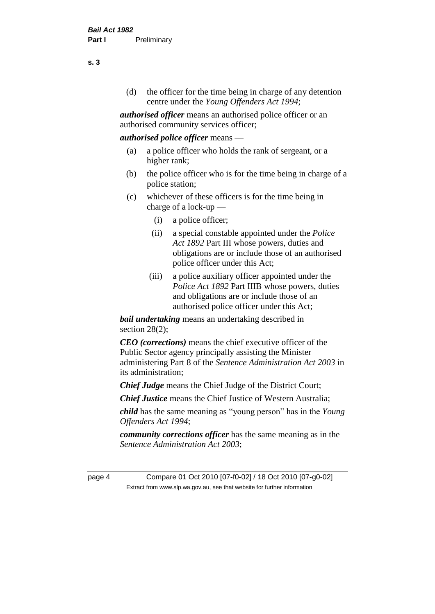(d) the officer for the time being in charge of any detention centre under the *Young Offenders Act 1994*;

*authorised officer* means an authorised police officer or an authorised community services officer;

#### *authorised police officer* means —

- (a) a police officer who holds the rank of sergeant, or a higher rank;
- (b) the police officer who is for the time being in charge of a police station;
- (c) whichever of these officers is for the time being in charge of a lock-up —
	- (i) a police officer;
	- (ii) a special constable appointed under the *Police Act 1892* Part III whose powers, duties and obligations are or include those of an authorised police officer under this Act;
	- (iii) a police auxiliary officer appointed under the *Police Act 1892* Part IIIB whose powers, duties and obligations are or include those of an authorised police officer under this Act;

*bail undertaking* means an undertaking described in section  $28(2)$ ;

*CEO (corrections)* means the chief executive officer of the Public Sector agency principally assisting the Minister administering Part 8 of the *Sentence Administration Act 2003* in its administration;

*Chief Judge* means the Chief Judge of the District Court;

*Chief Justice* means the Chief Justice of Western Australia;

*child* has the same meaning as "young person" has in the *Young Offenders Act 1994*;

*community corrections officer* has the same meaning as in the *Sentence Administration Act 2003*;

page 4 Compare 01 Oct 2010 [07-f0-02] / 18 Oct 2010 [07-g0-02] Extract from www.slp.wa.gov.au, see that website for further information

**s. 3**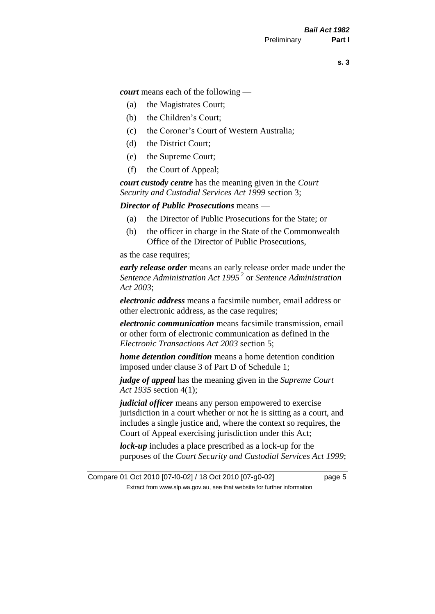*court* means each of the following —

- (a) the Magistrates Court;
- (b) the Children's Court;
- (c) the Coroner's Court of Western Australia;
- (d) the District Court;
- (e) the Supreme Court;
- (f) the Court of Appeal;

*court custody centre* has the meaning given in the *Court Security and Custodial Services Act 1999* section 3;

*Director of Public Prosecutions* means —

- (a) the Director of Public Prosecutions for the State; or
- (b) the officer in charge in the State of the Commonwealth Office of the Director of Public Prosecutions,

as the case requires;

*early release order* means an early release order made under the *Sentence Administration Act 1995* <sup>2</sup> or *Sentence Administration Act 2003*;

*electronic address* means a facsimile number, email address or other electronic address, as the case requires;

*electronic communication* means facsimile transmission, email or other form of electronic communication as defined in the *Electronic Transactions Act 2003* section 5;

*home detention condition* means a home detention condition imposed under clause 3 of Part D of Schedule 1;

*judge of appeal* has the meaning given in the *Supreme Court Act 1935* section 4(1);

*judicial officer* means any person empowered to exercise jurisdiction in a court whether or not he is sitting as a court, and includes a single justice and, where the context so requires, the Court of Appeal exercising jurisdiction under this Act;

*lock-up* includes a place prescribed as a lock-up for the purposes of the *Court Security and Custodial Services Act 1999*;

Compare 01 Oct 2010 [07-f0-02] / 18 Oct 2010 [07-g0-02] page 5 Extract from www.slp.wa.gov.au, see that website for further information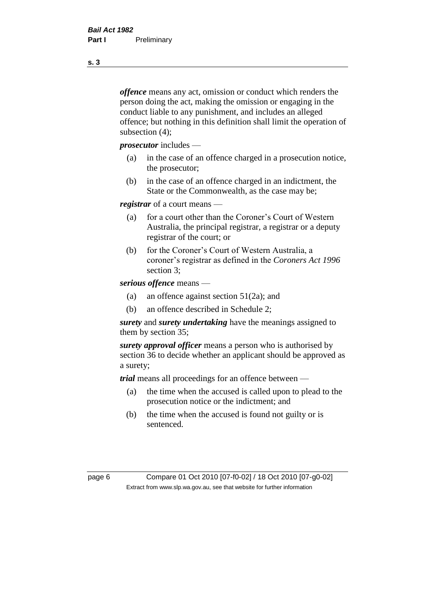*offence* means any act, omission or conduct which renders the person doing the act, making the omission or engaging in the conduct liable to any punishment, and includes an alleged offence; but nothing in this definition shall limit the operation of subsection (4);

*prosecutor* includes —

- (a) in the case of an offence charged in a prosecution notice, the prosecutor;
- (b) in the case of an offence charged in an indictment, the State or the Commonwealth, as the case may be;

*registrar* of a court means —

- (a) for a court other than the Coroner's Court of Western Australia, the principal registrar, a registrar or a deputy registrar of the court; or
- (b) for the Coroner's Court of Western Australia, a coroner's registrar as defined in the *Coroners Act 1996* section 3;

*serious offence* means —

- (a) an offence against section 51(2a); and
- (b) an offence described in Schedule 2;

*surety* and *surety undertaking* have the meanings assigned to them by section 35;

*surety approval officer* means a person who is authorised by section 36 to decide whether an applicant should be approved as a surety;

*trial* means all proceedings for an offence between —

- (a) the time when the accused is called upon to plead to the prosecution notice or the indictment; and
- (b) the time when the accused is found not guilty or is sentenced.

page 6 Compare 01 Oct 2010 [07-f0-02] / 18 Oct 2010 [07-g0-02] Extract from www.slp.wa.gov.au, see that website for further information

**s. 3**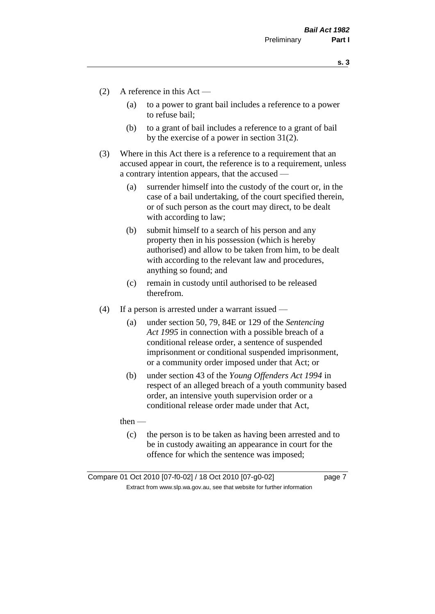**s. 3**

- (2) A reference in this Act
	- (a) to a power to grant bail includes a reference to a power to refuse bail;
	- (b) to a grant of bail includes a reference to a grant of bail by the exercise of a power in section 31(2).
- (3) Where in this Act there is a reference to a requirement that an accused appear in court, the reference is to a requirement, unless a contrary intention appears, that the accused —
	- (a) surrender himself into the custody of the court or, in the case of a bail undertaking, of the court specified therein, or of such person as the court may direct, to be dealt with according to law;
	- (b) submit himself to a search of his person and any property then in his possession (which is hereby authorised) and allow to be taken from him, to be dealt with according to the relevant law and procedures, anything so found; and
	- (c) remain in custody until authorised to be released therefrom.
- (4) If a person is arrested under a warrant issued
	- (a) under section 50, 79, 84E or 129 of the *Sentencing Act 1995* in connection with a possible breach of a conditional release order, a sentence of suspended imprisonment or conditional suspended imprisonment, or a community order imposed under that Act; or
	- (b) under section 43 of the *Young Offenders Act 1994* in respect of an alleged breach of a youth community based order, an intensive youth supervision order or a conditional release order made under that Act,

then —

(c) the person is to be taken as having been arrested and to be in custody awaiting an appearance in court for the offence for which the sentence was imposed;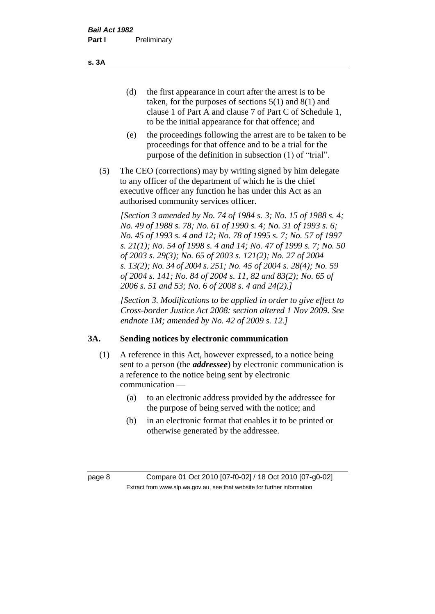(d) the first appearance in court after the arrest is to be taken, for the purposes of sections 5(1) and 8(1) and clause 1 of Part A and clause 7 of Part C of Schedule 1, to be the initial appearance for that offence; and

- (e) the proceedings following the arrest are to be taken to be proceedings for that offence and to be a trial for the purpose of the definition in subsection (1) of "trial".
- (5) The CEO (corrections) may by writing signed by him delegate to any officer of the department of which he is the chief executive officer any function he has under this Act as an authorised community services officer.

*[Section 3 amended by No. 74 of 1984 s. 3; No. 15 of 1988 s. 4; No. 49 of 1988 s. 78; No. 61 of 1990 s. 4; No. 31 of 1993 s. 6; No. 45 of 1993 s. 4 and 12; No. 78 of 1995 s. 7; No. 57 of 1997 s. 21(1); No. 54 of 1998 s. 4 and 14; No. 47 of 1999 s. 7; No. 50 of 2003 s. 29(3); No. 65 of 2003 s. 121(2); No. 27 of 2004 s. 13(2); No. 34 of 2004 s. 251; No. 45 of 2004 s. 28(4); No. 59 of 2004 s. 141; No. 84 of 2004 s. 11, 82 and 83(2); No. 65 of 2006 s. 51 and 53; No. 6 of 2008 s. 4 and 24(2).]* 

*[Section 3. Modifications to be applied in order to give effect to Cross-border Justice Act 2008: section altered 1 Nov 2009. See endnote 1M; amended by No. 42 of 2009 s. 12.]*

#### **3A. Sending notices by electronic communication**

- (1) A reference in this Act, however expressed, to a notice being sent to a person (the *addressee*) by electronic communication is a reference to the notice being sent by electronic communication —
	- (a) to an electronic address provided by the addressee for the purpose of being served with the notice; and
	- (b) in an electronic format that enables it to be printed or otherwise generated by the addressee.

page 8 Compare 01 Oct 2010 [07-f0-02] / 18 Oct 2010 [07-g0-02] Extract from www.slp.wa.gov.au, see that website for further information

**s. 3A**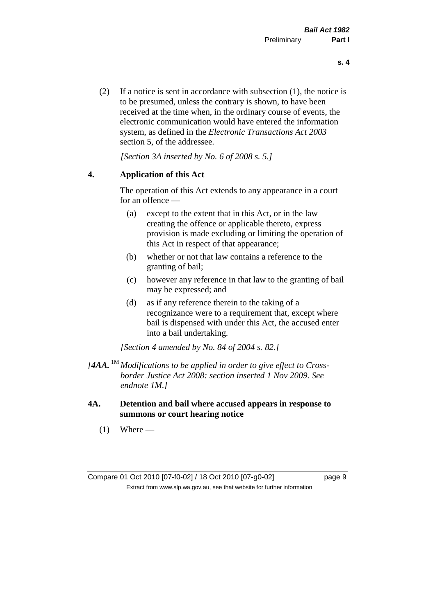(2) If a notice is sent in accordance with subsection (1), the notice is to be presumed, unless the contrary is shown, to have been received at the time when, in the ordinary course of events, the electronic communication would have entered the information system, as defined in the *Electronic Transactions Act 2003* section 5, of the addressee.

*[Section 3A inserted by No. 6 of 2008 s. 5.]*

#### **4. Application of this Act**

The operation of this Act extends to any appearance in a court for an offence —

- (a) except to the extent that in this Act, or in the law creating the offence or applicable thereto, express provision is made excluding or limiting the operation of this Act in respect of that appearance;
- (b) whether or not that law contains a reference to the granting of bail;
- (c) however any reference in that law to the granting of bail may be expressed; and
- (d) as if any reference therein to the taking of a recognizance were to a requirement that, except where bail is dispensed with under this Act, the accused enter into a bail undertaking.

*[Section 4 amended by No. 84 of 2004 s. 82.]*

- *[4AA.* 1M *Modifications to be applied in order to give effect to Crossborder Justice Act 2008: section inserted 1 Nov 2009. See endnote 1M.]*
- **4A. Detention and bail where accused appears in response to summons or court hearing notice**
	- $(1)$  Where —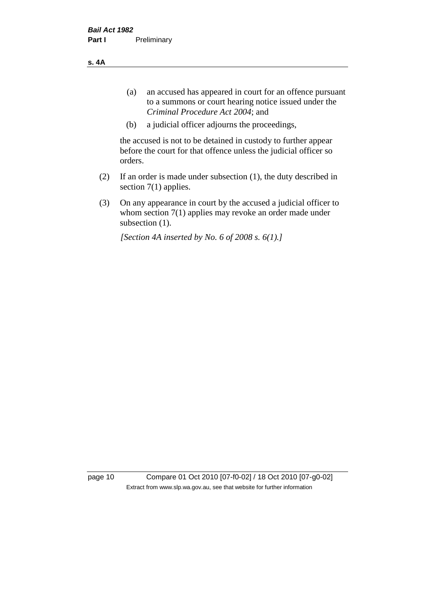**s. 4A**

- (a) an accused has appeared in court for an offence pursuant to a summons or court hearing notice issued under the *Criminal Procedure Act 2004*; and
- (b) a judicial officer adjourns the proceedings,

the accused is not to be detained in custody to further appear before the court for that offence unless the judicial officer so orders.

- (2) If an order is made under subsection (1), the duty described in section 7(1) applies.
- (3) On any appearance in court by the accused a judicial officer to whom section 7(1) applies may revoke an order made under subsection (1).

*[Section 4A inserted by No. 6 of 2008 s. 6(1).]*

page 10 Compare 01 Oct 2010 [07-f0-02] / 18 Oct 2010 [07-g0-02] Extract from www.slp.wa.gov.au, see that website for further information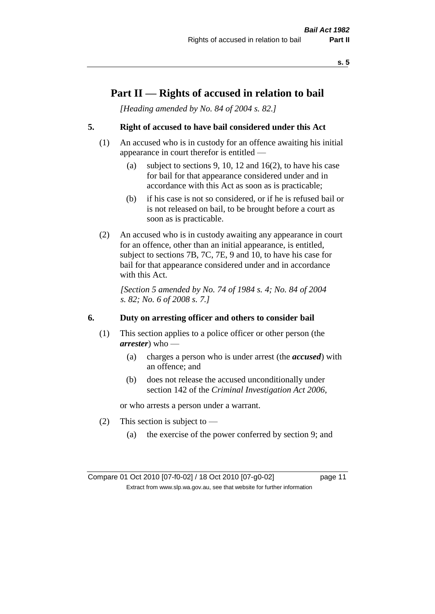# **Part II — Rights of accused in relation to bail**

*[Heading amended by No. 84 of 2004 s. 82.]* 

# **5. Right of accused to have bail considered under this Act**

- (1) An accused who is in custody for an offence awaiting his initial appearance in court therefor is entitled —
	- (a) subject to sections 9, 10, 12 and 16(2), to have his case for bail for that appearance considered under and in accordance with this Act as soon as is practicable;
	- (b) if his case is not so considered, or if he is refused bail or is not released on bail, to be brought before a court as soon as is practicable.
- (2) An accused who is in custody awaiting any appearance in court for an offence, other than an initial appearance, is entitled, subject to sections 7B, 7C, 7E, 9 and 10, to have his case for bail for that appearance considered under and in accordance with this Act.

*[Section 5 amended by No. 74 of 1984 s. 4; No. 84 of 2004 s. 82; No. 6 of 2008 s. 7.]* 

#### **6. Duty on arresting officer and others to consider bail**

- (1) This section applies to a police officer or other person (the *arrester*) who —
	- (a) charges a person who is under arrest (the *accused*) with an offence; and
	- (b) does not release the accused unconditionally under section 142 of the *Criminal Investigation Act 2006*,

or who arrests a person under a warrant.

- (2) This section is subject to  $-$ 
	- (a) the exercise of the power conferred by section 9; and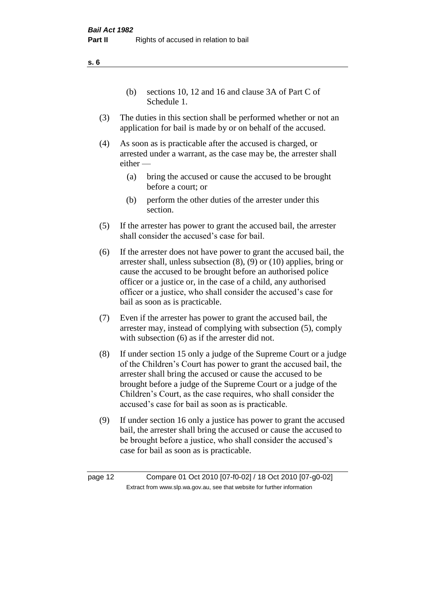(b) sections 10, 12 and 16 and clause 3A of Part C of Schedule 1.

- (3) The duties in this section shall be performed whether or not an application for bail is made by or on behalf of the accused.
- (4) As soon as is practicable after the accused is charged, or arrested under a warrant, as the case may be, the arrester shall either —
	- (a) bring the accused or cause the accused to be brought before a court; or
	- (b) perform the other duties of the arrester under this section.
- (5) If the arrester has power to grant the accused bail, the arrester shall consider the accused's case for bail.
- (6) If the arrester does not have power to grant the accused bail, the arrester shall, unless subsection (8), (9) or (10) applies, bring or cause the accused to be brought before an authorised police officer or a justice or, in the case of a child, any authorised officer or a justice, who shall consider the accused's case for bail as soon as is practicable.
- (7) Even if the arrester has power to grant the accused bail, the arrester may, instead of complying with subsection (5), comply with subsection  $(6)$  as if the arrester did not.
- (8) If under section 15 only a judge of the Supreme Court or a judge of the Children's Court has power to grant the accused bail, the arrester shall bring the accused or cause the accused to be brought before a judge of the Supreme Court or a judge of the Children's Court, as the case requires, who shall consider the accused's case for bail as soon as is practicable.
- (9) If under section 16 only a justice has power to grant the accused bail, the arrester shall bring the accused or cause the accused to be brought before a justice, who shall consider the accused's case for bail as soon as is practicable.

page 12 Compare 01 Oct 2010 [07-f0-02] / 18 Oct 2010 [07-g0-02] Extract from www.slp.wa.gov.au, see that website for further information

**s. 6**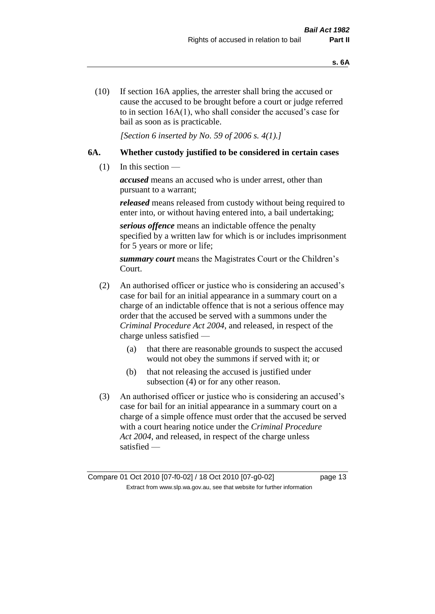(10) If section 16A applies, the arrester shall bring the accused or cause the accused to be brought before a court or judge referred to in section 16A(1), who shall consider the accused's case for bail as soon as is practicable.

*[Section 6 inserted by No. 59 of 2006 s. 4(1).]* 

#### **6A. Whether custody justified to be considered in certain cases**

(1) In this section —

*accused* means an accused who is under arrest, other than pursuant to a warrant;

*released* means released from custody without being required to enter into, or without having entered into, a bail undertaking;

*serious offence* means an indictable offence the penalty specified by a written law for which is or includes imprisonment for 5 years or more or life;

*summary court* means the Magistrates Court or the Children's Court.

- (2) An authorised officer or justice who is considering an accused's case for bail for an initial appearance in a summary court on a charge of an indictable offence that is not a serious offence may order that the accused be served with a summons under the *Criminal Procedure Act 2004*, and released, in respect of the charge unless satisfied —
	- (a) that there are reasonable grounds to suspect the accused would not obey the summons if served with it; or
	- (b) that not releasing the accused is justified under subsection (4) or for any other reason.
- (3) An authorised officer or justice who is considering an accused's case for bail for an initial appearance in a summary court on a charge of a simple offence must order that the accused be served with a court hearing notice under the *Criminal Procedure Act 2004*, and released, in respect of the charge unless satisfied —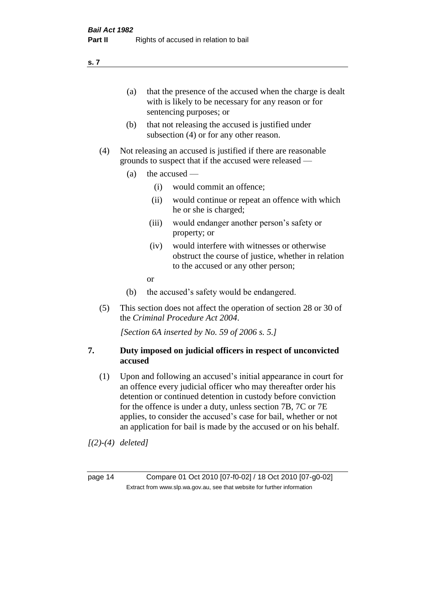(a) that the presence of the accused when the charge is dealt with is likely to be necessary for any reason or for sentencing purposes; or

- (b) that not releasing the accused is justified under subsection (4) or for any other reason.
- (4) Not releasing an accused is justified if there are reasonable grounds to suspect that if the accused were released —
	- (a) the accused
		- (i) would commit an offence;
		- (ii) would continue or repeat an offence with which he or she is charged;
		- (iii) would endanger another person's safety or property; or
		- (iv) would interfere with witnesses or otherwise obstruct the course of justice, whether in relation to the accused or any other person;
		- or
	- (b) the accused's safety would be endangered.
- (5) This section does not affect the operation of section 28 or 30 of the *Criminal Procedure Act 2004*.

*[Section 6A inserted by No. 59 of 2006 s. 5.]* 

#### **7. Duty imposed on judicial officers in respect of unconvicted accused**

(1) Upon and following an accused's initial appearance in court for an offence every judicial officer who may thereafter order his detention or continued detention in custody before conviction for the offence is under a duty, unless section 7B, 7C or 7E applies, to consider the accused's case for bail, whether or not an application for bail is made by the accused or on his behalf.

*[(2)-(4) deleted]*

page 14 Compare 01 Oct 2010 [07-f0-02] / 18 Oct 2010 [07-g0-02] Extract from www.slp.wa.gov.au, see that website for further information

#### **s. 7**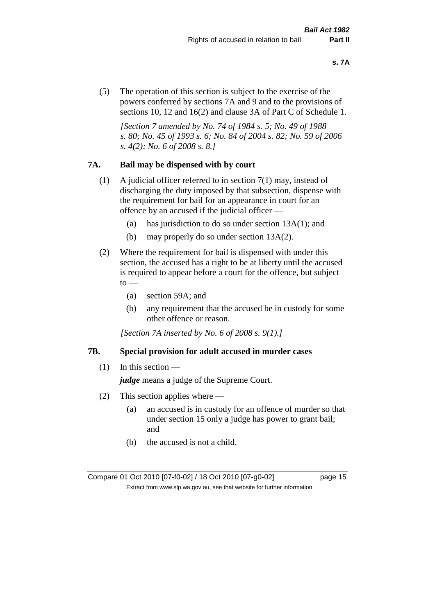(5) The operation of this section is subject to the exercise of the powers conferred by sections 7A and 9 and to the provisions of sections 10, 12 and 16(2) and clause 3A of Part C of Schedule 1.

*[Section 7 amended by No. 74 of 1984 s. 5; No. 49 of 1988 s. 80; No. 45 of 1993 s. 6; No. 84 of 2004 s. 82; No. 59 of 2006 s. 4(2); No. 6 of 2008 s. 8.]* 

### **7A. Bail may be dispensed with by court**

- (1) A judicial officer referred to in section 7(1) may, instead of discharging the duty imposed by that subsection, dispense with the requirement for bail for an appearance in court for an offence by an accused if the judicial officer —
	- (a) has jurisdiction to do so under section 13A(1); and
	- (b) may properly do so under section 13A(2).
- (2) Where the requirement for bail is dispensed with under this section, the accused has a right to be at liberty until the accused is required to appear before a court for the offence, but subject  $\mathrm{to}$  —
	- (a) section 59A; and
	- (b) any requirement that the accused be in custody for some other offence or reason.

*[Section 7A inserted by No. 6 of 2008 s. 9(1).]*

#### **7B. Special provision for adult accused in murder cases**

 $(1)$  In this section —

*judge* means a judge of the Supreme Court.

- (2) This section applies where
	- (a) an accused is in custody for an offence of murder so that under section 15 only a judge has power to grant bail; and
	- (b) the accused is not a child.

Compare 01 Oct 2010 [07-f0-02] / 18 Oct 2010 [07-g0-02] page 15 Extract from www.slp.wa.gov.au, see that website for further information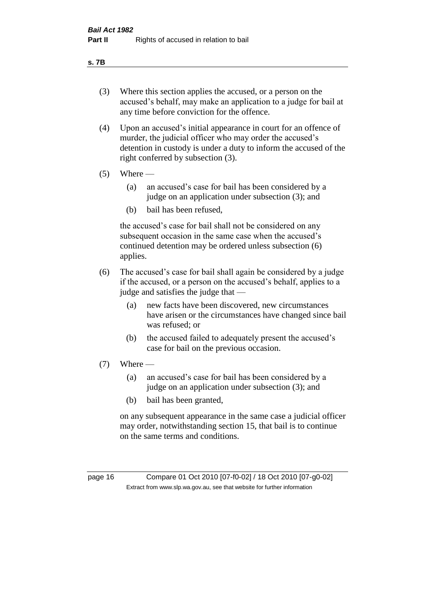#### **s. 7B**

- (3) Where this section applies the accused, or a person on the accused's behalf, may make an application to a judge for bail at any time before conviction for the offence.
- (4) Upon an accused's initial appearance in court for an offence of murder, the judicial officer who may order the accused's detention in custody is under a duty to inform the accused of the right conferred by subsection (3).
- $(5)$  Where
	- (a) an accused's case for bail has been considered by a judge on an application under subsection (3); and
	- (b) bail has been refused,

the accused's case for bail shall not be considered on any subsequent occasion in the same case when the accused's continued detention may be ordered unless subsection (6) applies.

- (6) The accused's case for bail shall again be considered by a judge if the accused, or a person on the accused's behalf, applies to a judge and satisfies the judge that —
	- (a) new facts have been discovered, new circumstances have arisen or the circumstances have changed since bail was refused; or
	- (b) the accused failed to adequately present the accused's case for bail on the previous occasion.
- $(7)$  Where
	- (a) an accused's case for bail has been considered by a judge on an application under subsection (3); and
	- (b) bail has been granted,

on any subsequent appearance in the same case a judicial officer may order, notwithstanding section 15, that bail is to continue on the same terms and conditions.

page 16 Compare 01 Oct 2010 [07-f0-02] / 18 Oct 2010 [07-g0-02] Extract from www.slp.wa.gov.au, see that website for further information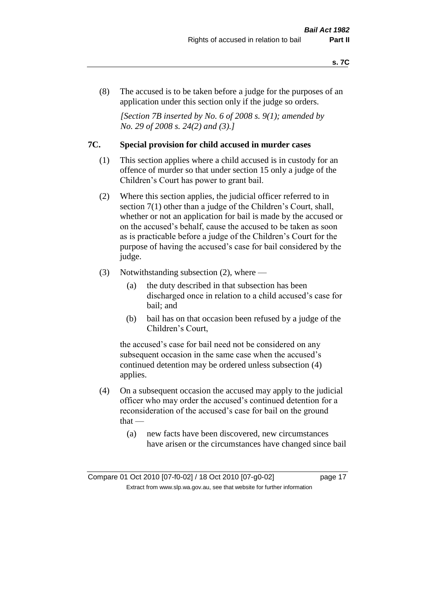(8) The accused is to be taken before a judge for the purposes of an application under this section only if the judge so orders.

*[Section 7B inserted by No. 6 of 2008 s. 9(1); amended by No. 29 of 2008 s. 24(2) and (3).]*

#### **7C. Special provision for child accused in murder cases**

- (1) This section applies where a child accused is in custody for an offence of murder so that under section 15 only a judge of the Children's Court has power to grant bail.
- (2) Where this section applies, the judicial officer referred to in section 7(1) other than a judge of the Children's Court, shall, whether or not an application for bail is made by the accused or on the accused's behalf, cause the accused to be taken as soon as is practicable before a judge of the Children's Court for the purpose of having the accused's case for bail considered by the judge.
- (3) Notwithstanding subsection (2), where
	- (a) the duty described in that subsection has been discharged once in relation to a child accused's case for bail; and
	- (b) bail has on that occasion been refused by a judge of the Children's Court,

the accused's case for bail need not be considered on any subsequent occasion in the same case when the accused's continued detention may be ordered unless subsection (4) applies.

- (4) On a subsequent occasion the accused may apply to the judicial officer who may order the accused's continued detention for a reconsideration of the accused's case for bail on the ground  $that -$ 
	- (a) new facts have been discovered, new circumstances have arisen or the circumstances have changed since bail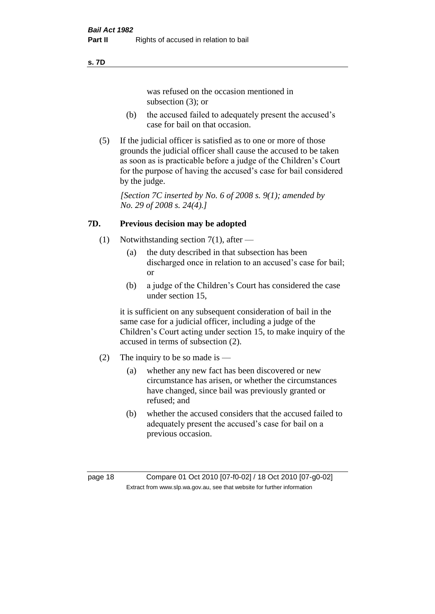#### **s. 7D**

was refused on the occasion mentioned in subsection (3); or

- (b) the accused failed to adequately present the accused's case for bail on that occasion.
- (5) If the judicial officer is satisfied as to one or more of those grounds the judicial officer shall cause the accused to be taken as soon as is practicable before a judge of the Children's Court for the purpose of having the accused's case for bail considered by the judge.

*[Section 7C inserted by No. 6 of 2008 s. 9(1); amended by No. 29 of 2008 s. 24(4).]*

# **7D. Previous decision may be adopted**

- (1) Notwithstanding section 7(1), after
	- (a) the duty described in that subsection has been discharged once in relation to an accused's case for bail; or
	- (b) a judge of the Children's Court has considered the case under section 15,

it is sufficient on any subsequent consideration of bail in the same case for a judicial officer, including a judge of the Children's Court acting under section 15, to make inquiry of the accused in terms of subsection (2).

- (2) The inquiry to be so made is  $-$ 
	- (a) whether any new fact has been discovered or new circumstance has arisen, or whether the circumstances have changed, since bail was previously granted or refused; and
	- (b) whether the accused considers that the accused failed to adequately present the accused's case for bail on a previous occasion.

page 18 Compare 01 Oct 2010 [07-f0-02] / 18 Oct 2010 [07-g0-02] Extract from www.slp.wa.gov.au, see that website for further information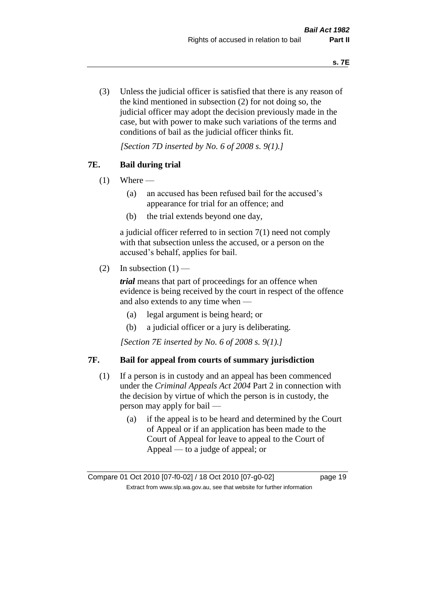(3) Unless the judicial officer is satisfied that there is any reason of the kind mentioned in subsection (2) for not doing so, the judicial officer may adopt the decision previously made in the case, but with power to make such variations of the terms and conditions of bail as the judicial officer thinks fit.

*[Section 7D inserted by No. 6 of 2008 s. 9(1).]*

# **7E. Bail during trial**

- $(1)$  Where
	- (a) an accused has been refused bail for the accused's appearance for trial for an offence; and
	- (b) the trial extends beyond one day,

a judicial officer referred to in section 7(1) need not comply with that subsection unless the accused, or a person on the accused's behalf, applies for bail.

(2) In subsection  $(1)$  —

*trial* means that part of proceedings for an offence when evidence is being received by the court in respect of the offence and also extends to any time when —

- (a) legal argument is being heard; or
- (b) a judicial officer or a jury is deliberating.

*[Section 7E inserted by No. 6 of 2008 s. 9(1).]*

#### **7F. Bail for appeal from courts of summary jurisdiction**

- (1) If a person is in custody and an appeal has been commenced under the *Criminal Appeals Act 2004* Part 2 in connection with the decision by virtue of which the person is in custody, the person may apply for bail —
	- (a) if the appeal is to be heard and determined by the Court of Appeal or if an application has been made to the Court of Appeal for leave to appeal to the Court of Appeal — to a judge of appeal; or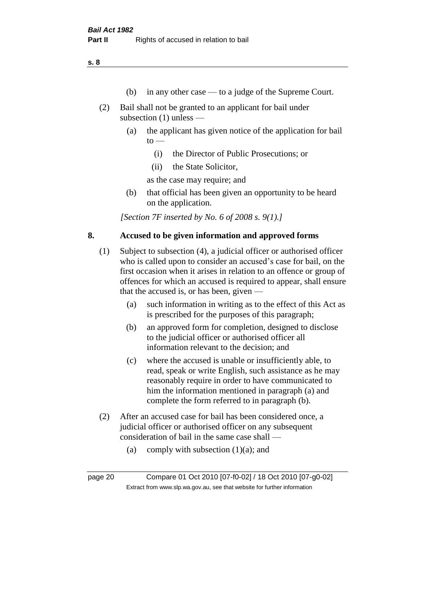**s. 8**

- (b) in any other case to a judge of the Supreme Court.
- (2) Bail shall not be granted to an applicant for bail under subsection (1) unless —
	- (a) the applicant has given notice of the application for bail  $to -$ 
		- (i) the Director of Public Prosecutions; or
		- (ii) the State Solicitor,

as the case may require; and

(b) that official has been given an opportunity to be heard on the application.

*[Section 7F inserted by No. 6 of 2008 s. 9(1).]*

#### **8. Accused to be given information and approved forms**

- (1) Subject to subsection (4), a judicial officer or authorised officer who is called upon to consider an accused's case for bail, on the first occasion when it arises in relation to an offence or group of offences for which an accused is required to appear, shall ensure that the accused is, or has been, given —
	- (a) such information in writing as to the effect of this Act as is prescribed for the purposes of this paragraph;
	- (b) an approved form for completion, designed to disclose to the judicial officer or authorised officer all information relevant to the decision; and
	- (c) where the accused is unable or insufficiently able, to read, speak or write English, such assistance as he may reasonably require in order to have communicated to him the information mentioned in paragraph (a) and complete the form referred to in paragraph (b).
- (2) After an accused case for bail has been considered once, a judicial officer or authorised officer on any subsequent consideration of bail in the same case shall —
	- (a) comply with subsection  $(1)(a)$ ; and

page 20 Compare 01 Oct 2010 [07-f0-02] / 18 Oct 2010 [07-g0-02] Extract from www.slp.wa.gov.au, see that website for further information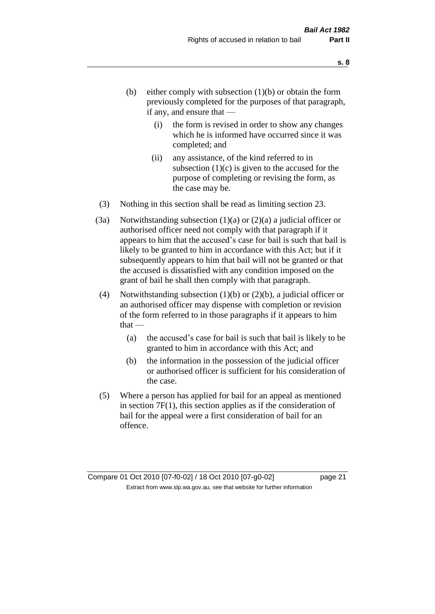- (b) either comply with subsection  $(1)(b)$  or obtain the form previously completed for the purposes of that paragraph, if any, and ensure that —
	- (i) the form is revised in order to show any changes which he is informed have occurred since it was completed; and
	- (ii) any assistance, of the kind referred to in subsection  $(1)(c)$  is given to the accused for the purpose of completing or revising the form, as the case may be.
- (3) Nothing in this section shall be read as limiting section 23.
- (3a) Notwithstanding subsection  $(1)(a)$  or  $(2)(a)$  a judicial officer or authorised officer need not comply with that paragraph if it appears to him that the accused's case for bail is such that bail is likely to be granted to him in accordance with this Act; but if it subsequently appears to him that bail will not be granted or that the accused is dissatisfied with any condition imposed on the grant of bail he shall then comply with that paragraph.
- (4) Notwithstanding subsection (1)(b) or (2)(b), a judicial officer or an authorised officer may dispense with completion or revision of the form referred to in those paragraphs if it appears to him  $that -$ 
	- (a) the accused's case for bail is such that bail is likely to be granted to him in accordance with this Act; and
	- (b) the information in the possession of the judicial officer or authorised officer is sufficient for his consideration of the case.
- (5) Where a person has applied for bail for an appeal as mentioned in section 7F(1), this section applies as if the consideration of bail for the appeal were a first consideration of bail for an offence.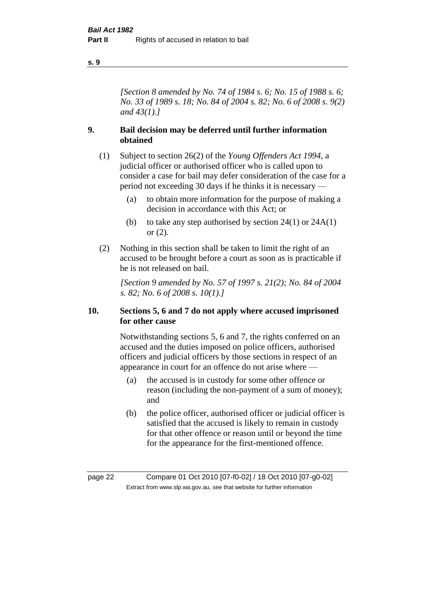#### **s. 9**

*[Section 8 amended by No. 74 of 1984 s. 6; No. 15 of 1988 s. 6; No. 33 of 1989 s. 18; No. 84 of 2004 s. 82; No. 6 of 2008 s. 9(2) and 43(1).]* 

# **9. Bail decision may be deferred until further information obtained**

- (1) Subject to section 26(2) of the *Young Offenders Act 1994*, a judicial officer or authorised officer who is called upon to consider a case for bail may defer consideration of the case for a period not exceeding 30 days if he thinks it is necessary —
	- (a) to obtain more information for the purpose of making a decision in accordance with this Act; or
	- (b) to take any step authorised by section  $24(1)$  or  $24A(1)$ or (2).
- (2) Nothing in this section shall be taken to limit the right of an accused to be brought before a court as soon as is practicable if he is not released on bail.

*[Section 9 amended by No. 57 of 1997 s. 21(2); No. 84 of 2004 s. 82; No. 6 of 2008 s. 10(1).]*

#### **10. Sections 5, 6 and 7 do not apply where accused imprisoned for other cause**

Notwithstanding sections 5, 6 and 7, the rights conferred on an accused and the duties imposed on police officers, authorised officers and judicial officers by those sections in respect of an appearance in court for an offence do not arise where —

- (a) the accused is in custody for some other offence or reason (including the non-payment of a sum of money); and
- (b) the police officer, authorised officer or judicial officer is satisfied that the accused is likely to remain in custody for that other offence or reason until or beyond the time for the appearance for the first-mentioned offence.

page 22 Compare 01 Oct 2010 [07-f0-02] / 18 Oct 2010 [07-g0-02] Extract from www.slp.wa.gov.au, see that website for further information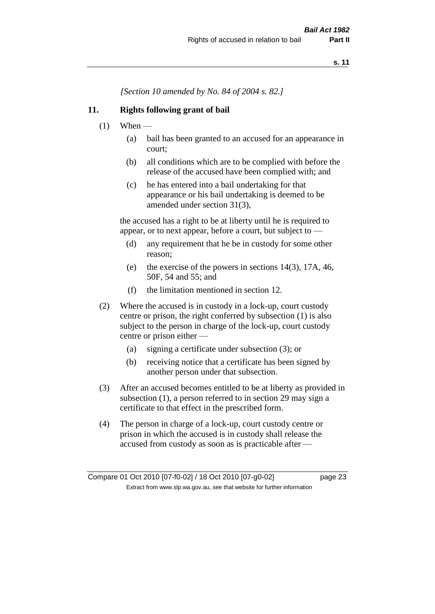*[Section 10 amended by No. 84 of 2004 s. 82.]*

### **11. Rights following grant of bail**

- $(1)$  When
	- (a) bail has been granted to an accused for an appearance in court;
	- (b) all conditions which are to be complied with before the release of the accused have been complied with; and
	- (c) he has entered into a bail undertaking for that appearance or his bail undertaking is deemed to be amended under section 31(3),

the accused has a right to be at liberty until he is required to appear, or to next appear, before a court, but subject to —

- (d) any requirement that he be in custody for some other reason;
- (e) the exercise of the powers in sections 14(3), 17A, 46, 50F, 54 and 55; and
- (f) the limitation mentioned in section 12.
- (2) Where the accused is in custody in a lock-up, court custody centre or prison, the right conferred by subsection (1) is also subject to the person in charge of the lock-up, court custody centre or prison either —
	- (a) signing a certificate under subsection (3); or
	- (b) receiving notice that a certificate has been signed by another person under that subsection.
- (3) After an accused becomes entitled to be at liberty as provided in subsection (1), a person referred to in section 29 may sign a certificate to that effect in the prescribed form.
- (4) The person in charge of a lock-up, court custody centre or prison in which the accused is in custody shall release the accused from custody as soon as is practicable after —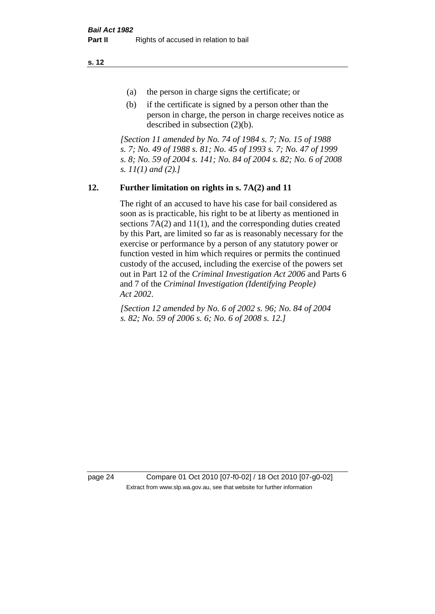**s. 12**

- (a) the person in charge signs the certificate; or
- (b) if the certificate is signed by a person other than the person in charge, the person in charge receives notice as described in subsection (2)(b).

*[Section 11 amended by No. 74 of 1984 s. 7; No. 15 of 1988 s. 7; No. 49 of 1988 s. 81; No. 45 of 1993 s. 7; No. 47 of 1999 s. 8; No. 59 of 2004 s. 141; No. 84 of 2004 s. 82; No. 6 of 2008 s. 11(1) and (2).]* 

# **12. Further limitation on rights in s. 7A(2) and 11**

The right of an accused to have his case for bail considered as soon as is practicable, his right to be at liberty as mentioned in sections 7A(2) and 11(1), and the corresponding duties created by this Part, are limited so far as is reasonably necessary for the exercise or performance by a person of any statutory power or function vested in him which requires or permits the continued custody of the accused, including the exercise of the powers set out in Part 12 of the *Criminal Investigation Act 2006* and Parts 6 and 7 of the *Criminal Investigation (Identifying People) Act 2002*.

*[Section 12 amended by No. 6 of 2002 s. 96; No. 84 of 2004 s. 82; No. 59 of 2006 s. 6; No. 6 of 2008 s. 12.]*

page 24 Compare 01 Oct 2010 [07-f0-02] / 18 Oct 2010 [07-g0-02] Extract from www.slp.wa.gov.au, see that website for further information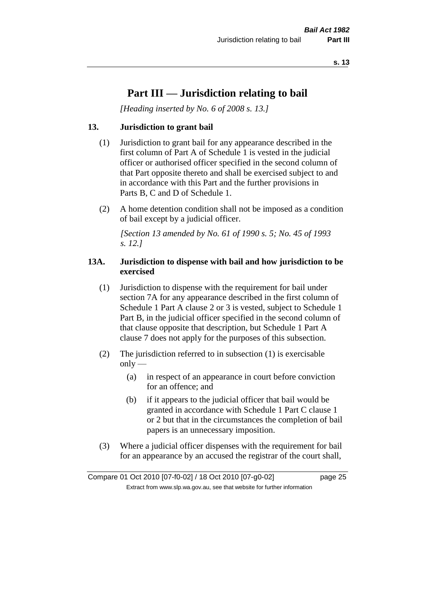# **Part III — Jurisdiction relating to bail**

*[Heading inserted by No. 6 of 2008 s. 13.]*

# **13. Jurisdiction to grant bail**

- (1) Jurisdiction to grant bail for any appearance described in the first column of Part A of Schedule 1 is vested in the judicial officer or authorised officer specified in the second column of that Part opposite thereto and shall be exercised subject to and in accordance with this Part and the further provisions in Parts B, C and D of Schedule 1.
- (2) A home detention condition shall not be imposed as a condition of bail except by a judicial officer.

*[Section 13 amended by No. 61 of 1990 s. 5; No. 45 of 1993 s. 12.]* 

#### **13A. Jurisdiction to dispense with bail and how jurisdiction to be exercised**

- (1) Jurisdiction to dispense with the requirement for bail under section 7A for any appearance described in the first column of Schedule 1 Part A clause 2 or 3 is vested, subject to Schedule 1 Part B, in the judicial officer specified in the second column of that clause opposite that description, but Schedule 1 Part A clause 7 does not apply for the purposes of this subsection.
- (2) The jurisdiction referred to in subsection (1) is exercisable  $only$ —
	- (a) in respect of an appearance in court before conviction for an offence; and
	- (b) if it appears to the judicial officer that bail would be granted in accordance with Schedule 1 Part C clause 1 or 2 but that in the circumstances the completion of bail papers is an unnecessary imposition.
- (3) Where a judicial officer dispenses with the requirement for bail for an appearance by an accused the registrar of the court shall,

Compare 01 Oct 2010 [07-f0-02] / 18 Oct 2010 [07-g0-02] page 25 Extract from www.slp.wa.gov.au, see that website for further information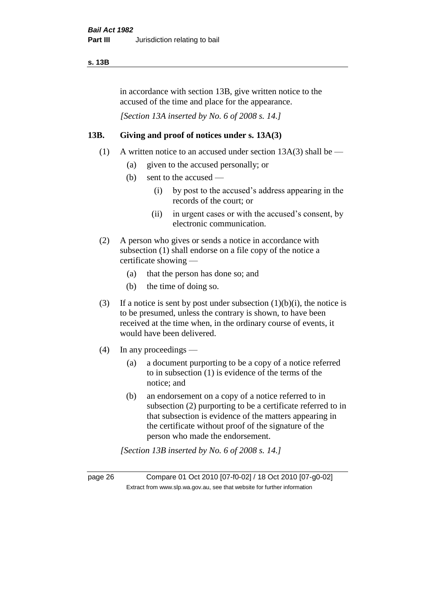#### **s. 13B**

in accordance with section 13B, give written notice to the accused of the time and place for the appearance.

*[Section 13A inserted by No. 6 of 2008 s. 14.]*

# **13B. Giving and proof of notices under s. 13A(3)**

- (1) A written notice to an accused under section  $13A(3)$  shall be
	- (a) given to the accused personally; or
	- (b) sent to the accused
		- (i) by post to the accused's address appearing in the records of the court; or
		- (ii) in urgent cases or with the accused's consent, by electronic communication.
- (2) A person who gives or sends a notice in accordance with subsection (1) shall endorse on a file copy of the notice a certificate showing —
	- (a) that the person has done so; and
	- (b) the time of doing so.
- (3) If a notice is sent by post under subsection  $(1)(b)(i)$ , the notice is to be presumed, unless the contrary is shown, to have been received at the time when, in the ordinary course of events, it would have been delivered.
- (4) In any proceedings
	- (a) a document purporting to be a copy of a notice referred to in subsection (1) is evidence of the terms of the notice; and
	- (b) an endorsement on a copy of a notice referred to in subsection (2) purporting to be a certificate referred to in that subsection is evidence of the matters appearing in the certificate without proof of the signature of the person who made the endorsement.

*[Section 13B inserted by No. 6 of 2008 s. 14.]*

page 26 Compare 01 Oct 2010 [07-f0-02] / 18 Oct 2010 [07-g0-02] Extract from www.slp.wa.gov.au, see that website for further information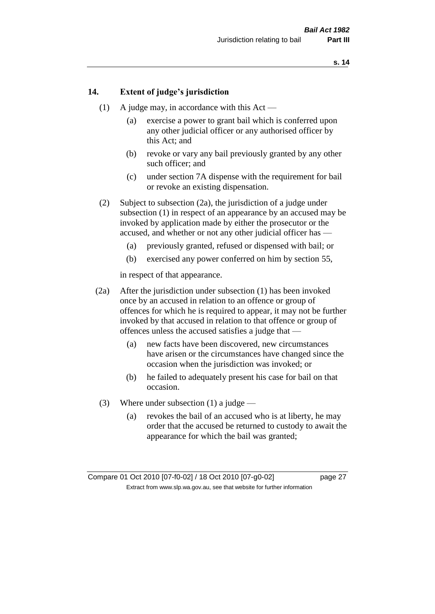### **14. Extent of judge's jurisdiction**

- (1) A judge may, in accordance with this Act
	- (a) exercise a power to grant bail which is conferred upon any other judicial officer or any authorised officer by this Act; and
	- (b) revoke or vary any bail previously granted by any other such officer; and
	- (c) under section 7A dispense with the requirement for bail or revoke an existing dispensation.
- (2) Subject to subsection (2a), the jurisdiction of a judge under subsection (1) in respect of an appearance by an accused may be invoked by application made by either the prosecutor or the accused, and whether or not any other judicial officer has —
	- (a) previously granted, refused or dispensed with bail; or
	- (b) exercised any power conferred on him by section 55,

in respect of that appearance.

- (2a) After the jurisdiction under subsection (1) has been invoked once by an accused in relation to an offence or group of offences for which he is required to appear, it may not be further invoked by that accused in relation to that offence or group of offences unless the accused satisfies a judge that —
	- (a) new facts have been discovered, new circumstances have arisen or the circumstances have changed since the occasion when the jurisdiction was invoked; or
	- (b) he failed to adequately present his case for bail on that occasion.
- (3) Where under subsection (1) a judge
	- (a) revokes the bail of an accused who is at liberty, he may order that the accused be returned to custody to await the appearance for which the bail was granted;

Compare 01 Oct 2010 [07-f0-02] / 18 Oct 2010 [07-g0-02] page 27 Extract from www.slp.wa.gov.au, see that website for further information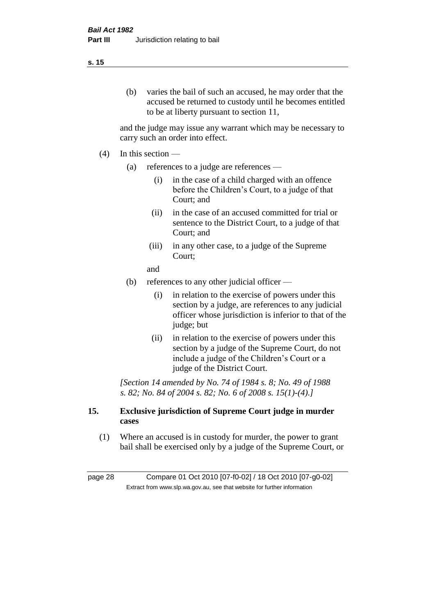#### **s. 15**

(b) varies the bail of such an accused, he may order that the accused be returned to custody until he becomes entitled to be at liberty pursuant to section 11,

and the judge may issue any warrant which may be necessary to carry such an order into effect.

- $(4)$  In this section
	- (a) references to a judge are references
		- (i) in the case of a child charged with an offence before the Children's Court, to a judge of that Court; and
		- (ii) in the case of an accused committed for trial or sentence to the District Court, to a judge of that Court; and
		- (iii) in any other case, to a judge of the Supreme Court;

and

- (b) references to any other judicial officer
	- (i) in relation to the exercise of powers under this section by a judge, are references to any judicial officer whose jurisdiction is inferior to that of the judge; but
	- (ii) in relation to the exercise of powers under this section by a judge of the Supreme Court, do not include a judge of the Children's Court or a judge of the District Court.

*[Section 14 amended by No. 74 of 1984 s. 8; No. 49 of 1988 s. 82; No. 84 of 2004 s. 82; No. 6 of 2008 s. 15(1)-(4).]* 

### **15. Exclusive jurisdiction of Supreme Court judge in murder cases**

(1) Where an accused is in custody for murder, the power to grant bail shall be exercised only by a judge of the Supreme Court, or

page 28 Compare 01 Oct 2010 [07-f0-02] / 18 Oct 2010 [07-g0-02] Extract from www.slp.wa.gov.au, see that website for further information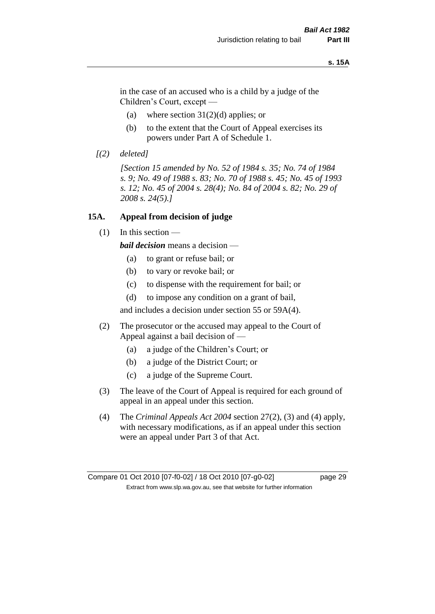#### **s. 15A**

in the case of an accused who is a child by a judge of the Children's Court, except —

- (a) where section  $31(2)(d)$  applies; or
- (b) to the extent that the Court of Appeal exercises its powers under Part A of Schedule 1.
- *[(2) deleted]*

*[Section 15 amended by No. 52 of 1984 s. 35; No. 74 of 1984 s. 9; No. 49 of 1988 s. 83; No. 70 of 1988 s. 45; No. 45 of 1993 s. 12; No. 45 of 2004 s. 28(4); No. 84 of 2004 s. 82; No. 29 of 2008 s. 24(5).]* 

#### **15A. Appeal from decision of judge**

(1) In this section —

*bail decision* means a decision —

- (a) to grant or refuse bail; or
- (b) to vary or revoke bail; or
- (c) to dispense with the requirement for bail; or
- (d) to impose any condition on a grant of bail,

and includes a decision under section 55 or 59A(4).

- (2) The prosecutor or the accused may appeal to the Court of Appeal against a bail decision of —
	- (a) a judge of the Children's Court; or
	- (b) a judge of the District Court; or
	- (c) a judge of the Supreme Court.
- (3) The leave of the Court of Appeal is required for each ground of appeal in an appeal under this section.
- (4) The *Criminal Appeals Act 2004* section 27(2), (3) and (4) apply, with necessary modifications, as if an appeal under this section were an appeal under Part 3 of that Act.

Compare 01 Oct 2010 [07-f0-02] / 18 Oct 2010 [07-g0-02] page 29 Extract from www.slp.wa.gov.au, see that website for further information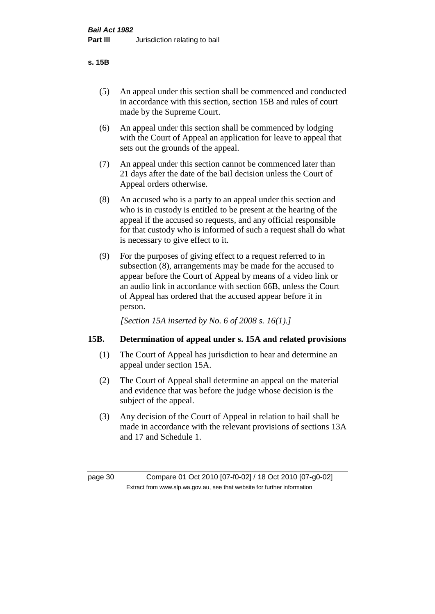#### **s. 15B**

- (5) An appeal under this section shall be commenced and conducted in accordance with this section, section 15B and rules of court made by the Supreme Court.
- (6) An appeal under this section shall be commenced by lodging with the Court of Appeal an application for leave to appeal that sets out the grounds of the appeal.
- (7) An appeal under this section cannot be commenced later than 21 days after the date of the bail decision unless the Court of Appeal orders otherwise.
- (8) An accused who is a party to an appeal under this section and who is in custody is entitled to be present at the hearing of the appeal if the accused so requests, and any official responsible for that custody who is informed of such a request shall do what is necessary to give effect to it.
- (9) For the purposes of giving effect to a request referred to in subsection (8), arrangements may be made for the accused to appear before the Court of Appeal by means of a video link or an audio link in accordance with section 66B, unless the Court of Appeal has ordered that the accused appear before it in person.

*[Section 15A inserted by No. 6 of 2008 s. 16(1).]*

# **15B. Determination of appeal under s. 15A and related provisions**

- (1) The Court of Appeal has jurisdiction to hear and determine an appeal under section 15A.
- (2) The Court of Appeal shall determine an appeal on the material and evidence that was before the judge whose decision is the subject of the appeal.
- (3) Any decision of the Court of Appeal in relation to bail shall be made in accordance with the relevant provisions of sections 13A and 17 and Schedule 1.

page 30 Compare 01 Oct 2010 [07-f0-02] / 18 Oct 2010 [07-g0-02] Extract from www.slp.wa.gov.au, see that website for further information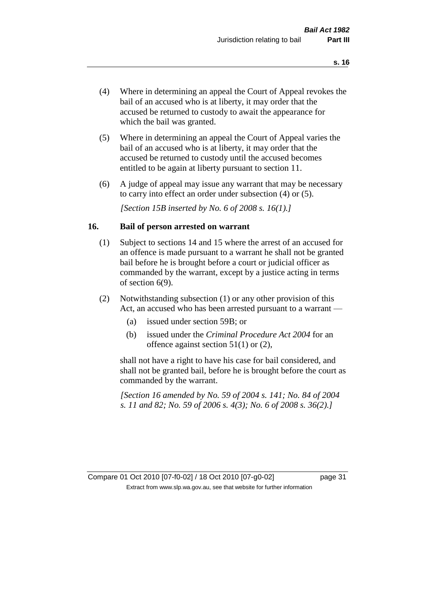- (4) Where in determining an appeal the Court of Appeal revokes the bail of an accused who is at liberty, it may order that the accused be returned to custody to await the appearance for which the bail was granted.
- (5) Where in determining an appeal the Court of Appeal varies the bail of an accused who is at liberty, it may order that the accused be returned to custody until the accused becomes entitled to be again at liberty pursuant to section 11.
- (6) A judge of appeal may issue any warrant that may be necessary to carry into effect an order under subsection (4) or (5).

*[Section 15B inserted by No. 6 of 2008 s. 16(1).]*

#### **16. Bail of person arrested on warrant**

- (1) Subject to sections 14 and 15 where the arrest of an accused for an offence is made pursuant to a warrant he shall not be granted bail before he is brought before a court or judicial officer as commanded by the warrant, except by a justice acting in terms of section 6(9).
- (2) Notwithstanding subsection (1) or any other provision of this Act, an accused who has been arrested pursuant to a warrant —
	- (a) issued under section 59B; or
	- (b) issued under the *Criminal Procedure Act 2004* for an offence against section 51(1) or (2),

shall not have a right to have his case for bail considered, and shall not be granted bail, before he is brought before the court as commanded by the warrant.

*[Section 16 amended by No. 59 of 2004 s. 141; No. 84 of 2004 s. 11 and 82; No. 59 of 2006 s. 4(3); No. 6 of 2008 s. 36(2).]*

# Compare 01 Oct 2010 [07-f0-02] / 18 Oct 2010 [07-g0-02] page 31 Extract from www.slp.wa.gov.au, see that website for further information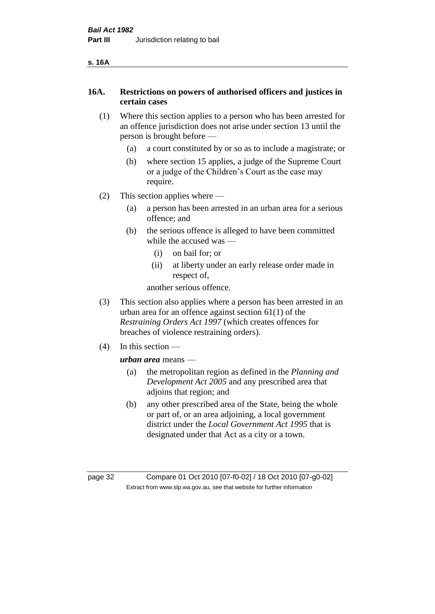| ۰, | ۰. |
|----|----|
|----|----|

# **16A. Restrictions on powers of authorised officers and justices in certain cases**

- (1) Where this section applies to a person who has been arrested for an offence jurisdiction does not arise under section 13 until the person is brought before —
	- (a) a court constituted by or so as to include a magistrate; or
	- (b) where section 15 applies, a judge of the Supreme Court or a judge of the Children's Court as the case may require.
- (2) This section applies where
	- (a) a person has been arrested in an urban area for a serious offence; and
	- (b) the serious offence is alleged to have been committed while the accused was —
		- (i) on bail for; or
		- (ii) at liberty under an early release order made in respect of,

another serious offence.

- (3) This section also applies where a person has been arrested in an urban area for an offence against section 61(1) of the *Restraining Orders Act 1997* (which creates offences for breaches of violence restraining orders).
- (4) In this section —

*urban area* means —

- (a) the metropolitan region as defined in the *Planning and Development Act 2005* and any prescribed area that adjoins that region; and
- (b) any other prescribed area of the State, being the whole or part of, or an area adjoining, a local government district under the *Local Government Act 1995* that is designated under that Act as a city or a town.

page 32 Compare 01 Oct 2010 [07-f0-02] / 18 Oct 2010 [07-g0-02] Extract from www.slp.wa.gov.au, see that website for further information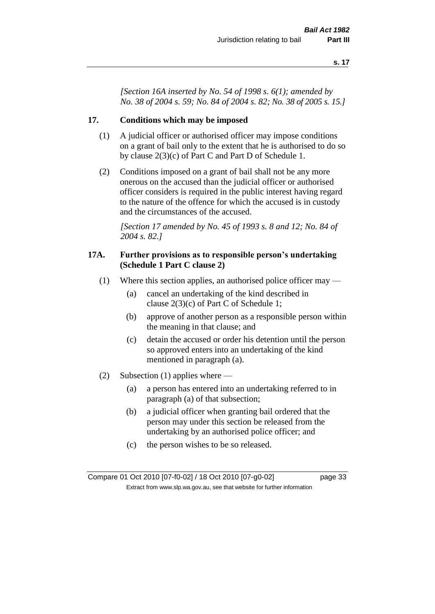*[Section 16A inserted by No. 54 of 1998 s. 6(1); amended by No. 38 of 2004 s. 59; No. 84 of 2004 s. 82; No. 38 of 2005 s. 15.]*

### **17. Conditions which may be imposed**

- (1) A judicial officer or authorised officer may impose conditions on a grant of bail only to the extent that he is authorised to do so by clause 2(3)(c) of Part C and Part D of Schedule 1.
- (2) Conditions imposed on a grant of bail shall not be any more onerous on the accused than the judicial officer or authorised officer considers is required in the public interest having regard to the nature of the offence for which the accused is in custody and the circumstances of the accused.

*[Section 17 amended by No. 45 of 1993 s. 8 and 12; No. 84 of 2004 s. 82.]* 

#### **17A. Further provisions as to responsible person's undertaking (Schedule 1 Part C clause 2)**

- (1) Where this section applies, an authorised police officer may
	- (a) cancel an undertaking of the kind described in clause 2(3)(c) of Part C of Schedule 1;
	- (b) approve of another person as a responsible person within the meaning in that clause; and
	- (c) detain the accused or order his detention until the person so approved enters into an undertaking of the kind mentioned in paragraph (a).
- (2) Subsection (1) applies where
	- (a) a person has entered into an undertaking referred to in paragraph (a) of that subsection;
	- (b) a judicial officer when granting bail ordered that the person may under this section be released from the undertaking by an authorised police officer; and
	- (c) the person wishes to be so released.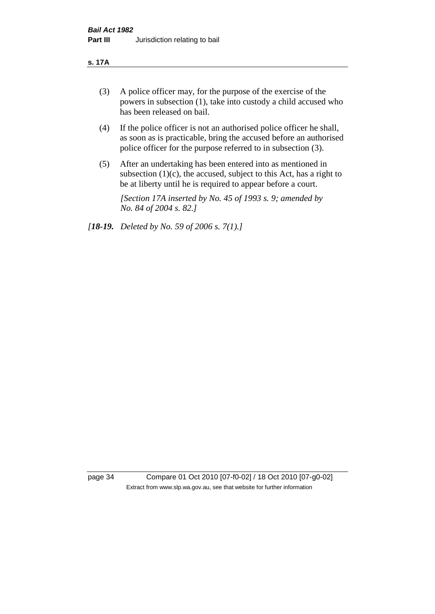#### **s. 17A**

- (3) A police officer may, for the purpose of the exercise of the powers in subsection (1), take into custody a child accused who has been released on bail.
- (4) If the police officer is not an authorised police officer he shall, as soon as is practicable, bring the accused before an authorised police officer for the purpose referred to in subsection (3).
- (5) After an undertaking has been entered into as mentioned in subsection  $(1)(c)$ , the accused, subject to this Act, has a right to be at liberty until he is required to appear before a court.

*[Section 17A inserted by No. 45 of 1993 s. 9; amended by No. 84 of 2004 s. 82.]* 

*[18-19. Deleted by No. 59 of 2006 s. 7(1).]*

page 34 Compare 01 Oct 2010 [07-f0-02] / 18 Oct 2010 [07-g0-02] Extract from www.slp.wa.gov.au, see that website for further information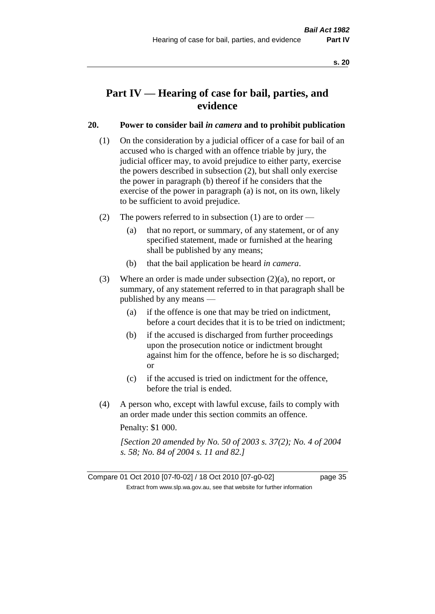# **Part IV — Hearing of case for bail, parties, and evidence**

## **20. Power to consider bail** *in camera* **and to prohibit publication**

- (1) On the consideration by a judicial officer of a case for bail of an accused who is charged with an offence triable by jury, the judicial officer may, to avoid prejudice to either party, exercise the powers described in subsection (2), but shall only exercise the power in paragraph (b) thereof if he considers that the exercise of the power in paragraph (a) is not, on its own, likely to be sufficient to avoid prejudice.
- (2) The powers referred to in subsection (1) are to order
	- (a) that no report, or summary, of any statement, or of any specified statement, made or furnished at the hearing shall be published by any means;
	- (b) that the bail application be heard *in camera*.
- (3) Where an order is made under subsection (2)(a), no report, or summary, of any statement referred to in that paragraph shall be published by any means —
	- (a) if the offence is one that may be tried on indictment, before a court decides that it is to be tried on indictment;
	- (b) if the accused is discharged from further proceedings upon the prosecution notice or indictment brought against him for the offence, before he is so discharged; or
	- (c) if the accused is tried on indictment for the offence, before the trial is ended.
- (4) A person who, except with lawful excuse, fails to comply with an order made under this section commits an offence.

Penalty: \$1 000.

*[Section 20 amended by No. 50 of 2003 s. 37(2); No. 4 of 2004 s. 58; No. 84 of 2004 s. 11 and 82.]*

Compare 01 Oct 2010 [07-f0-02] / 18 Oct 2010 [07-g0-02] page 35 Extract from www.slp.wa.gov.au, see that website for further information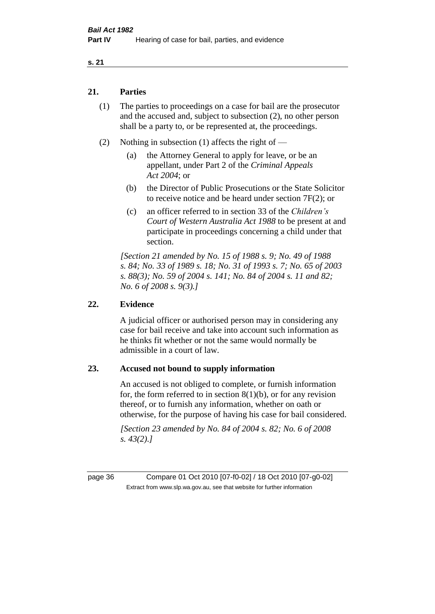## **21. Parties**

- (1) The parties to proceedings on a case for bail are the prosecutor and the accused and, subject to subsection (2), no other person shall be a party to, or be represented at, the proceedings.
- (2) Nothing in subsection (1) affects the right of
	- (a) the Attorney General to apply for leave, or be an appellant, under Part 2 of the *Criminal Appeals Act 2004*; or
	- (b) the Director of Public Prosecutions or the State Solicitor to receive notice and be heard under section 7F(2); or
	- (c) an officer referred to in section 33 of the *Children's Court of Western Australia Act 1988* to be present at and participate in proceedings concerning a child under that section.

*[Section 21 amended by No. 15 of 1988 s. 9; No. 49 of 1988 s. 84; No. 33 of 1989 s. 18; No. 31 of 1993 s. 7; No. 65 of 2003 s. 88(3); No. 59 of 2004 s. 141; No. 84 of 2004 s. 11 and 82; No. 6 of 2008 s. 9(3).]* 

## **22. Evidence**

A judicial officer or authorised person may in considering any case for bail receive and take into account such information as he thinks fit whether or not the same would normally be admissible in a court of law.

### **23. Accused not bound to supply information**

An accused is not obliged to complete, or furnish information for, the form referred to in section  $8(1)(b)$ , or for any revision thereof, or to furnish any information, whether on oath or otherwise, for the purpose of having his case for bail considered.

*[Section 23 amended by No. 84 of 2004 s. 82; No. 6 of 2008 s. 43(2).]* 

page 36 Compare 01 Oct 2010 [07-f0-02] / 18 Oct 2010 [07-g0-02] Extract from www.slp.wa.gov.au, see that website for further information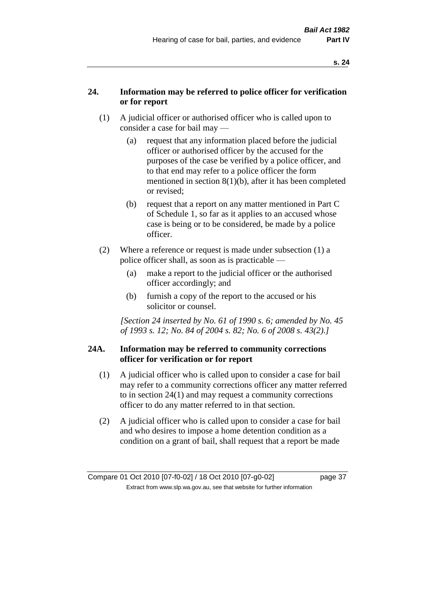# **24. Information may be referred to police officer for verification or for report**

- (1) A judicial officer or authorised officer who is called upon to consider a case for bail may —
	- (a) request that any information placed before the judicial officer or authorised officer by the accused for the purposes of the case be verified by a police officer, and to that end may refer to a police officer the form mentioned in section 8(1)(b), after it has been completed or revised;
	- (b) request that a report on any matter mentioned in Part C of Schedule 1, so far as it applies to an accused whose case is being or to be considered, be made by a police officer.
- (2) Where a reference or request is made under subsection (1) a police officer shall, as soon as is practicable —
	- (a) make a report to the judicial officer or the authorised officer accordingly; and
	- (b) furnish a copy of the report to the accused or his solicitor or counsel.

*[Section 24 inserted by No. 61 of 1990 s. 6; amended by No. 45 of 1993 s. 12; No. 84 of 2004 s. 82; No. 6 of 2008 s. 43(2).]* 

### **24A. Information may be referred to community corrections officer for verification or for report**

- (1) A judicial officer who is called upon to consider a case for bail may refer to a community corrections officer any matter referred to in section 24(1) and may request a community corrections officer to do any matter referred to in that section.
- (2) A judicial officer who is called upon to consider a case for bail and who desires to impose a home detention condition as a condition on a grant of bail, shall request that a report be made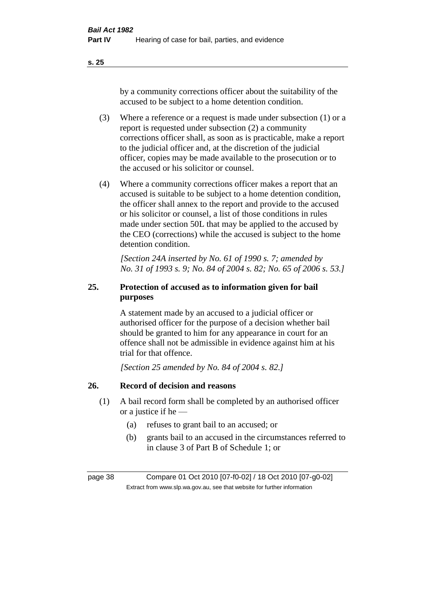by a community corrections officer about the suitability of the accused to be subject to a home detention condition.

- (3) Where a reference or a request is made under subsection (1) or a report is requested under subsection (2) a community corrections officer shall, as soon as is practicable, make a report to the judicial officer and, at the discretion of the judicial officer, copies may be made available to the prosecution or to the accused or his solicitor or counsel.
- (4) Where a community corrections officer makes a report that an accused is suitable to be subject to a home detention condition, the officer shall annex to the report and provide to the accused or his solicitor or counsel, a list of those conditions in rules made under section 50L that may be applied to the accused by the CEO (corrections) while the accused is subject to the home detention condition.

*[Section 24A inserted by No. 61 of 1990 s. 7; amended by No. 31 of 1993 s. 9; No. 84 of 2004 s. 82; No. 65 of 2006 s. 53.]* 

# **25. Protection of accused as to information given for bail purposes**

A statement made by an accused to a judicial officer or authorised officer for the purpose of a decision whether bail should be granted to him for any appearance in court for an offence shall not be admissible in evidence against him at his trial for that offence.

*[Section 25 amended by No. 84 of 2004 s. 82.]* 

# **26. Record of decision and reasons**

- (1) A bail record form shall be completed by an authorised officer or a justice if he —
	- (a) refuses to grant bail to an accused; or
	- (b) grants bail to an accused in the circumstances referred to in clause 3 of Part B of Schedule 1; or

page 38 Compare 01 Oct 2010 [07-f0-02] / 18 Oct 2010 [07-g0-02] Extract from www.slp.wa.gov.au, see that website for further information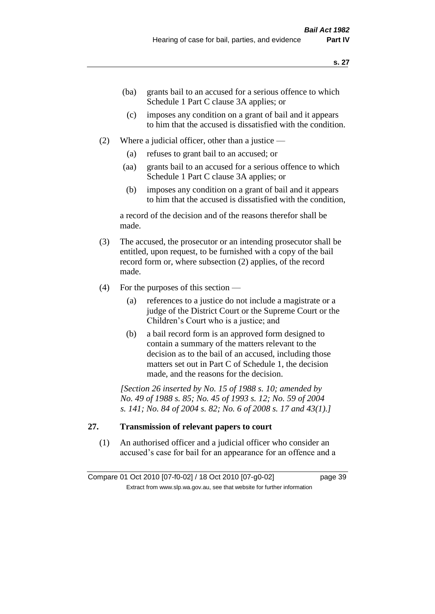- (ba) grants bail to an accused for a serious offence to which Schedule 1 Part C clause 3A applies; or
- (c) imposes any condition on a grant of bail and it appears to him that the accused is dissatisfied with the condition.
- (2) Where a judicial officer, other than a justice
	- (a) refuses to grant bail to an accused; or
	- (aa) grants bail to an accused for a serious offence to which Schedule 1 Part C clause 3A applies; or
	- (b) imposes any condition on a grant of bail and it appears to him that the accused is dissatisfied with the condition,

a record of the decision and of the reasons therefor shall be made.

- (3) The accused, the prosecutor or an intending prosecutor shall be entitled, upon request, to be furnished with a copy of the bail record form or, where subsection (2) applies, of the record made.
- (4) For the purposes of this section
	- (a) references to a justice do not include a magistrate or a judge of the District Court or the Supreme Court or the Children's Court who is a justice; and
	- (b) a bail record form is an approved form designed to contain a summary of the matters relevant to the decision as to the bail of an accused, including those matters set out in Part C of Schedule 1, the decision made, and the reasons for the decision.

*[Section 26 inserted by No. 15 of 1988 s. 10; amended by No. 49 of 1988 s. 85; No. 45 of 1993 s. 12; No. 59 of 2004 s. 141; No. 84 of 2004 s. 82; No. 6 of 2008 s. 17 and 43(1).]* 

# **27. Transmission of relevant papers to court**

(1) An authorised officer and a judicial officer who consider an accused's case for bail for an appearance for an offence and a

Compare 01 Oct 2010 [07-f0-02] / 18 Oct 2010 [07-g0-02] page 39 Extract from www.slp.wa.gov.au, see that website for further information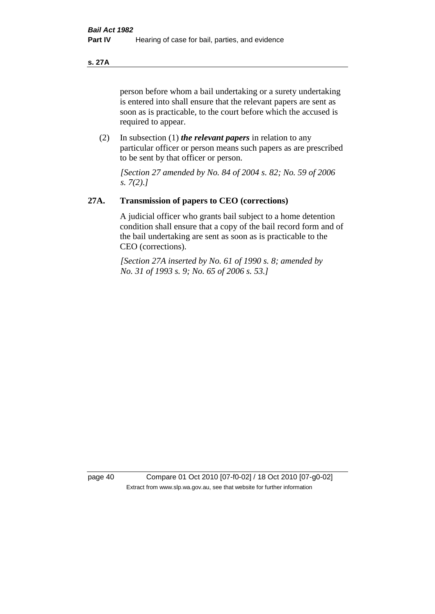### **s. 27A**

person before whom a bail undertaking or a surety undertaking is entered into shall ensure that the relevant papers are sent as soon as is practicable, to the court before which the accused is required to appear.

(2) In subsection (1) *the relevant papers* in relation to any particular officer or person means such papers as are prescribed to be sent by that officer or person.

*[Section 27 amended by No. 84 of 2004 s. 82; No. 59 of 2006 s. 7(2).]* 

### **27A. Transmission of papers to CEO (corrections)**

A judicial officer who grants bail subject to a home detention condition shall ensure that a copy of the bail record form and of the bail undertaking are sent as soon as is practicable to the CEO (corrections).

*[Section 27A inserted by No. 61 of 1990 s. 8; amended by No. 31 of 1993 s. 9; No. 65 of 2006 s. 53.]* 

page 40 Compare 01 Oct 2010 [07-f0-02] / 18 Oct 2010 [07-g0-02] Extract from www.slp.wa.gov.au, see that website for further information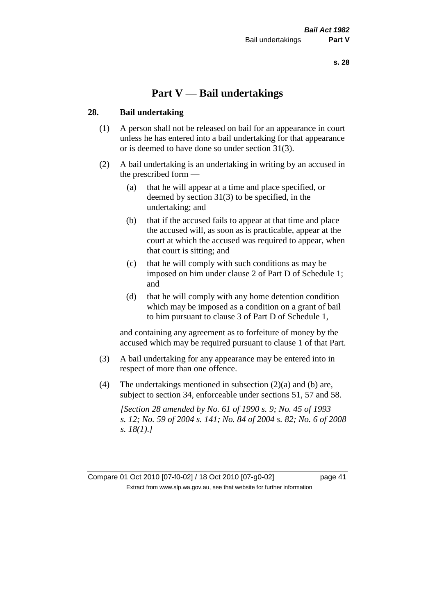# **Part V — Bail undertakings**

### **28. Bail undertaking**

- (1) A person shall not be released on bail for an appearance in court unless he has entered into a bail undertaking for that appearance or is deemed to have done so under section 31(3).
- (2) A bail undertaking is an undertaking in writing by an accused in the prescribed form —
	- (a) that he will appear at a time and place specified, or deemed by section 31(3) to be specified, in the undertaking; and
	- (b) that if the accused fails to appear at that time and place the accused will, as soon as is practicable, appear at the court at which the accused was required to appear, when that court is sitting; and
	- (c) that he will comply with such conditions as may be imposed on him under clause 2 of Part D of Schedule 1; and
	- (d) that he will comply with any home detention condition which may be imposed as a condition on a grant of bail to him pursuant to clause 3 of Part D of Schedule 1,

and containing any agreement as to forfeiture of money by the accused which may be required pursuant to clause 1 of that Part.

- (3) A bail undertaking for any appearance may be entered into in respect of more than one offence.
- (4) The undertakings mentioned in subsection (2)(a) and (b) are, subject to section 34, enforceable under sections 51, 57 and 58.

*[Section 28 amended by No. 61 of 1990 s. 9; No. 45 of 1993 s. 12; No. 59 of 2004 s. 141; No. 84 of 2004 s. 82; No. 6 of 2008 s. 18(1).]* 

Compare 01 Oct 2010 [07-f0-02] / 18 Oct 2010 [07-g0-02] page 41 Extract from www.slp.wa.gov.au, see that website for further information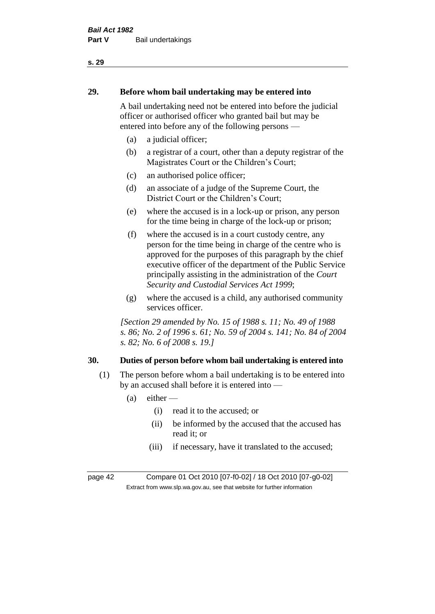# **29. Before whom bail undertaking may be entered into**

A bail undertaking need not be entered into before the judicial officer or authorised officer who granted bail but may be entered into before any of the following persons —

- (a) a judicial officer;
- (b) a registrar of a court, other than a deputy registrar of the Magistrates Court or the Children's Court;
- (c) an authorised police officer;
- (d) an associate of a judge of the Supreme Court, the District Court or the Children's Court;
- (e) where the accused is in a lock-up or prison, any person for the time being in charge of the lock-up or prison;
- (f) where the accused is in a court custody centre, any person for the time being in charge of the centre who is approved for the purposes of this paragraph by the chief executive officer of the department of the Public Service principally assisting in the administration of the *Court Security and Custodial Services Act 1999*;
- (g) where the accused is a child, any authorised community services officer.

*[Section 29 amended by No. 15 of 1988 s. 11; No. 49 of 1988 s. 86; No. 2 of 1996 s. 61; No. 59 of 2004 s. 141; No. 84 of 2004 s. 82; No. 6 of 2008 s. 19.]* 

# **30. Duties of person before whom bail undertaking is entered into**

- (1) The person before whom a bail undertaking is to be entered into by an accused shall before it is entered into —
	- $(a)$  either
		- (i) read it to the accused; or
		- (ii) be informed by the accused that the accused has read it; or
		- (iii) if necessary, have it translated to the accused;

page 42 Compare 01 Oct 2010 [07-f0-02] / 18 Oct 2010 [07-g0-02] Extract from www.slp.wa.gov.au, see that website for further information

### **s. 29**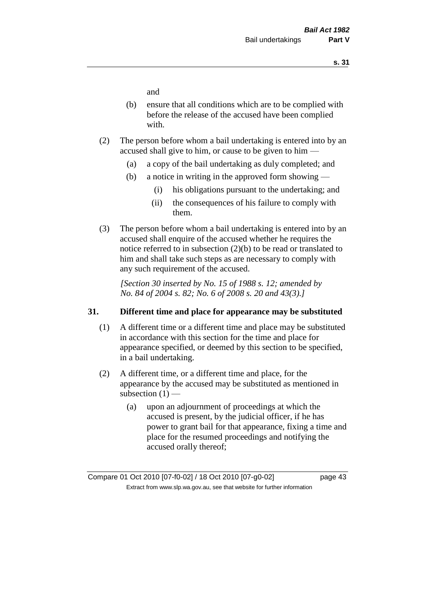and

- (b) ensure that all conditions which are to be complied with before the release of the accused have been complied with.
- (2) The person before whom a bail undertaking is entered into by an accused shall give to him, or cause to be given to him —
	- (a) a copy of the bail undertaking as duly completed; and
	- (b) a notice in writing in the approved form showing
		- (i) his obligations pursuant to the undertaking; and
		- (ii) the consequences of his failure to comply with them.
- (3) The person before whom a bail undertaking is entered into by an accused shall enquire of the accused whether he requires the notice referred to in subsection (2)(b) to be read or translated to him and shall take such steps as are necessary to comply with any such requirement of the accused.

*[Section 30 inserted by No. 15 of 1988 s. 12; amended by No. 84 of 2004 s. 82; No. 6 of 2008 s. 20 and 43(3).]* 

### **31. Different time and place for appearance may be substituted**

- (1) A different time or a different time and place may be substituted in accordance with this section for the time and place for appearance specified, or deemed by this section to be specified, in a bail undertaking.
- (2) A different time, or a different time and place, for the appearance by the accused may be substituted as mentioned in subsection  $(1)$  —
	- (a) upon an adjournment of proceedings at which the accused is present, by the judicial officer, if he has power to grant bail for that appearance, fixing a time and place for the resumed proceedings and notifying the accused orally thereof;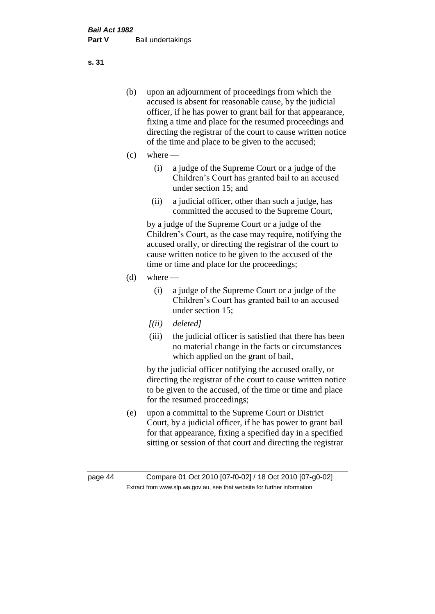- (b) upon an adjournment of proceedings from which the accused is absent for reasonable cause, by the judicial officer, if he has power to grant bail for that appearance, fixing a time and place for the resumed proceedings and directing the registrar of the court to cause written notice of the time and place to be given to the accused;
- (c) where
	- (i) a judge of the Supreme Court or a judge of the Children's Court has granted bail to an accused under section 15; and
	- (ii) a judicial officer, other than such a judge, has committed the accused to the Supreme Court,

by a judge of the Supreme Court or a judge of the Children's Court, as the case may require, notifying the accused orally, or directing the registrar of the court to cause written notice to be given to the accused of the time or time and place for the proceedings;

- $(d)$  where
	- (i) a judge of the Supreme Court or a judge of the Children's Court has granted bail to an accused under section 15;
	- *[(ii) deleted]*
	- (iii) the judicial officer is satisfied that there has been no material change in the facts or circumstances which applied on the grant of bail,

by the judicial officer notifying the accused orally, or directing the registrar of the court to cause written notice to be given to the accused, of the time or time and place for the resumed proceedings;

(e) upon a committal to the Supreme Court or District Court, by a judicial officer, if he has power to grant bail for that appearance, fixing a specified day in a specified sitting or session of that court and directing the registrar

**s. 31**

page 44 Compare 01 Oct 2010 [07-f0-02] / 18 Oct 2010 [07-g0-02] Extract from www.slp.wa.gov.au, see that website for further information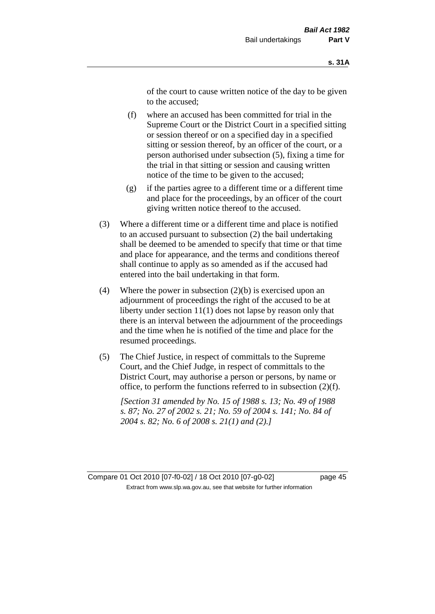of the court to cause written notice of the day to be given to the accused;

- (f) where an accused has been committed for trial in the Supreme Court or the District Court in a specified sitting or session thereof or on a specified day in a specified sitting or session thereof, by an officer of the court, or a person authorised under subsection (5), fixing a time for the trial in that sitting or session and causing written notice of the time to be given to the accused;
- (g) if the parties agree to a different time or a different time and place for the proceedings, by an officer of the court giving written notice thereof to the accused.
- (3) Where a different time or a different time and place is notified to an accused pursuant to subsection (2) the bail undertaking shall be deemed to be amended to specify that time or that time and place for appearance, and the terms and conditions thereof shall continue to apply as so amended as if the accused had entered into the bail undertaking in that form.
- (4) Where the power in subsection  $(2)(b)$  is exercised upon an adjournment of proceedings the right of the accused to be at liberty under section 11(1) does not lapse by reason only that there is an interval between the adjournment of the proceedings and the time when he is notified of the time and place for the resumed proceedings.
- (5) The Chief Justice, in respect of committals to the Supreme Court, and the Chief Judge, in respect of committals to the District Court, may authorise a person or persons, by name or office, to perform the functions referred to in subsection (2)(f).

*[Section 31 amended by No. 15 of 1988 s. 13; No. 49 of 1988 s. 87; No. 27 of 2002 s. 21; No. 59 of 2004 s. 141; No. 84 of 2004 s. 82; No. 6 of 2008 s. 21(1) and (2).]* 

Compare 01 Oct 2010 [07-f0-02] / 18 Oct 2010 [07-g0-02] page 45 Extract from www.slp.wa.gov.au, see that website for further information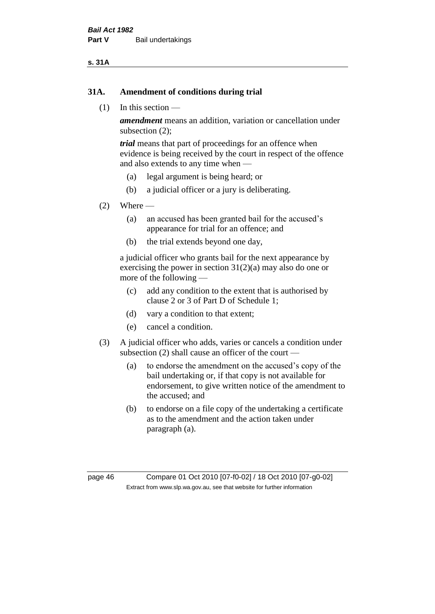### **s. 31A**

### **31A. Amendment of conditions during trial**

(1) In this section —

*amendment* means an addition, variation or cancellation under subsection (2);

*trial* means that part of proceedings for an offence when evidence is being received by the court in respect of the offence and also extends to any time when —

- (a) legal argument is being heard; or
- (b) a judicial officer or a jury is deliberating.

### $(2)$  Where —

- (a) an accused has been granted bail for the accused's appearance for trial for an offence; and
- (b) the trial extends beyond one day,

a judicial officer who grants bail for the next appearance by exercising the power in section  $31(2)(a)$  may also do one or more of the following —

- (c) add any condition to the extent that is authorised by clause 2 or 3 of Part D of Schedule 1;
- (d) vary a condition to that extent;
- (e) cancel a condition.
- (3) A judicial officer who adds, varies or cancels a condition under subsection (2) shall cause an officer of the court —
	- (a) to endorse the amendment on the accused's copy of the bail undertaking or, if that copy is not available for endorsement, to give written notice of the amendment to the accused; and
	- (b) to endorse on a file copy of the undertaking a certificate as to the amendment and the action taken under paragraph (a).

page 46 Compare 01 Oct 2010 [07-f0-02] / 18 Oct 2010 [07-g0-02] Extract from www.slp.wa.gov.au, see that website for further information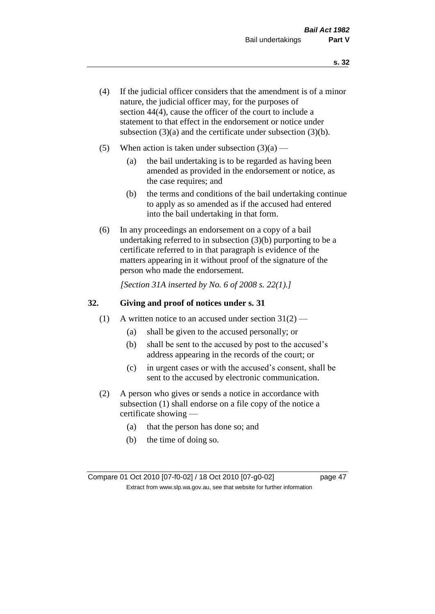- (4) If the judicial officer considers that the amendment is of a minor nature, the judicial officer may, for the purposes of section 44(4), cause the officer of the court to include a statement to that effect in the endorsement or notice under subsection (3)(a) and the certificate under subsection (3)(b).
- (5) When action is taken under subsection  $(3)(a)$ 
	- (a) the bail undertaking is to be regarded as having been amended as provided in the endorsement or notice, as the case requires; and
	- (b) the terms and conditions of the bail undertaking continue to apply as so amended as if the accused had entered into the bail undertaking in that form.
- (6) In any proceedings an endorsement on a copy of a bail undertaking referred to in subsection (3)(b) purporting to be a certificate referred to in that paragraph is evidence of the matters appearing in it without proof of the signature of the person who made the endorsement.

*[Section 31A inserted by No. 6 of 2008 s. 22(1).]*

### **32. Giving and proof of notices under s. 31**

- (1) A written notice to an accused under section  $31(2)$ 
	- (a) shall be given to the accused personally; or
	- (b) shall be sent to the accused by post to the accused's address appearing in the records of the court; or
	- (c) in urgent cases or with the accused's consent, shall be sent to the accused by electronic communication.
- (2) A person who gives or sends a notice in accordance with subsection (1) shall endorse on a file copy of the notice a certificate showing —
	- (a) that the person has done so; and
	- (b) the time of doing so.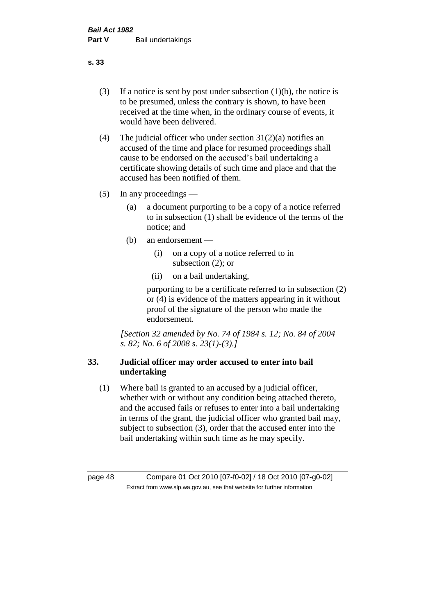- (3) If a notice is sent by post under subsection  $(1)(b)$ , the notice is to be presumed, unless the contrary is shown, to have been received at the time when, in the ordinary course of events, it would have been delivered.
- (4) The judicial officer who under section  $31(2)(a)$  notifies an accused of the time and place for resumed proceedings shall cause to be endorsed on the accused's bail undertaking a certificate showing details of such time and place and that the accused has been notified of them.
- (5) In any proceedings
	- (a) a document purporting to be a copy of a notice referred to in subsection (1) shall be evidence of the terms of the notice; and
	- (b) an endorsement
		- (i) on a copy of a notice referred to in subsection (2); or
		- (ii) on a bail undertaking,

purporting to be a certificate referred to in subsection (2) or (4) is evidence of the matters appearing in it without proof of the signature of the person who made the endorsement.

*[Section 32 amended by No. 74 of 1984 s. 12; No. 84 of 2004 s. 82; No. 6 of 2008 s. 23(1)-(3).]* 

# **33. Judicial officer may order accused to enter into bail undertaking**

(1) Where bail is granted to an accused by a judicial officer, whether with or without any condition being attached thereto, and the accused fails or refuses to enter into a bail undertaking in terms of the grant, the judicial officer who granted bail may, subject to subsection (3), order that the accused enter into the bail undertaking within such time as he may specify.

page 48 Compare 01 Oct 2010 [07-f0-02] / 18 Oct 2010 [07-g0-02] Extract from www.slp.wa.gov.au, see that website for further information

**s. 33**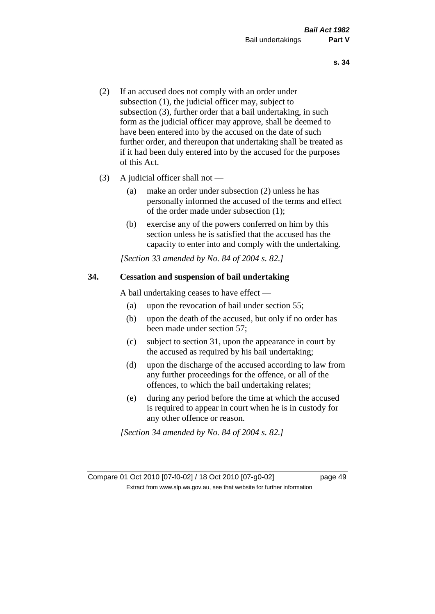- (2) If an accused does not comply with an order under subsection (1), the judicial officer may, subject to subsection (3), further order that a bail undertaking, in such form as the judicial officer may approve, shall be deemed to have been entered into by the accused on the date of such further order, and thereupon that undertaking shall be treated as if it had been duly entered into by the accused for the purposes of this Act.
- (3) A judicial officer shall not
	- (a) make an order under subsection (2) unless he has personally informed the accused of the terms and effect of the order made under subsection (1);
	- (b) exercise any of the powers conferred on him by this section unless he is satisfied that the accused has the capacity to enter into and comply with the undertaking.

*[Section 33 amended by No. 84 of 2004 s. 82.]* 

### **34. Cessation and suspension of bail undertaking**

A bail undertaking ceases to have effect —

- (a) upon the revocation of bail under section 55;
- (b) upon the death of the accused, but only if no order has been made under section 57;
- (c) subject to section 31, upon the appearance in court by the accused as required by his bail undertaking;
- (d) upon the discharge of the accused according to law from any further proceedings for the offence, or all of the offences, to which the bail undertaking relates;
- (e) during any period before the time at which the accused is required to appear in court when he is in custody for any other offence or reason.

*[Section 34 amended by No. 84 of 2004 s. 82.]* 

Compare 01 Oct 2010 [07-f0-02] / 18 Oct 2010 [07-g0-02] page 49 Extract from www.slp.wa.gov.au, see that website for further information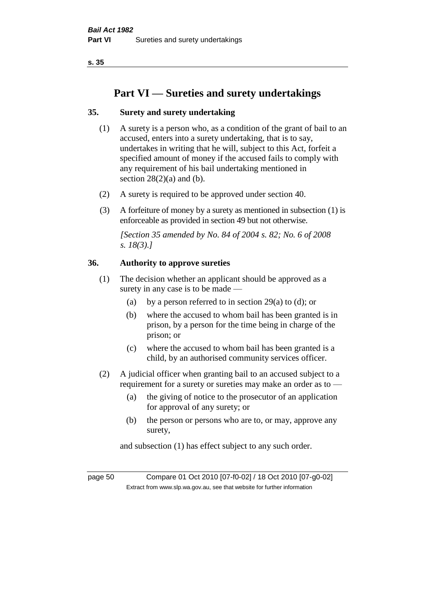# **Part VI — Sureties and surety undertakings**

# **35. Surety and surety undertaking**

- (1) A surety is a person who, as a condition of the grant of bail to an accused, enters into a surety undertaking, that is to say, undertakes in writing that he will, subject to this Act, forfeit a specified amount of money if the accused fails to comply with any requirement of his bail undertaking mentioned in section  $28(2)(a)$  and (b).
- (2) A surety is required to be approved under section 40.
- (3) A forfeiture of money by a surety as mentioned in subsection (1) is enforceable as provided in section 49 but not otherwise.

*[Section 35 amended by No. 84 of 2004 s. 82; No. 6 of 2008 s. 18(3).]* 

### **36. Authority to approve sureties**

- (1) The decision whether an applicant should be approved as a surety in any case is to be made —
	- (a) by a person referred to in section 29(a) to (d); or
	- (b) where the accused to whom bail has been granted is in prison, by a person for the time being in charge of the prison; or
	- (c) where the accused to whom bail has been granted is a child, by an authorised community services officer.
- (2) A judicial officer when granting bail to an accused subject to a requirement for a surety or sureties may make an order as to —
	- (a) the giving of notice to the prosecutor of an application for approval of any surety; or
	- (b) the person or persons who are to, or may, approve any surety,

and subsection (1) has effect subject to any such order.

page 50 Compare 01 Oct 2010 [07-f0-02] / 18 Oct 2010 [07-g0-02] Extract from www.slp.wa.gov.au, see that website for further information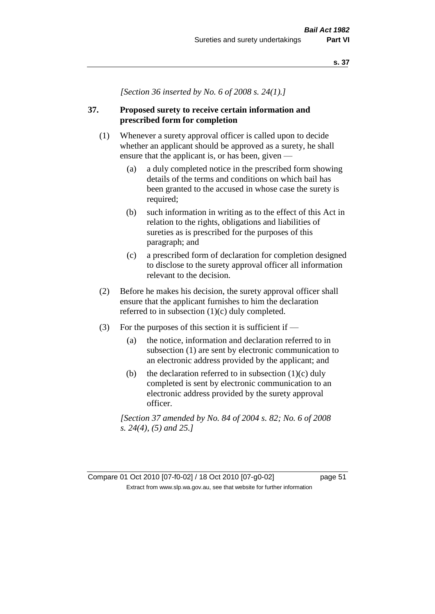*[Section 36 inserted by No. 6 of 2008 s. 24(1).]*

# **37. Proposed surety to receive certain information and prescribed form for completion**

- (1) Whenever a surety approval officer is called upon to decide whether an applicant should be approved as a surety, he shall ensure that the applicant is, or has been, given —
	- (a) a duly completed notice in the prescribed form showing details of the terms and conditions on which bail has been granted to the accused in whose case the surety is required;
	- (b) such information in writing as to the effect of this Act in relation to the rights, obligations and liabilities of sureties as is prescribed for the purposes of this paragraph; and
	- (c) a prescribed form of declaration for completion designed to disclose to the surety approval officer all information relevant to the decision.
- (2) Before he makes his decision, the surety approval officer shall ensure that the applicant furnishes to him the declaration referred to in subsection (1)(c) duly completed.
- (3) For the purposes of this section it is sufficient if  $-$ 
	- (a) the notice, information and declaration referred to in subsection (1) are sent by electronic communication to an electronic address provided by the applicant; and
	- (b) the declaration referred to in subsection  $(1)(c)$  duly completed is sent by electronic communication to an electronic address provided by the surety approval officer.

*[Section 37 amended by No. 84 of 2004 s. 82; No. 6 of 2008 s. 24(4), (5) and 25.]*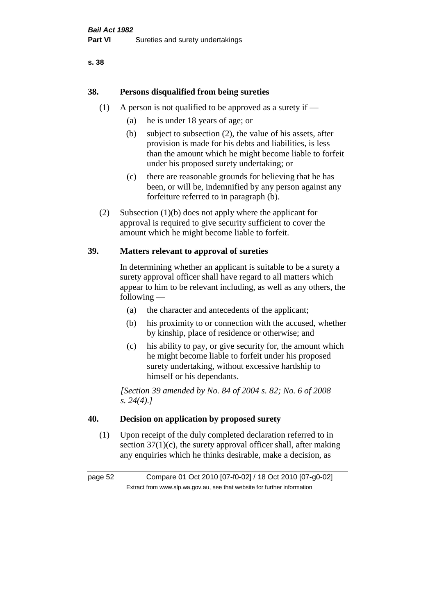# **38. Persons disqualified from being sureties**

- (1) A person is not qualified to be approved as a surety if  $-$ 
	- (a) he is under 18 years of age; or
	- (b) subject to subsection (2), the value of his assets, after provision is made for his debts and liabilities, is less than the amount which he might become liable to forfeit under his proposed surety undertaking; or
	- (c) there are reasonable grounds for believing that he has been, or will be, indemnified by any person against any forfeiture referred to in paragraph (b).
- (2) Subsection (1)(b) does not apply where the applicant for approval is required to give security sufficient to cover the amount which he might become liable to forfeit.

### **39. Matters relevant to approval of sureties**

In determining whether an applicant is suitable to be a surety a surety approval officer shall have regard to all matters which appear to him to be relevant including, as well as any others, the following —

- (a) the character and antecedents of the applicant;
- (b) his proximity to or connection with the accused, whether by kinship, place of residence or otherwise; and
- (c) his ability to pay, or give security for, the amount which he might become liable to forfeit under his proposed surety undertaking, without excessive hardship to himself or his dependants.

*[Section 39 amended by No. 84 of 2004 s. 82; No. 6 of 2008 s. 24(4).]* 

### **40. Decision on application by proposed surety**

(1) Upon receipt of the duly completed declaration referred to in section  $37(1)(c)$ , the surety approval officer shall, after making any enquiries which he thinks desirable, make a decision, as

page 52 Compare 01 Oct 2010 [07-f0-02] / 18 Oct 2010 [07-g0-02] Extract from www.slp.wa.gov.au, see that website for further information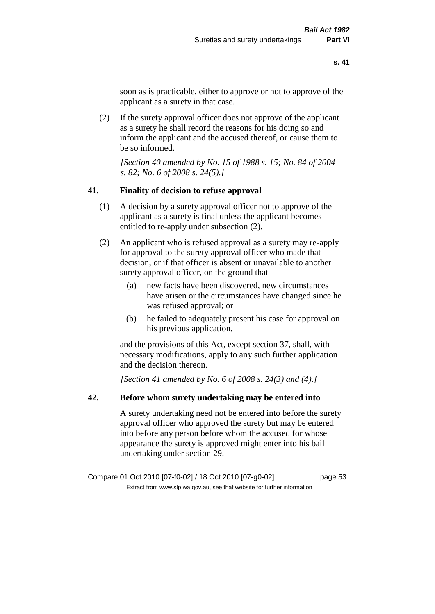soon as is practicable, either to approve or not to approve of the applicant as a surety in that case.

(2) If the surety approval officer does not approve of the applicant as a surety he shall record the reasons for his doing so and inform the applicant and the accused thereof, or cause them to be so informed.

*[Section 40 amended by No. 15 of 1988 s. 15; No. 84 of 2004 s. 82; No. 6 of 2008 s. 24(5).]* 

### **41. Finality of decision to refuse approval**

- (1) A decision by a surety approval officer not to approve of the applicant as a surety is final unless the applicant becomes entitled to re-apply under subsection (2).
- (2) An applicant who is refused approval as a surety may re-apply for approval to the surety approval officer who made that decision, or if that officer is absent or unavailable to another surety approval officer, on the ground that —
	- (a) new facts have been discovered, new circumstances have arisen or the circumstances have changed since he was refused approval; or
	- (b) he failed to adequately present his case for approval on his previous application,

and the provisions of this Act, except section 37, shall, with necessary modifications, apply to any such further application and the decision thereon.

*[Section 41 amended by No. 6 of 2008 s. 24(3) and (4).]*

### **42. Before whom surety undertaking may be entered into**

A surety undertaking need not be entered into before the surety approval officer who approved the surety but may be entered into before any person before whom the accused for whose appearance the surety is approved might enter into his bail undertaking under section 29.

Compare 01 Oct 2010 [07-f0-02] / 18 Oct 2010 [07-g0-02] page 53 Extract from www.slp.wa.gov.au, see that website for further information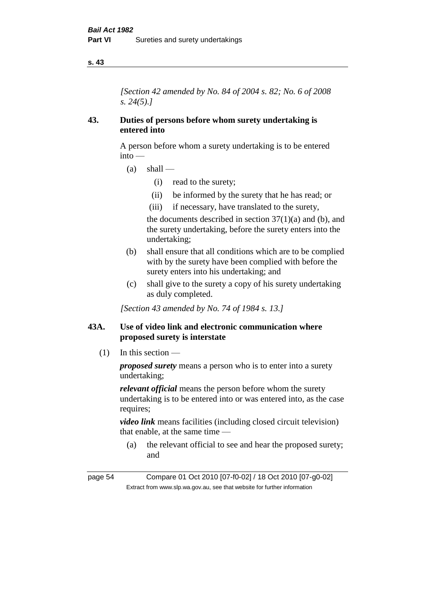*[Section 42 amended by No. 84 of 2004 s. 82; No. 6 of 2008 s. 24(5).]* 

### **43. Duties of persons before whom surety undertaking is entered into**

A person before whom a surety undertaking is to be entered into —

- $(a)$  shall
	- (i) read to the surety;
	- (ii) be informed by the surety that he has read; or
	- (iii) if necessary, have translated to the surety,

the documents described in section  $37(1)(a)$  and (b), and the surety undertaking, before the surety enters into the undertaking;

- (b) shall ensure that all conditions which are to be complied with by the surety have been complied with before the surety enters into his undertaking; and
- (c) shall give to the surety a copy of his surety undertaking as duly completed.

*[Section 43 amended by No. 74 of 1984 s. 13.]* 

## **43A. Use of video link and electronic communication where proposed surety is interstate**

(1) In this section —

*proposed surety* means a person who is to enter into a surety undertaking;

*relevant official* means the person before whom the surety undertaking is to be entered into or was entered into, as the case requires;

*video link* means facilities (including closed circuit television) that enable, at the same time —

(a) the relevant official to see and hear the proposed surety; and

page 54 Compare 01 Oct 2010 [07-f0-02] / 18 Oct 2010 [07-g0-02] Extract from www.slp.wa.gov.au, see that website for further information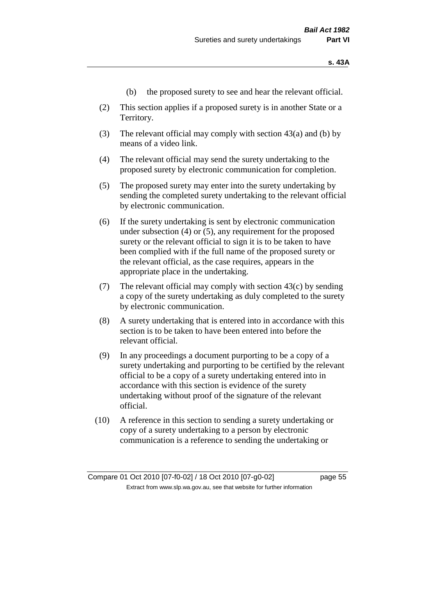- (b) the proposed surety to see and hear the relevant official.
- (2) This section applies if a proposed surety is in another State or a Territory.
- (3) The relevant official may comply with section 43(a) and (b) by means of a video link.
- (4) The relevant official may send the surety undertaking to the proposed surety by electronic communication for completion.
- (5) The proposed surety may enter into the surety undertaking by sending the completed surety undertaking to the relevant official by electronic communication.
- (6) If the surety undertaking is sent by electronic communication under subsection (4) or (5), any requirement for the proposed surety or the relevant official to sign it is to be taken to have been complied with if the full name of the proposed surety or the relevant official, as the case requires, appears in the appropriate place in the undertaking.
- (7) The relevant official may comply with section  $43(c)$  by sending a copy of the surety undertaking as duly completed to the surety by electronic communication.
- (8) A surety undertaking that is entered into in accordance with this section is to be taken to have been entered into before the relevant official.
- (9) In any proceedings a document purporting to be a copy of a surety undertaking and purporting to be certified by the relevant official to be a copy of a surety undertaking entered into in accordance with this section is evidence of the surety undertaking without proof of the signature of the relevant official.
- (10) A reference in this section to sending a surety undertaking or copy of a surety undertaking to a person by electronic communication is a reference to sending the undertaking or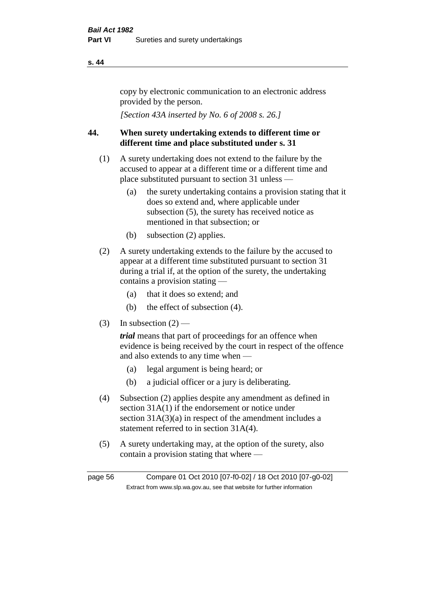copy by electronic communication to an electronic address provided by the person.

*[Section 43A inserted by No. 6 of 2008 s. 26.]*

# **44. When surety undertaking extends to different time or different time and place substituted under s. 31**

- (1) A surety undertaking does not extend to the failure by the accused to appear at a different time or a different time and place substituted pursuant to section 31 unless —
	- (a) the surety undertaking contains a provision stating that it does so extend and, where applicable under subsection (5), the surety has received notice as mentioned in that subsection; or
	- (b) subsection (2) applies.
- (2) A surety undertaking extends to the failure by the accused to appear at a different time substituted pursuant to section 31 during a trial if, at the option of the surety, the undertaking contains a provision stating —
	- (a) that it does so extend; and
	- (b) the effect of subsection (4).
- (3) In subsection  $(2)$  —

*trial* means that part of proceedings for an offence when evidence is being received by the court in respect of the offence and also extends to any time when —

- (a) legal argument is being heard; or
- (b) a judicial officer or a jury is deliberating.
- (4) Subsection (2) applies despite any amendment as defined in section 31A(1) if the endorsement or notice under section 31A(3)(a) in respect of the amendment includes a statement referred to in section 31A(4).
- (5) A surety undertaking may, at the option of the surety, also contain a provision stating that where —

page 56 Compare 01 Oct 2010 [07-f0-02] / 18 Oct 2010 [07-g0-02] Extract from www.slp.wa.gov.au, see that website for further information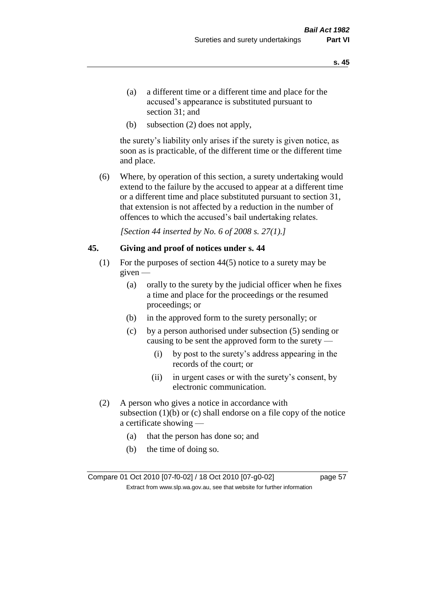- (a) a different time or a different time and place for the accused's appearance is substituted pursuant to section 31; and
- (b) subsection (2) does not apply,

the surety's liability only arises if the surety is given notice, as soon as is practicable, of the different time or the different time and place.

(6) Where, by operation of this section, a surety undertaking would extend to the failure by the accused to appear at a different time or a different time and place substituted pursuant to section 31, that extension is not affected by a reduction in the number of offences to which the accused's bail undertaking relates.

*[Section 44 inserted by No. 6 of 2008 s. 27(1).]*

### **45. Giving and proof of notices under s. 44**

- (1) For the purposes of section 44(5) notice to a surety may be given —
	- (a) orally to the surety by the judicial officer when he fixes a time and place for the proceedings or the resumed proceedings; or
	- (b) in the approved form to the surety personally; or
	- (c) by a person authorised under subsection (5) sending or causing to be sent the approved form to the surety —
		- (i) by post to the surety's address appearing in the records of the court; or
		- (ii) in urgent cases or with the surety's consent, by electronic communication.
- (2) A person who gives a notice in accordance with subsection  $(1)(b)$  or  $(c)$  shall endorse on a file copy of the notice a certificate showing —
	- (a) that the person has done so; and
	- (b) the time of doing so.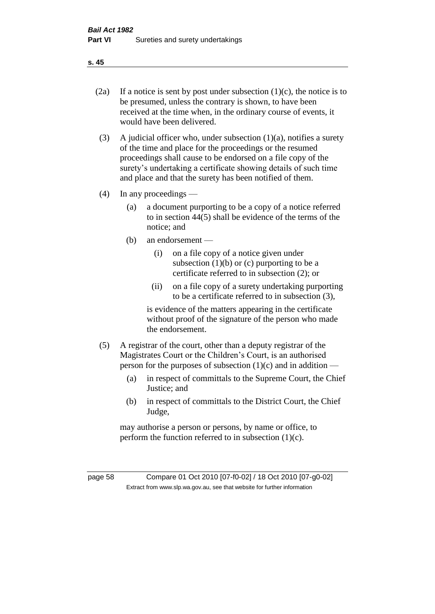- 
- (2a) If a notice is sent by post under subsection  $(1)(c)$ , the notice is to be presumed, unless the contrary is shown, to have been received at the time when, in the ordinary course of events, it would have been delivered.
- (3) A judicial officer who, under subsection  $(1)(a)$ , notifies a surety of the time and place for the proceedings or the resumed proceedings shall cause to be endorsed on a file copy of the surety's undertaking a certificate showing details of such time and place and that the surety has been notified of them.
- (4) In any proceedings
	- (a) a document purporting to be a copy of a notice referred to in section 44(5) shall be evidence of the terms of the notice; and
	- (b) an endorsement
		- (i) on a file copy of a notice given under subsection  $(1)(b)$  or  $(c)$  purporting to be a certificate referred to in subsection (2); or
		- (ii) on a file copy of a surety undertaking purporting to be a certificate referred to in subsection (3),

is evidence of the matters appearing in the certificate without proof of the signature of the person who made the endorsement.

- (5) A registrar of the court, other than a deputy registrar of the Magistrates Court or the Children's Court, is an authorised person for the purposes of subsection  $(1)(c)$  and in addition —
	- (a) in respect of committals to the Supreme Court, the Chief Justice; and
	- (b) in respect of committals to the District Court, the Chief Judge,

may authorise a person or persons, by name or office, to perform the function referred to in subsection  $(1)(c)$ .

page 58 Compare 01 Oct 2010 [07-f0-02] / 18 Oct 2010 [07-g0-02] Extract from www.slp.wa.gov.au, see that website for further information

**s. 45**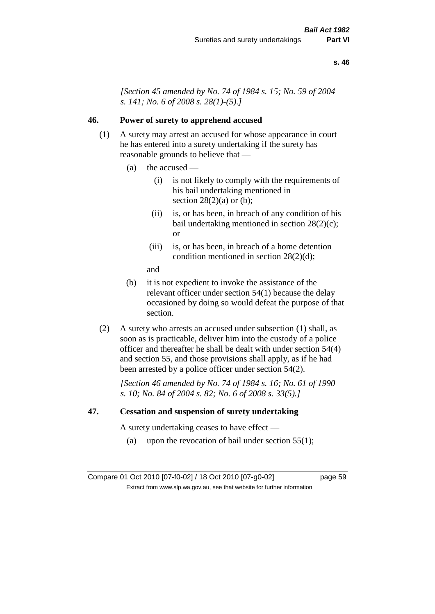*[Section 45 amended by No. 74 of 1984 s. 15; No. 59 of 2004 s. 141; No. 6 of 2008 s. 28(1)-(5).]* 

### **46. Power of surety to apprehend accused**

- (1) A surety may arrest an accused for whose appearance in court he has entered into a surety undertaking if the surety has reasonable grounds to believe that —
	- (a) the accused
		- (i) is not likely to comply with the requirements of his bail undertaking mentioned in section  $28(2)(a)$  or (b);
		- (ii) is, or has been, in breach of any condition of his bail undertaking mentioned in section 28(2)(c); or
		- (iii) is, or has been, in breach of a home detention condition mentioned in section 28(2)(d);
		- and
	- (b) it is not expedient to invoke the assistance of the relevant officer under section 54(1) because the delay occasioned by doing so would defeat the purpose of that section.
- (2) A surety who arrests an accused under subsection (1) shall, as soon as is practicable, deliver him into the custody of a police officer and thereafter he shall be dealt with under section 54(4) and section 55, and those provisions shall apply, as if he had been arrested by a police officer under section 54(2).

*[Section 46 amended by No. 74 of 1984 s. 16; No. 61 of 1990 s. 10; No. 84 of 2004 s. 82; No. 6 of 2008 s. 33(5).]* 

### **47. Cessation and suspension of surety undertaking**

A surety undertaking ceases to have effect —

(a) upon the revocation of bail under section  $55(1)$ ;

Compare 01 Oct 2010 [07-f0-02] / 18 Oct 2010 [07-g0-02] page 59 Extract from www.slp.wa.gov.au, see that website for further information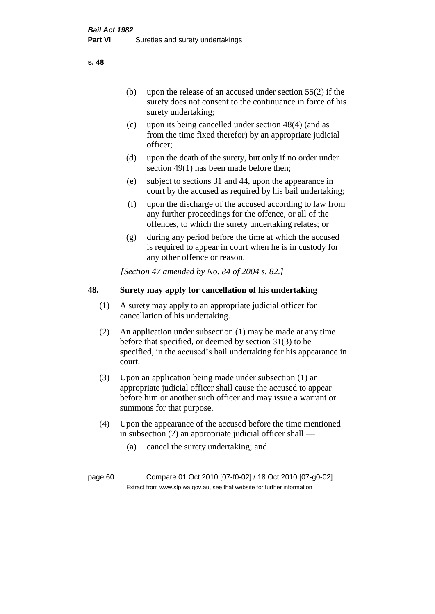(b) upon the release of an accused under section 55(2) if the surety does not consent to the continuance in force of his surety undertaking;

- (c) upon its being cancelled under section 48(4) (and as from the time fixed therefor) by an appropriate judicial officer;
- (d) upon the death of the surety, but only if no order under section 49(1) has been made before then;
- (e) subject to sections 31 and 44, upon the appearance in court by the accused as required by his bail undertaking;
- (f) upon the discharge of the accused according to law from any further proceedings for the offence, or all of the offences, to which the surety undertaking relates; or
- (g) during any period before the time at which the accused is required to appear in court when he is in custody for any other offence or reason.

*[Section 47 amended by No. 84 of 2004 s. 82.]* 

# **48. Surety may apply for cancellation of his undertaking**

- (1) A surety may apply to an appropriate judicial officer for cancellation of his undertaking.
- (2) An application under subsection (1) may be made at any time before that specified, or deemed by section 31(3) to be specified, in the accused's bail undertaking for his appearance in court.
- (3) Upon an application being made under subsection (1) an appropriate judicial officer shall cause the accused to appear before him or another such officer and may issue a warrant or summons for that purpose.
- (4) Upon the appearance of the accused before the time mentioned in subsection (2) an appropriate judicial officer shall —
	- (a) cancel the surety undertaking; and

page 60 Compare 01 Oct 2010 [07-f0-02] / 18 Oct 2010 [07-g0-02] Extract from www.slp.wa.gov.au, see that website for further information

**s. 48**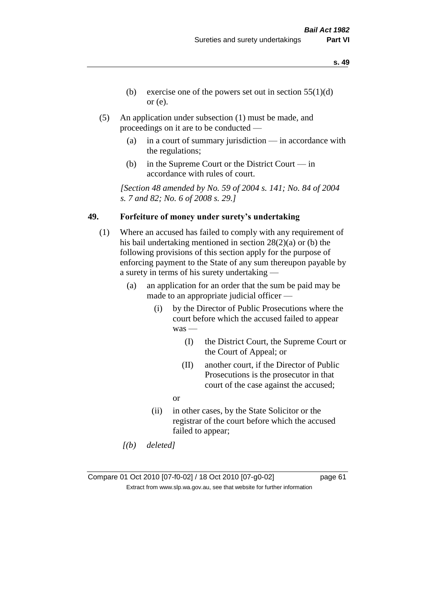- **s. 49**
- (b) exercise one of the powers set out in section  $55(1)(d)$ or (e).
- (5) An application under subsection (1) must be made, and proceedings on it are to be conducted —
	- (a) in a court of summary jurisdiction in accordance with the regulations;
	- (b) in the Supreme Court or the District Court in accordance with rules of court.

*[Section 48 amended by No. 59 of 2004 s. 141; No. 84 of 2004 s. 7 and 82; No. 6 of 2008 s. 29.]* 

## **49. Forfeiture of money under surety's undertaking**

- (1) Where an accused has failed to comply with any requirement of his bail undertaking mentioned in section 28(2)(a) or (b) the following provisions of this section apply for the purpose of enforcing payment to the State of any sum thereupon payable by a surety in terms of his surety undertaking —
	- (a) an application for an order that the sum be paid may be made to an appropriate judicial officer —
		- (i) by the Director of Public Prosecutions where the court before which the accused failed to appear was —
			- (I) the District Court, the Supreme Court or the Court of Appeal; or
			- (II) another court, if the Director of Public Prosecutions is the prosecutor in that court of the case against the accused;
			- or
		- (ii) in other cases, by the State Solicitor or the registrar of the court before which the accused failed to appear;
	- *[(b) deleted]*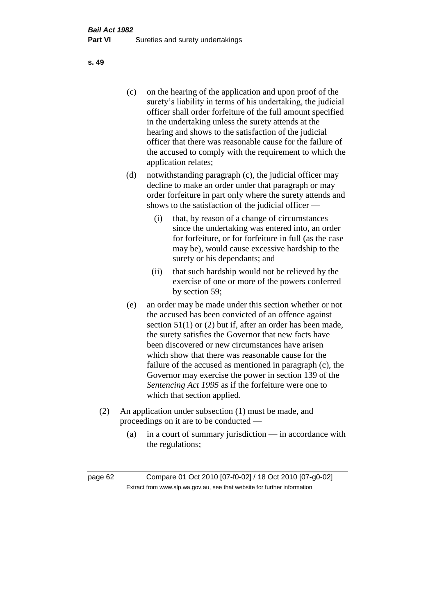(c) on the hearing of the application and upon proof of the surety's liability in terms of his undertaking, the judicial officer shall order forfeiture of the full amount specified in the undertaking unless the surety attends at the hearing and shows to the satisfaction of the judicial officer that there was reasonable cause for the failure of the accused to comply with the requirement to which the application relates;

- (d) notwithstanding paragraph (c), the judicial officer may decline to make an order under that paragraph or may order forfeiture in part only where the surety attends and shows to the satisfaction of the judicial officer —
	- (i) that, by reason of a change of circumstances since the undertaking was entered into, an order for forfeiture, or for forfeiture in full (as the case may be), would cause excessive hardship to the surety or his dependants; and
	- (ii) that such hardship would not be relieved by the exercise of one or more of the powers conferred by section 59;
- (e) an order may be made under this section whether or not the accused has been convicted of an offence against section 51(1) or (2) but if, after an order has been made, the surety satisfies the Governor that new facts have been discovered or new circumstances have arisen which show that there was reasonable cause for the failure of the accused as mentioned in paragraph (c), the Governor may exercise the power in section 139 of the *Sentencing Act 1995* as if the forfeiture were one to which that section applied.
- (2) An application under subsection (1) must be made, and proceedings on it are to be conducted —
	- (a) in a court of summary jurisdiction in accordance with the regulations;

**s. 49**

page 62 Compare 01 Oct 2010 [07-f0-02] / 18 Oct 2010 [07-g0-02] Extract from www.slp.wa.gov.au, see that website for further information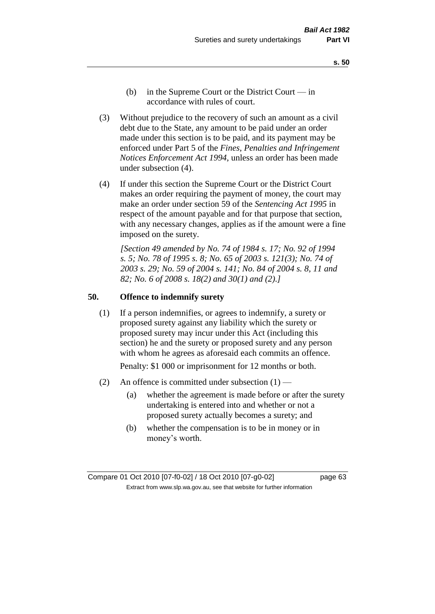- **s. 50**
- (b) in the Supreme Court or the District Court  $-\text{in}$ accordance with rules of court.
- (3) Without prejudice to the recovery of such an amount as a civil debt due to the State, any amount to be paid under an order made under this section is to be paid, and its payment may be enforced under Part 5 of the *Fines, Penalties and Infringement Notices Enforcement Act 1994*, unless an order has been made under subsection (4).
- (4) If under this section the Supreme Court or the District Court makes an order requiring the payment of money, the court may make an order under section 59 of the *Sentencing Act 1995* in respect of the amount payable and for that purpose that section, with any necessary changes, applies as if the amount were a fine imposed on the surety.

*[Section 49 amended by No. 74 of 1984 s. 17; No. 92 of 1994 s. 5; No. 78 of 1995 s. 8; No. 65 of 2003 s. 121(3); No. 74 of 2003 s. 29; No. 59 of 2004 s. 141; No. 84 of 2004 s. 8, 11 and 82; No. 6 of 2008 s. 18(2) and 30(1) and (2).]* 

### **50. Offence to indemnify surety**

(1) If a person indemnifies, or agrees to indemnify, a surety or proposed surety against any liability which the surety or proposed surety may incur under this Act (including this section) he and the surety or proposed surety and any person with whom he agrees as aforesaid each commits an offence.

Penalty: \$1 000 or imprisonment for 12 months or both.

- (2) An offence is committed under subsection  $(1)$ 
	- (a) whether the agreement is made before or after the surety undertaking is entered into and whether or not a proposed surety actually becomes a surety; and
	- (b) whether the compensation is to be in money or in money's worth.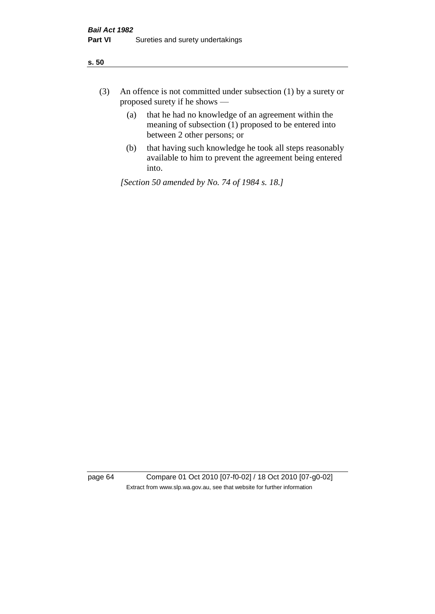- (3) An offence is not committed under subsection (1) by a surety or proposed surety if he shows —
	- (a) that he had no knowledge of an agreement within the meaning of subsection (1) proposed to be entered into between 2 other persons; or
	- (b) that having such knowledge he took all steps reasonably available to him to prevent the agreement being entered into.

*[Section 50 amended by No. 74 of 1984 s. 18.]* 

page 64 Compare 01 Oct 2010 [07-f0-02] / 18 Oct 2010 [07-g0-02] Extract from www.slp.wa.gov.au, see that website for further information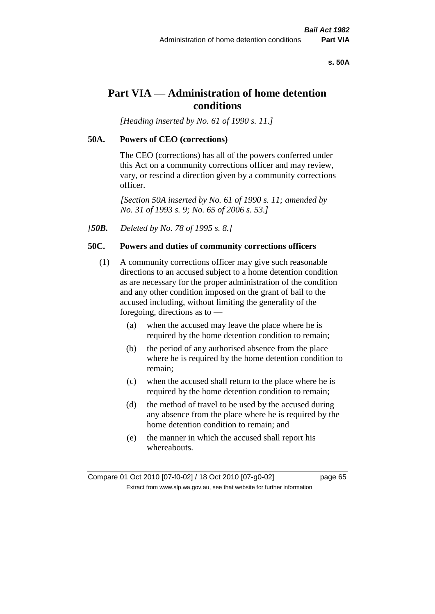### **s. 50A**

# **Part VIA — Administration of home detention conditions**

*[Heading inserted by No. 61 of 1990 s. 11.]* 

### **50A. Powers of CEO (corrections)**

The CEO (corrections) has all of the powers conferred under this Act on a community corrections officer and may review, vary, or rescind a direction given by a community corrections officer.

*[Section 50A inserted by No. 61 of 1990 s. 11; amended by No. 31 of 1993 s. 9; No. 65 of 2006 s. 53.]* 

*[50B. Deleted by No. 78 of 1995 s. 8.]* 

### **50C. Powers and duties of community corrections officers**

- (1) A community corrections officer may give such reasonable directions to an accused subject to a home detention condition as are necessary for the proper administration of the condition and any other condition imposed on the grant of bail to the accused including, without limiting the generality of the foregoing, directions as to —
	- (a) when the accused may leave the place where he is required by the home detention condition to remain;
	- (b) the period of any authorised absence from the place where he is required by the home detention condition to remain;
	- (c) when the accused shall return to the place where he is required by the home detention condition to remain;
	- (d) the method of travel to be used by the accused during any absence from the place where he is required by the home detention condition to remain; and
	- (e) the manner in which the accused shall report his whereabouts.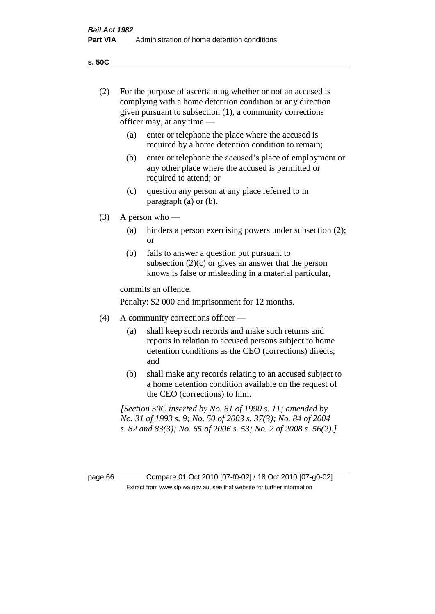**s. 50C**

| (2)     | For the purpose of ascertaining whether or not an accused is<br>complying with a home detention condition or any direction<br>given pursuant to subsection (1), a community corrections<br>officer may, at any time — |                                                                                                                                                                                              |  |
|---------|-----------------------------------------------------------------------------------------------------------------------------------------------------------------------------------------------------------------------|----------------------------------------------------------------------------------------------------------------------------------------------------------------------------------------------|--|
|         | (a)                                                                                                                                                                                                                   | enter or telephone the place where the accused is<br>required by a home detention condition to remain;                                                                                       |  |
|         | (b)                                                                                                                                                                                                                   | enter or telephone the accused's place of employment or<br>any other place where the accused is permitted or<br>required to attend; or                                                       |  |
|         | (c)                                                                                                                                                                                                                   | question any person at any place referred to in<br>paragraph $(a)$ or $(b)$ .                                                                                                                |  |
| (3)     | A person who $-$                                                                                                                                                                                                      |                                                                                                                                                                                              |  |
|         | (a)                                                                                                                                                                                                                   | hinders a person exercising powers under subsection (2);<br><sub>or</sub>                                                                                                                    |  |
|         | (b)                                                                                                                                                                                                                   | fails to answer a question put pursuant to<br>subsection $(2)(c)$ or gives an answer that the person<br>knows is false or misleading in a material particular,                               |  |
|         |                                                                                                                                                                                                                       | commits an offence.                                                                                                                                                                          |  |
|         |                                                                                                                                                                                                                       | Penalty: \$2 000 and imprisonment for 12 months.                                                                                                                                             |  |
| (4)     | A community corrections officer -                                                                                                                                                                                     |                                                                                                                                                                                              |  |
|         | (a)                                                                                                                                                                                                                   | shall keep such records and make such returns and<br>reports in relation to accused persons subject to home<br>detention conditions as the CEO (corrections) directs;<br>and                 |  |
|         | (b)                                                                                                                                                                                                                   | shall make any records relating to an accused subject to<br>a home detention condition available on the request of<br>the CEO (corrections) to him.                                          |  |
|         |                                                                                                                                                                                                                       | [Section 50C inserted by No. 61 of 1990 s. 11; amended by<br>No. 31 of 1993 s. 9; No. 50 of 2003 s. 37(3); No. 84 of 2004<br>s. 82 and 83(3); No. 65 of 2006 s. 53; No. 2 of 2008 s. 56(2).] |  |
|         |                                                                                                                                                                                                                       |                                                                                                                                                                                              |  |
| page 66 |                                                                                                                                                                                                                       | Compare 01 Oct 2010 [07-f0-02] / 18 Oct 2010 [07-g0-02]<br>Extract from www.slp.wa.gov.au, see that website for further information                                                          |  |
|         |                                                                                                                                                                                                                       |                                                                                                                                                                                              |  |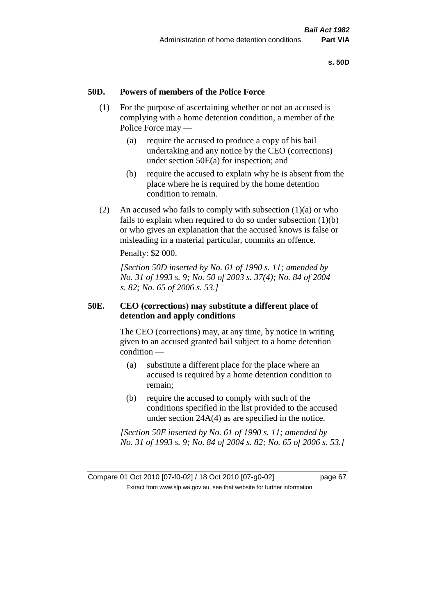### **50D. Powers of members of the Police Force**

- (1) For the purpose of ascertaining whether or not an accused is complying with a home detention condition, a member of the Police Force may —
	- (a) require the accused to produce a copy of his bail undertaking and any notice by the CEO (corrections) under section 50E(a) for inspection; and
	- (b) require the accused to explain why he is absent from the place where he is required by the home detention condition to remain.
- (2) An accused who fails to comply with subsection  $(1)(a)$  or who fails to explain when required to do so under subsection (1)(b) or who gives an explanation that the accused knows is false or misleading in a material particular, commits an offence.

Penalty: \$2 000.

*[Section 50D inserted by No. 61 of 1990 s. 11; amended by No. 31 of 1993 s. 9; No. 50 of 2003 s. 37(4); No. 84 of 2004 s. 82; No. 65 of 2006 s. 53.]* 

### **50E. CEO (corrections) may substitute a different place of detention and apply conditions**

The CEO (corrections) may, at any time, by notice in writing given to an accused granted bail subject to a home detention condition —

- (a) substitute a different place for the place where an accused is required by a home detention condition to remain;
- (b) require the accused to comply with such of the conditions specified in the list provided to the accused under section 24A(4) as are specified in the notice.

*[Section 50E inserted by No. 61 of 1990 s. 11; amended by No. 31 of 1993 s. 9; No. 84 of 2004 s. 82; No. 65 of 2006 s. 53.]*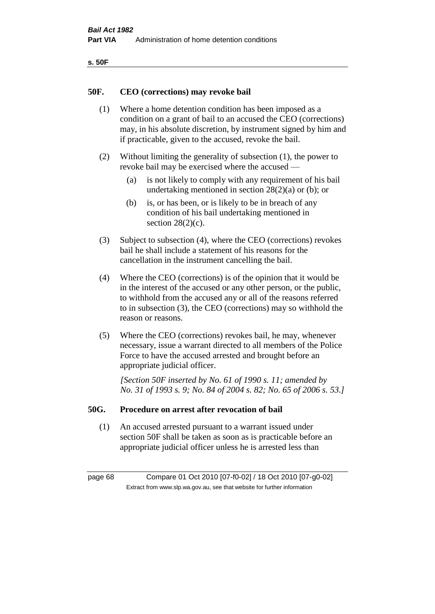| ۰.<br>×<br>-<br>۰.<br>× |  |
|-------------------------|--|
|-------------------------|--|

### **50F. CEO (corrections) may revoke bail**

- (1) Where a home detention condition has been imposed as a condition on a grant of bail to an accused the CEO (corrections) may, in his absolute discretion, by instrument signed by him and if practicable, given to the accused, revoke the bail.
- (2) Without limiting the generality of subsection (1), the power to revoke bail may be exercised where the accused —
	- (a) is not likely to comply with any requirement of his bail undertaking mentioned in section  $28(2)(a)$  or (b); or
	- (b) is, or has been, or is likely to be in breach of any condition of his bail undertaking mentioned in section  $28(2)(c)$ .
- (3) Subject to subsection (4), where the CEO (corrections) revokes bail he shall include a statement of his reasons for the cancellation in the instrument cancelling the bail.
- (4) Where the CEO (corrections) is of the opinion that it would be in the interest of the accused or any other person, or the public, to withhold from the accused any or all of the reasons referred to in subsection (3), the CEO (corrections) may so withhold the reason or reasons.
- (5) Where the CEO (corrections) revokes bail, he may, whenever necessary, issue a warrant directed to all members of the Police Force to have the accused arrested and brought before an appropriate judicial officer.

*[Section 50F inserted by No. 61 of 1990 s. 11; amended by No. 31 of 1993 s. 9; No. 84 of 2004 s. 82; No. 65 of 2006 s. 53.]* 

### **50G. Procedure on arrest after revocation of bail**

(1) An accused arrested pursuant to a warrant issued under section 50F shall be taken as soon as is practicable before an appropriate judicial officer unless he is arrested less than

page 68 Compare 01 Oct 2010 [07-f0-02] / 18 Oct 2010 [07-g0-02] Extract from www.slp.wa.gov.au, see that website for further information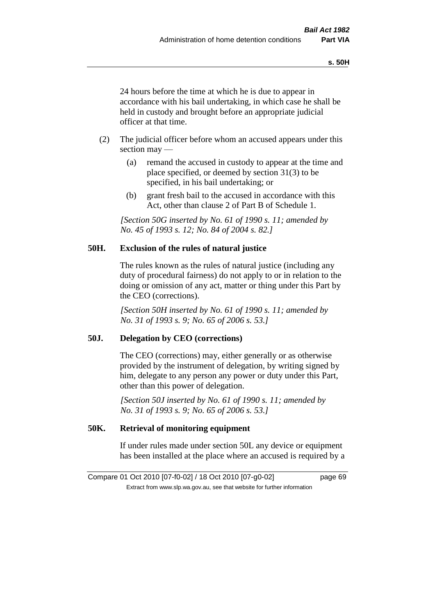24 hours before the time at which he is due to appear in accordance with his bail undertaking, in which case he shall be held in custody and brought before an appropriate judicial officer at that time.

- (2) The judicial officer before whom an accused appears under this section may —
	- (a) remand the accused in custody to appear at the time and place specified, or deemed by section 31(3) to be specified, in his bail undertaking; or
	- (b) grant fresh bail to the accused in accordance with this Act, other than clause 2 of Part B of Schedule 1.

*[Section 50G inserted by No. 61 of 1990 s. 11; amended by No. 45 of 1993 s. 12; No. 84 of 2004 s. 82.]* 

### **50H. Exclusion of the rules of natural justice**

The rules known as the rules of natural justice (including any duty of procedural fairness) do not apply to or in relation to the doing or omission of any act, matter or thing under this Part by the CEO (corrections).

*[Section 50H inserted by No. 61 of 1990 s. 11; amended by No. 31 of 1993 s. 9; No. 65 of 2006 s. 53.]* 

### **50J. Delegation by CEO (corrections)**

The CEO (corrections) may, either generally or as otherwise provided by the instrument of delegation, by writing signed by him, delegate to any person any power or duty under this Part, other than this power of delegation.

*[Section 50J inserted by No. 61 of 1990 s. 11; amended by No. 31 of 1993 s. 9; No. 65 of 2006 s. 53.]* 

## **50K. Retrieval of monitoring equipment**

If under rules made under section 50L any device or equipment has been installed at the place where an accused is required by a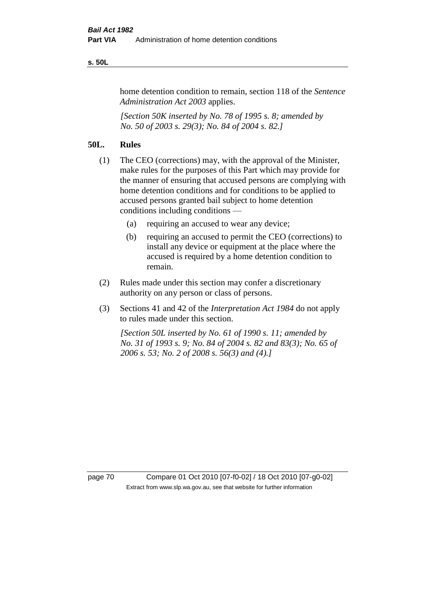### **s. 50L**

home detention condition to remain, section 118 of the *Sentence Administration Act 2003* applies.

*[Section 50K inserted by No. 78 of 1995 s. 8; amended by No. 50 of 2003 s. 29(3); No. 84 of 2004 s. 82.]* 

### **50L. Rules**

- (1) The CEO (corrections) may, with the approval of the Minister, make rules for the purposes of this Part which may provide for the manner of ensuring that accused persons are complying with home detention conditions and for conditions to be applied to accused persons granted bail subject to home detention conditions including conditions —
	- (a) requiring an accused to wear any device;
	- (b) requiring an accused to permit the CEO (corrections) to install any device or equipment at the place where the accused is required by a home detention condition to remain.
- (2) Rules made under this section may confer a discretionary authority on any person or class of persons.
- (3) Sections 41 and 42 of the *Interpretation Act 1984* do not apply to rules made under this section.

*[Section 50L inserted by No. 61 of 1990 s. 11; amended by No. 31 of 1993 s. 9; No. 84 of 2004 s. 82 and 83(3); No. 65 of 2006 s. 53; No. 2 of 2008 s. 56(3) and (4).]* 

page 70 Compare 01 Oct 2010 [07-f0-02] / 18 Oct 2010 [07-g0-02] Extract from www.slp.wa.gov.au, see that website for further information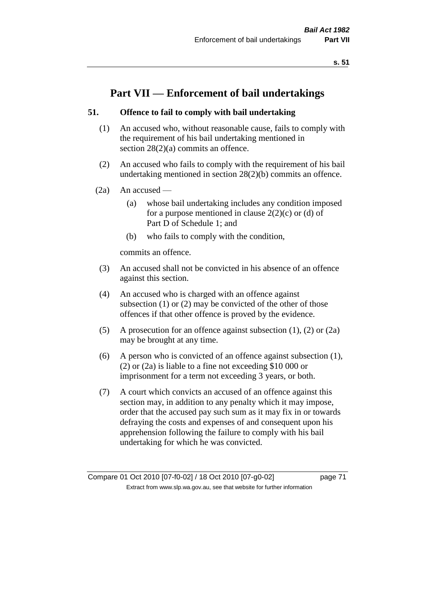# **Part VII — Enforcement of bail undertakings**

# **51. Offence to fail to comply with bail undertaking**

- (1) An accused who, without reasonable cause, fails to comply with the requirement of his bail undertaking mentioned in section 28(2)(a) commits an offence.
- (2) An accused who fails to comply with the requirement of his bail undertaking mentioned in section 28(2)(b) commits an offence.
- $(2a)$  An accused
	- (a) whose bail undertaking includes any condition imposed for a purpose mentioned in clause  $2(2)(c)$  or (d) of Part D of Schedule 1; and
	- (b) who fails to comply with the condition,

commits an offence.

- (3) An accused shall not be convicted in his absence of an offence against this section.
- (4) An accused who is charged with an offence against subsection (1) or (2) may be convicted of the other of those offences if that other offence is proved by the evidence.
- (5) A prosecution for an offence against subsection (1), (2) or (2a) may be brought at any time.
- (6) A person who is convicted of an offence against subsection (1), (2) or (2a) is liable to a fine not exceeding \$10 000 or imprisonment for a term not exceeding 3 years, or both.
- (7) A court which convicts an accused of an offence against this section may, in addition to any penalty which it may impose, order that the accused pay such sum as it may fix in or towards defraying the costs and expenses of and consequent upon his apprehension following the failure to comply with his bail undertaking for which he was convicted.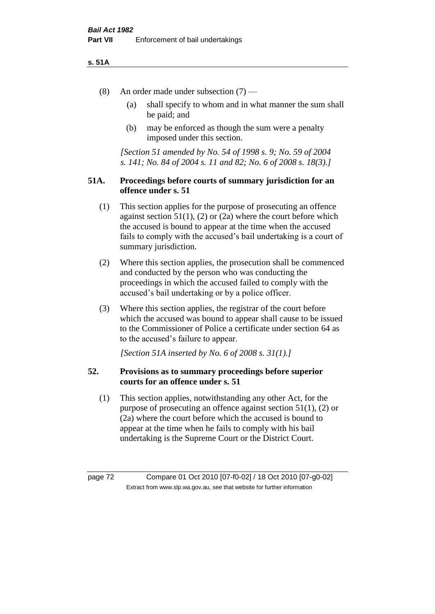### **s. 51A**

- (8) An order made under subsection (7)
	- (a) shall specify to whom and in what manner the sum shall be paid; and
	- (b) may be enforced as though the sum were a penalty imposed under this section.

*[Section 51 amended by No. 54 of 1998 s. 9; No. 59 of 2004 s. 141; No. 84 of 2004 s. 11 and 82; No. 6 of 2008 s. 18(3).]*

# **51A. Proceedings before courts of summary jurisdiction for an offence under s. 51**

- (1) This section applies for the purpose of prosecuting an offence against section  $51(1)$ ,  $(2)$  or  $(2a)$  where the court before which the accused is bound to appear at the time when the accused fails to comply with the accused's bail undertaking is a court of summary jurisdiction.
- (2) Where this section applies, the prosecution shall be commenced and conducted by the person who was conducting the proceedings in which the accused failed to comply with the accused's bail undertaking or by a police officer.
- (3) Where this section applies, the registrar of the court before which the accused was bound to appear shall cause to be issued to the Commissioner of Police a certificate under section 64 as to the accused's failure to appear.

*[Section 51A inserted by No. 6 of 2008 s. 31(1).]*

# **52. Provisions as to summary proceedings before superior courts for an offence under s. 51**

(1) This section applies, notwithstanding any other Act, for the purpose of prosecuting an offence against section 51(1), (2) or (2a) where the court before which the accused is bound to appear at the time when he fails to comply with his bail undertaking is the Supreme Court or the District Court.

page 72 Compare 01 Oct 2010 [07-f0-02] / 18 Oct 2010 [07-g0-02] Extract from www.slp.wa.gov.au, see that website for further information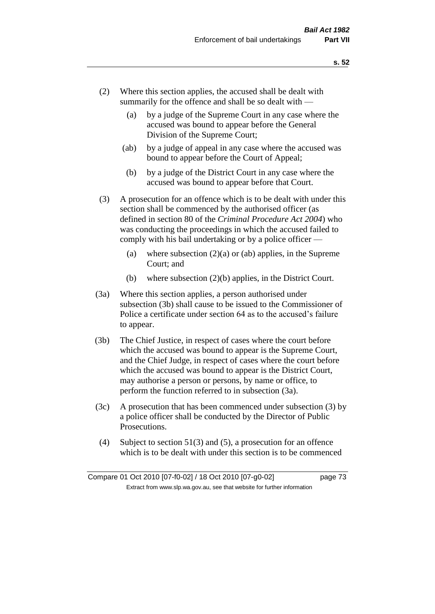- (2) Where this section applies, the accused shall be dealt with summarily for the offence and shall be so dealt with —
	- (a) by a judge of the Supreme Court in any case where the accused was bound to appear before the General Division of the Supreme Court;
	- (ab) by a judge of appeal in any case where the accused was bound to appear before the Court of Appeal;
	- (b) by a judge of the District Court in any case where the accused was bound to appear before that Court.
- (3) A prosecution for an offence which is to be dealt with under this section shall be commenced by the authorised officer (as defined in section 80 of the *Criminal Procedure Act 2004*) who was conducting the proceedings in which the accused failed to comply with his bail undertaking or by a police officer —
	- (a) where subsection  $(2)(a)$  or (ab) applies, in the Supreme Court; and
	- (b) where subsection (2)(b) applies, in the District Court.
- (3a) Where this section applies, a person authorised under subsection (3b) shall cause to be issued to the Commissioner of Police a certificate under section 64 as to the accused's failure to appear.
- (3b) The Chief Justice, in respect of cases where the court before which the accused was bound to appear is the Supreme Court, and the Chief Judge, in respect of cases where the court before which the accused was bound to appear is the District Court, may authorise a person or persons, by name or office, to perform the function referred to in subsection (3a).
- (3c) A prosecution that has been commenced under subsection (3) by a police officer shall be conducted by the Director of Public Prosecutions.
- (4) Subject to section 51(3) and (5), a prosecution for an offence which is to be dealt with under this section is to be commenced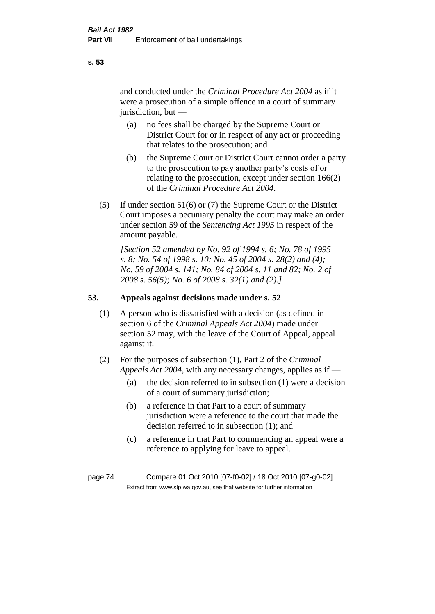and conducted under the *Criminal Procedure Act 2004* as if it were a prosecution of a simple offence in a court of summary jurisdiction, but —

- (a) no fees shall be charged by the Supreme Court or District Court for or in respect of any act or proceeding that relates to the prosecution; and
- (b) the Supreme Court or District Court cannot order a party to the prosecution to pay another party's costs of or relating to the prosecution, except under section 166(2) of the *Criminal Procedure Act 2004*.
- (5) If under section 51(6) or (7) the Supreme Court or the District Court imposes a pecuniary penalty the court may make an order under section 59 of the *Sentencing Act 1995* in respect of the amount payable.

*[Section 52 amended by No. 92 of 1994 s. 6; No. 78 of 1995 s. 8; No. 54 of 1998 s. 10; No. 45 of 2004 s. 28(2) and (4); No. 59 of 2004 s. 141; No. 84 of 2004 s. 11 and 82; No. 2 of 2008 s. 56(5); No. 6 of 2008 s. 32(1) and (2).]* 

# **53. Appeals against decisions made under s. 52**

- (1) A person who is dissatisfied with a decision (as defined in section 6 of the *Criminal Appeals Act 2004*) made under section 52 may, with the leave of the Court of Appeal, appeal against it.
- (2) For the purposes of subsection (1), Part 2 of the *Criminal Appeals Act 2004*, with any necessary changes, applies as if —
	- (a) the decision referred to in subsection (1) were a decision of a court of summary jurisdiction;
	- (b) a reference in that Part to a court of summary jurisdiction were a reference to the court that made the decision referred to in subsection (1); and
	- (c) a reference in that Part to commencing an appeal were a reference to applying for leave to appeal.

page 74 Compare 01 Oct 2010 [07-f0-02] / 18 Oct 2010 [07-g0-02] Extract from www.slp.wa.gov.au, see that website for further information

**s. 53**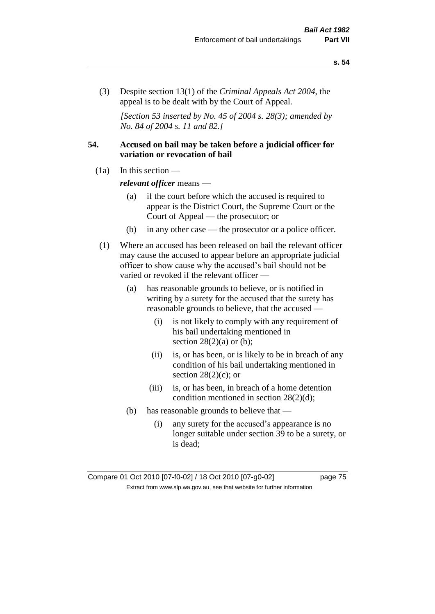(3) Despite section 13(1) of the *Criminal Appeals Act 2004*, the appeal is to be dealt with by the Court of Appeal.

*[Section 53 inserted by No. 45 of 2004 s. 28(3); amended by No. 84 of 2004 s. 11 and 82.]*

# **54. Accused on bail may be taken before a judicial officer for variation or revocation of bail**

(1a) In this section —

*relevant officer* means —

- (a) if the court before which the accused is required to appear is the District Court, the Supreme Court or the Court of Appeal — the prosecutor; or
- (b) in any other case the prosecutor or a police officer.
- (1) Where an accused has been released on bail the relevant officer may cause the accused to appear before an appropriate judicial officer to show cause why the accused's bail should not be varied or revoked if the relevant officer —
	- (a) has reasonable grounds to believe, or is notified in writing by a surety for the accused that the surety has reasonable grounds to believe, that the accused —
		- (i) is not likely to comply with any requirement of his bail undertaking mentioned in section  $28(2)(a)$  or (b);
		- (ii) is, or has been, or is likely to be in breach of any condition of his bail undertaking mentioned in section  $28(2)(c)$ ; or
		- (iii) is, or has been, in breach of a home detention condition mentioned in section 28(2)(d);
	- (b) has reasonable grounds to believe that
		- (i) any surety for the accused's appearance is no longer suitable under section 39 to be a surety, or is dead;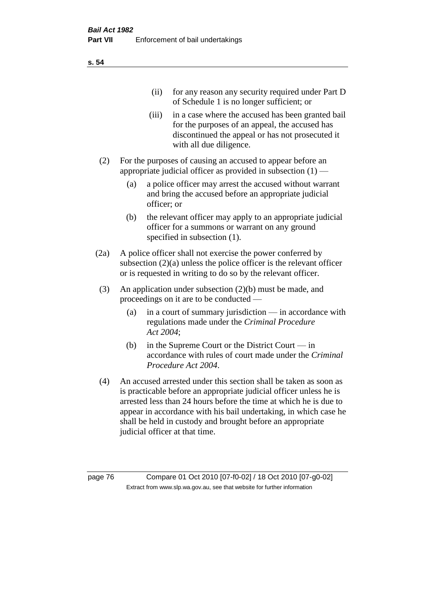| (11)  | for any reason any security required under Part D<br>of Schedule 1 is no longer sufficient; or                                                                                     |
|-------|------------------------------------------------------------------------------------------------------------------------------------------------------------------------------------|
| (iii) | in a case where the accused has been granted bail<br>for the purposes of an appeal, the accused has<br>discontinued the appeal or has not prosecuted it<br>with all due diligence. |

- (2) For the purposes of causing an accused to appear before an appropriate judicial officer as provided in subsection  $(1)$  —
	- (a) a police officer may arrest the accused without warrant and bring the accused before an appropriate judicial officer; or
	- (b) the relevant officer may apply to an appropriate judicial officer for a summons or warrant on any ground specified in subsection  $(1)$ .
- (2a) A police officer shall not exercise the power conferred by subsection (2)(a) unless the police officer is the relevant officer or is requested in writing to do so by the relevant officer.
- (3) An application under subsection (2)(b) must be made, and proceedings on it are to be conducted —
	- (a) in a court of summary jurisdiction in accordance with regulations made under the *Criminal Procedure Act 2004*;
	- (b) in the Supreme Court or the District Court in accordance with rules of court made under the *Criminal Procedure Act 2004*.
- (4) An accused arrested under this section shall be taken as soon as is practicable before an appropriate judicial officer unless he is arrested less than 24 hours before the time at which he is due to appear in accordance with his bail undertaking, in which case he shall be held in custody and brought before an appropriate judicial officer at that time.

page 76 Compare 01 Oct 2010 [07-f0-02] / 18 Oct 2010 [07-g0-02] Extract from www.slp.wa.gov.au, see that website for further information

**s. 54**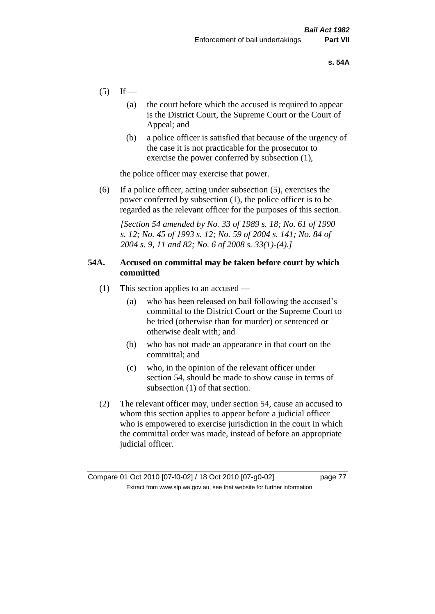- $(5)$  If
	- (a) the court before which the accused is required to appear is the District Court, the Supreme Court or the Court of Appeal; and
	- (b) a police officer is satisfied that because of the urgency of the case it is not practicable for the prosecutor to exercise the power conferred by subsection (1),

the police officer may exercise that power.

(6) If a police officer, acting under subsection (5), exercises the power conferred by subsection (1), the police officer is to be regarded as the relevant officer for the purposes of this section.

*[Section 54 amended by No. 33 of 1989 s. 18; No. 61 of 1990 s. 12; No. 45 of 1993 s. 12; No. 59 of 2004 s. 141; No. 84 of 2004 s. 9, 11 and 82; No. 6 of 2008 s. 33(1)-(4).]* 

# **54A. Accused on committal may be taken before court by which committed**

- (1) This section applies to an accused
	- (a) who has been released on bail following the accused's committal to the District Court or the Supreme Court to be tried (otherwise than for murder) or sentenced or otherwise dealt with; and
	- (b) who has not made an appearance in that court on the committal; and
	- (c) who, in the opinion of the relevant officer under section 54, should be made to show cause in terms of subsection (1) of that section.
- (2) The relevant officer may, under section 54, cause an accused to whom this section applies to appear before a judicial officer who is empowered to exercise jurisdiction in the court in which the committal order was made, instead of before an appropriate judicial officer.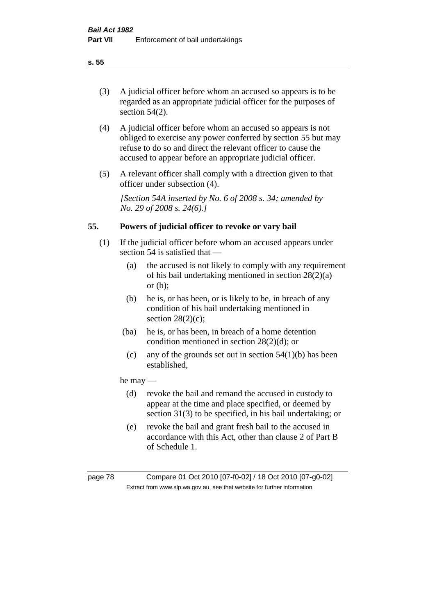(3) A judicial officer before whom an accused so appears is to be regarded as an appropriate judicial officer for the purposes of section 54(2).

- (4) A judicial officer before whom an accused so appears is not obliged to exercise any power conferred by section 55 but may refuse to do so and direct the relevant officer to cause the accused to appear before an appropriate judicial officer.
- (5) A relevant officer shall comply with a direction given to that officer under subsection (4).

*[Section 54A inserted by No. 6 of 2008 s. 34; amended by No. 29 of 2008 s. 24(6).]*

# **55. Powers of judicial officer to revoke or vary bail**

- (1) If the judicial officer before whom an accused appears under section 54 is satisfied that —
	- (a) the accused is not likely to comply with any requirement of his bail undertaking mentioned in section 28(2)(a) or (b);
	- (b) he is, or has been, or is likely to be, in breach of any condition of his bail undertaking mentioned in section  $28(2)(c)$ ;
	- (ba) he is, or has been, in breach of a home detention condition mentioned in section 28(2)(d); or
		- (c) any of the grounds set out in section  $54(1)(b)$  has been established,

# he may —

- (d) revoke the bail and remand the accused in custody to appear at the time and place specified, or deemed by section 31(3) to be specified, in his bail undertaking; or
- (e) revoke the bail and grant fresh bail to the accused in accordance with this Act, other than clause 2 of Part B of Schedule 1.

page 78 Compare 01 Oct 2010 [07-f0-02] / 18 Oct 2010 [07-g0-02] Extract from www.slp.wa.gov.au, see that website for further information

**s. 55**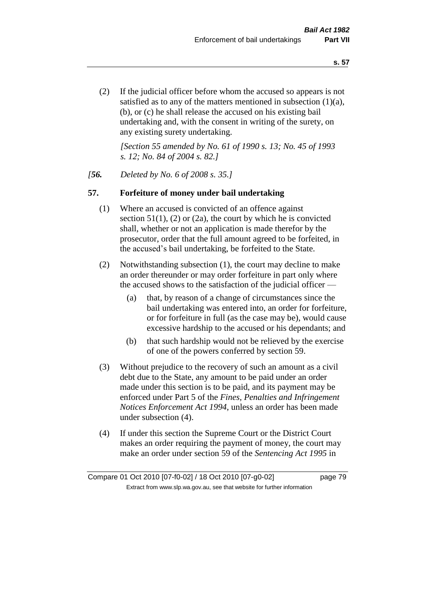(2) If the judicial officer before whom the accused so appears is not satisfied as to any of the matters mentioned in subsection (1)(a), (b), or (c) he shall release the accused on his existing bail undertaking and, with the consent in writing of the surety, on any existing surety undertaking.

*[Section 55 amended by No. 61 of 1990 s. 13; No. 45 of 1993 s. 12; No. 84 of 2004 s. 82.]* 

# *[56. Deleted by No. 6 of 2008 s. 35.]*

# **57. Forfeiture of money under bail undertaking**

- (1) Where an accused is convicted of an offence against section  $51(1)$ , (2) or (2a), the court by which he is convicted shall, whether or not an application is made therefor by the prosecutor, order that the full amount agreed to be forfeited, in the accused's bail undertaking, be forfeited to the State.
- (2) Notwithstanding subsection (1), the court may decline to make an order thereunder or may order forfeiture in part only where the accused shows to the satisfaction of the judicial officer —
	- (a) that, by reason of a change of circumstances since the bail undertaking was entered into, an order for forfeiture, or for forfeiture in full (as the case may be), would cause excessive hardship to the accused or his dependants; and
	- (b) that such hardship would not be relieved by the exercise of one of the powers conferred by section 59.
- (3) Without prejudice to the recovery of such an amount as a civil debt due to the State, any amount to be paid under an order made under this section is to be paid, and its payment may be enforced under Part 5 of the *Fines, Penalties and Infringement Notices Enforcement Act 1994*, unless an order has been made under subsection (4).
- (4) If under this section the Supreme Court or the District Court makes an order requiring the payment of money, the court may make an order under section 59 of the *Sentencing Act 1995* in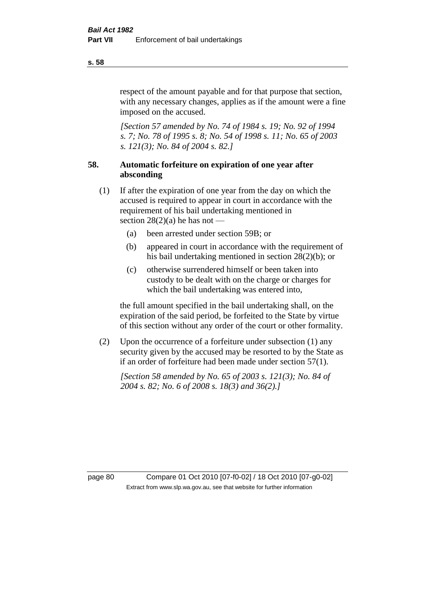respect of the amount payable and for that purpose that section, with any necessary changes, applies as if the amount were a fine imposed on the accused.

*[Section 57 amended by No. 74 of 1984 s. 19; No. 92 of 1994 s. 7; No. 78 of 1995 s. 8; No. 54 of 1998 s. 11; No. 65 of 2003 s. 121(3); No. 84 of 2004 s. 82.]* 

# **58. Automatic forfeiture on expiration of one year after absconding**

- (1) If after the expiration of one year from the day on which the accused is required to appear in court in accordance with the requirement of his bail undertaking mentioned in section  $28(2)(a)$  he has not —
	- (a) been arrested under section 59B; or
	- (b) appeared in court in accordance with the requirement of his bail undertaking mentioned in section 28(2)(b); or
	- (c) otherwise surrendered himself or been taken into custody to be dealt with on the charge or charges for which the bail undertaking was entered into,

the full amount specified in the bail undertaking shall, on the expiration of the said period, be forfeited to the State by virtue of this section without any order of the court or other formality.

(2) Upon the occurrence of a forfeiture under subsection (1) any security given by the accused may be resorted to by the State as if an order of forfeiture had been made under section 57(1).

*[Section 58 amended by No. 65 of 2003 s. 121(3); No. 84 of 2004 s. 82; No. 6 of 2008 s. 18(3) and 36(2).]*

page 80 Compare 01 Oct 2010 [07-f0-02] / 18 Oct 2010 [07-g0-02] Extract from www.slp.wa.gov.au, see that website for further information

#### **s. 58**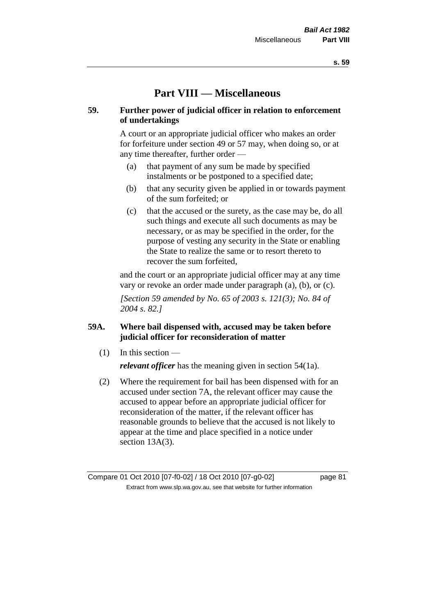# **Part VIII — Miscellaneous**

# **59. Further power of judicial officer in relation to enforcement of undertakings**

A court or an appropriate judicial officer who makes an order for forfeiture under section 49 or 57 may, when doing so, or at any time thereafter, further order —

- (a) that payment of any sum be made by specified instalments or be postponed to a specified date;
- (b) that any security given be applied in or towards payment of the sum forfeited; or
- (c) that the accused or the surety, as the case may be, do all such things and execute all such documents as may be necessary, or as may be specified in the order, for the purpose of vesting any security in the State or enabling the State to realize the same or to resort thereto to recover the sum forfeited,

and the court or an appropriate judicial officer may at any time vary or revoke an order made under paragraph (a), (b), or (c).

*[Section 59 amended by No. 65 of 2003 s. 121(3); No. 84 of 2004 s. 82.]*

# **59A. Where bail dispensed with, accused may be taken before judicial officer for reconsideration of matter**

- $(1)$  In this section *relevant officer* has the meaning given in section 54(1a).
- (2) Where the requirement for bail has been dispensed with for an accused under section 7A, the relevant officer may cause the accused to appear before an appropriate judicial officer for reconsideration of the matter, if the relevant officer has reasonable grounds to believe that the accused is not likely to appear at the time and place specified in a notice under section 13A(3).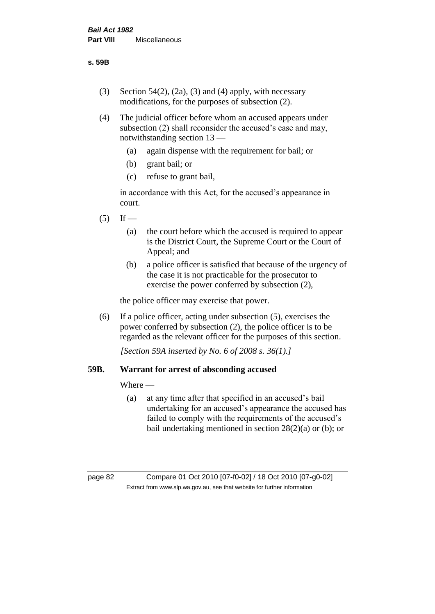- (3) Section 54(2), (2a), (3) and (4) apply, with necessary modifications, for the purposes of subsection (2).
- (4) The judicial officer before whom an accused appears under subsection (2) shall reconsider the accused's case and may, notwithstanding section 13 —
	- (a) again dispense with the requirement for bail; or
	- (b) grant bail; or
	- (c) refuse to grant bail,

in accordance with this Act, for the accused's appearance in court.

- $(5)$  If
	- (a) the court before which the accused is required to appear is the District Court, the Supreme Court or the Court of Appeal; and
	- (b) a police officer is satisfied that because of the urgency of the case it is not practicable for the prosecutor to exercise the power conferred by subsection (2),

the police officer may exercise that power.

(6) If a police officer, acting under subsection (5), exercises the power conferred by subsection (2), the police officer is to be regarded as the relevant officer for the purposes of this section.

*[Section 59A inserted by No. 6 of 2008 s. 36(1).]*

# **59B. Warrant for arrest of absconding accused**

Where —

(a) at any time after that specified in an accused's bail undertaking for an accused's appearance the accused has failed to comply with the requirements of the accused's bail undertaking mentioned in section 28(2)(a) or (b); or

page 82 Compare 01 Oct 2010 [07-f0-02] / 18 Oct 2010 [07-g0-02] Extract from www.slp.wa.gov.au, see that website for further information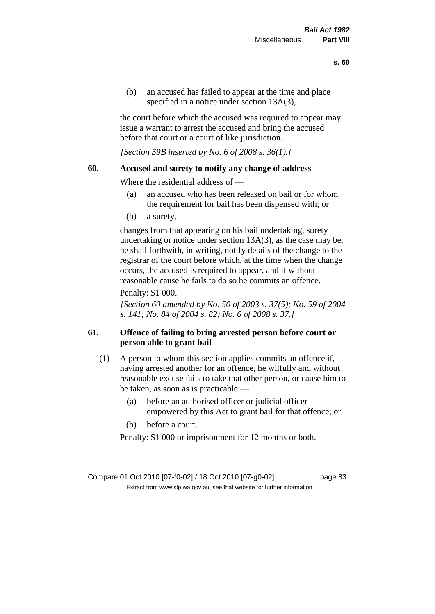(b) an accused has failed to appear at the time and place specified in a notice under section 13A(3).

the court before which the accused was required to appear may issue a warrant to arrest the accused and bring the accused before that court or a court of like jurisdiction.

*[Section 59B inserted by No. 6 of 2008 s. 36(1).]*

# **60. Accused and surety to notify any change of address**

Where the residential address of —

- (a) an accused who has been released on bail or for whom the requirement for bail has been dispensed with; or
- (b) a surety,

changes from that appearing on his bail undertaking, surety undertaking or notice under section 13A(3), as the case may be, he shall forthwith, in writing, notify details of the change to the registrar of the court before which, at the time when the change occurs, the accused is required to appear, and if without reasonable cause he fails to do so he commits an offence.

### Penalty: \$1 000.

*[Section 60 amended by No. 50 of 2003 s. 37(5); No. 59 of 2004 s. 141; No. 84 of 2004 s. 82; No. 6 of 2008 s. 37.]*

# **61. Offence of failing to bring arrested person before court or person able to grant bail**

- (1) A person to whom this section applies commits an offence if, having arrested another for an offence, he wilfully and without reasonable excuse fails to take that other person, or cause him to be taken, as soon as is practicable —
	- (a) before an authorised officer or judicial officer empowered by this Act to grant bail for that offence; or
	- (b) before a court.

Penalty: \$1 000 or imprisonment for 12 months or both.

Compare 01 Oct 2010 [07-f0-02] / 18 Oct 2010 [07-g0-02] page 83 Extract from www.slp.wa.gov.au, see that website for further information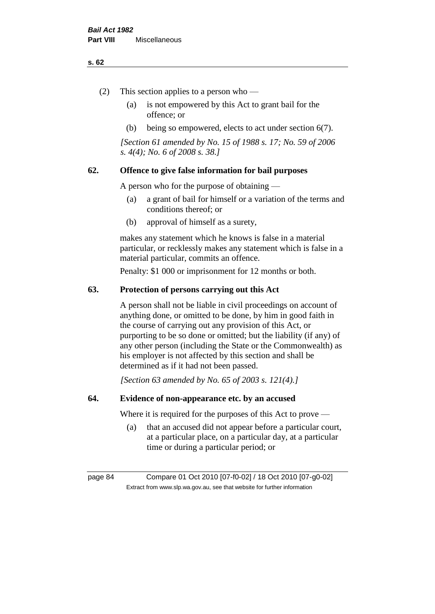#### **s. 62**

- (2) This section applies to a person who
	- (a) is not empowered by this Act to grant bail for the offence; or
	- (b) being so empowered, elects to act under section 6(7).

*[Section 61 amended by No. 15 of 1988 s. 17; No. 59 of 2006 s. 4(4); No. 6 of 2008 s. 38.]* 

# **62. Offence to give false information for bail purposes**

A person who for the purpose of obtaining —

- (a) a grant of bail for himself or a variation of the terms and conditions thereof; or
- (b) approval of himself as a surety,

makes any statement which he knows is false in a material particular, or recklessly makes any statement which is false in a material particular, commits an offence.

Penalty: \$1 000 or imprisonment for 12 months or both.

### **63. Protection of persons carrying out this Act**

A person shall not be liable in civil proceedings on account of anything done, or omitted to be done, by him in good faith in the course of carrying out any provision of this Act, or purporting to be so done or omitted; but the liability (if any) of any other person (including the State or the Commonwealth) as his employer is not affected by this section and shall be determined as if it had not been passed.

*[Section 63 amended by No. 65 of 2003 s. 121(4).]*

# **64. Evidence of non-appearance etc. by an accused**

Where it is required for the purposes of this Act to prove —

(a) that an accused did not appear before a particular court, at a particular place, on a particular day, at a particular time or during a particular period; or

page 84 Compare 01 Oct 2010 [07-f0-02] / 18 Oct 2010 [07-g0-02] Extract from www.slp.wa.gov.au, see that website for further information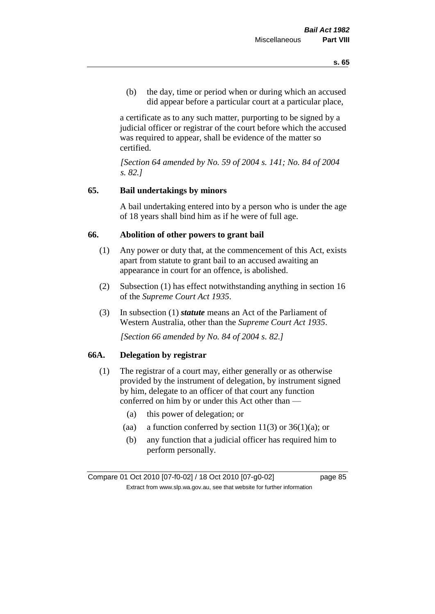(b) the day, time or period when or during which an accused did appear before a particular court at a particular place,

a certificate as to any such matter, purporting to be signed by a judicial officer or registrar of the court before which the accused was required to appear, shall be evidence of the matter so certified.

*[Section 64 amended by No. 59 of 2004 s. 141; No. 84 of 2004 s. 82.]* 

# **65. Bail undertakings by minors**

A bail undertaking entered into by a person who is under the age of 18 years shall bind him as if he were of full age.

### **66. Abolition of other powers to grant bail**

- (1) Any power or duty that, at the commencement of this Act, exists apart from statute to grant bail to an accused awaiting an appearance in court for an offence, is abolished.
- (2) Subsection (1) has effect notwithstanding anything in section 16 of the *Supreme Court Act 1935*.
- (3) In subsection (1) *statute* means an Act of the Parliament of Western Australia, other than the *Supreme Court Act 1935*.

*[Section 66 amended by No. 84 of 2004 s. 82.]*

# **66A. Delegation by registrar**

- (1) The registrar of a court may, either generally or as otherwise provided by the instrument of delegation, by instrument signed by him, delegate to an officer of that court any function conferred on him by or under this Act other than —
	- (a) this power of delegation; or
	- (aa) a function conferred by section  $11(3)$  or  $36(1)(a)$ ; or
	- (b) any function that a judicial officer has required him to perform personally.

Compare 01 Oct 2010 [07-f0-02] / 18 Oct 2010 [07-g0-02] page 85 Extract from www.slp.wa.gov.au, see that website for further information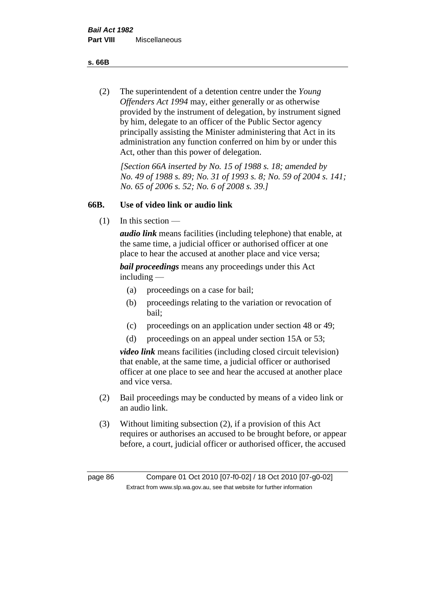**s. 66B**

(2) The superintendent of a detention centre under the *Young Offenders Act 1994* may, either generally or as otherwise provided by the instrument of delegation, by instrument signed by him, delegate to an officer of the Public Sector agency principally assisting the Minister administering that Act in its administration any function conferred on him by or under this Act, other than this power of delegation.

*[Section 66A inserted by No. 15 of 1988 s. 18; amended by No. 49 of 1988 s. 89; No. 31 of 1993 s. 8; No. 59 of 2004 s. 141; No. 65 of 2006 s. 52; No. 6 of 2008 s. 39.]* 

# **66B. Use of video link or audio link**

(1) In this section —

*audio link* means facilities (including telephone) that enable, at the same time, a judicial officer or authorised officer at one place to hear the accused at another place and vice versa;

*bail proceedings* means any proceedings under this Act including —

- (a) proceedings on a case for bail;
- (b) proceedings relating to the variation or revocation of bail;
- (c) proceedings on an application under section 48 or 49;
- (d) proceedings on an appeal under section 15A or 53;

*video link* means facilities (including closed circuit television) that enable, at the same time, a judicial officer or authorised officer at one place to see and hear the accused at another place and vice versa.

- (2) Bail proceedings may be conducted by means of a video link or an audio link.
- (3) Without limiting subsection (2), if a provision of this Act requires or authorises an accused to be brought before, or appear before, a court, judicial officer or authorised officer, the accused

page 86 Compare 01 Oct 2010 [07-f0-02] / 18 Oct 2010 [07-g0-02] Extract from www.slp.wa.gov.au, see that website for further information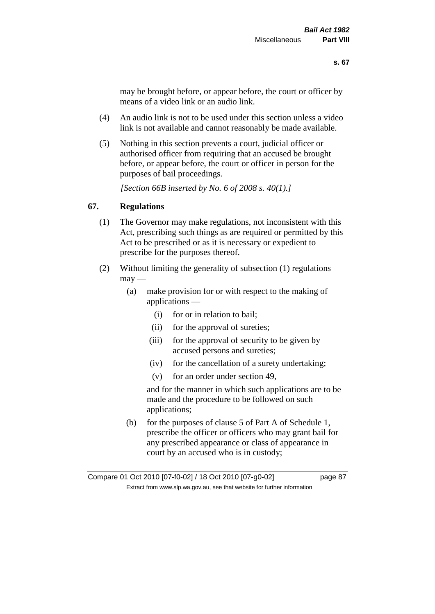may be brought before, or appear before, the court or officer by means of a video link or an audio link.

- (4) An audio link is not to be used under this section unless a video link is not available and cannot reasonably be made available.
- (5) Nothing in this section prevents a court, judicial officer or authorised officer from requiring that an accused be brought before, or appear before, the court or officer in person for the purposes of bail proceedings.

*[Section 66B inserted by No. 6 of 2008 s. 40(1).]*

# **67. Regulations**

- (1) The Governor may make regulations, not inconsistent with this Act, prescribing such things as are required or permitted by this Act to be prescribed or as it is necessary or expedient to prescribe for the purposes thereof.
- (2) Without limiting the generality of subsection (1) regulations  $\text{max}$  —
	- (a) make provision for or with respect to the making of applications —
		- (i) for or in relation to bail;
		- (ii) for the approval of sureties;
		- (iii) for the approval of security to be given by accused persons and sureties;
		- (iv) for the cancellation of a surety undertaking;
		- (v) for an order under section 49,

and for the manner in which such applications are to be made and the procedure to be followed on such applications;

(b) for the purposes of clause 5 of Part A of Schedule 1, prescribe the officer or officers who may grant bail for any prescribed appearance or class of appearance in court by an accused who is in custody;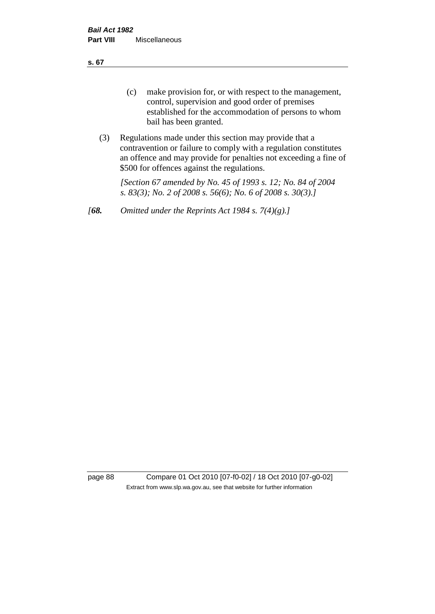**s. 67**

- (c) make provision for, or with respect to the management, control, supervision and good order of premises established for the accommodation of persons to whom bail has been granted.
- (3) Regulations made under this section may provide that a contravention or failure to comply with a regulation constitutes an offence and may provide for penalties not exceeding a fine of \$500 for offences against the regulations.

*[Section 67 amended by No. 45 of 1993 s. 12; No. 84 of 2004 s. 83(3); No. 2 of 2008 s. 56(6); No. 6 of 2008 s. 30(3).]* 

*[68. Omitted under the Reprints Act 1984 s. 7(4)(g).]*

page 88 Compare 01 Oct 2010 [07-f0-02] / 18 Oct 2010 [07-g0-02] Extract from www.slp.wa.gov.au, see that website for further information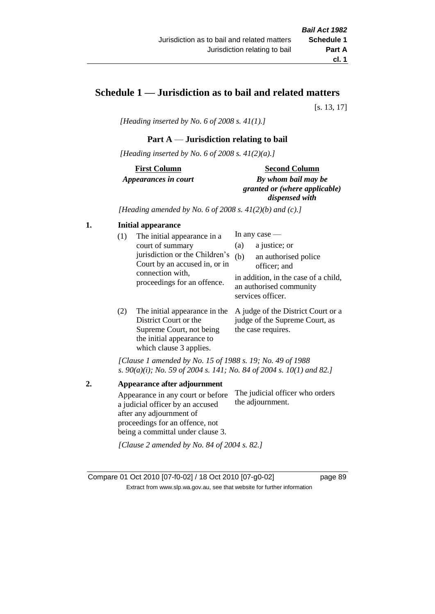# **Schedule 1 — Jurisdiction as to bail and related matters**

[s. 13, 17]

*[Heading inserted by No. 6 of 2008 s. 41(1).]*

### **Part A** — **Jurisdiction relating to bail**

*[Heading inserted by No. 6 of 2008 s. 41(2)(a).]*

**First Column** *Appearances in court* 

#### **Second Column**

*By whom bail may be granted or (where applicable) dispensed with*

*[Heading amended by No. 6 of 2008 s. 41(2)(b) and (c).]*

# **1. Initial appearance**

| (1)        | The initial appearance in a<br>court of summary<br>jurisdiction or the Children's<br>Court by an accused in, or in<br>connection with, | (a)<br>(b)                                                                           | In any case $-$<br>a justice; or<br>an authorised police<br>officer; and |
|------------|----------------------------------------------------------------------------------------------------------------------------------------|--------------------------------------------------------------------------------------|--------------------------------------------------------------------------|
|            | proceedings for an offence.                                                                                                            | in addition, in the case of a child,<br>an authorised community<br>services officer. |                                                                          |
| $\sqrt{2}$ | $\mathbf{m}$ . The state of $\mathbf{m}$ is the state of $\mathbf{m}$                                                                  |                                                                                      |                                                                          |

(2) The initial appearance in the A judge of the District Court or a District Court or the Supreme Court, not being the initial appearance to which clause 3 applies. judge of the Supreme Court, as the case requires.

*[Clause 1 amended by No. 15 of 1988 s. 19; No. 49 of 1988 s. 90(a)(i); No. 59 of 2004 s. 141; No. 84 of 2004 s. 10(1) and 82.]*

**2. Appearance after adjournment** Appearance in any court or before a judicial officer by an accused after any adjournment of proceedings for an offence, not being a committal under clause 3. The judicial officer who orders the adjournment. *[Clause 2 amended by No. 84 of 2004 s. 82.]*

Compare 01 Oct 2010 [07-f0-02] / 18 Oct 2010 [07-g0-02] page 89 Extract from www.slp.wa.gov.au, see that website for further information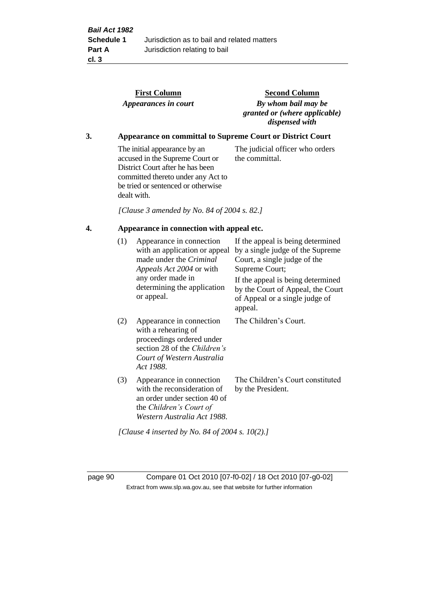|    |                                                            | <b>First Column</b><br>Appearances in court                                                                                                                                                    | <b>Second Column</b><br>By whom bail may be<br>granted or (where applicable)<br>dispensed with                                                                                                    |  |  |  |
|----|------------------------------------------------------------|------------------------------------------------------------------------------------------------------------------------------------------------------------------------------------------------|---------------------------------------------------------------------------------------------------------------------------------------------------------------------------------------------------|--|--|--|
| 3. | Appearance on committal to Supreme Court or District Court |                                                                                                                                                                                                |                                                                                                                                                                                                   |  |  |  |
|    |                                                            | The initial appearance by an<br>accused in the Supreme Court or<br>District Court after he has been<br>committed thereto under any Act to<br>be tried or sentenced or otherwise<br>dealt with. | The judicial officer who orders<br>the committal.                                                                                                                                                 |  |  |  |
|    |                                                            | [Clause 3 amended by No. 84 of 2004 s. 82.]                                                                                                                                                    |                                                                                                                                                                                                   |  |  |  |
| 4. | Appearance in connection with appeal etc.                  |                                                                                                                                                                                                |                                                                                                                                                                                                   |  |  |  |
|    | (1)                                                        | Appearance in connection<br>with an application or appeal<br>made under the Criminal<br>Appeals Act 2004 or with<br>any order made in<br>determining the application                           | If the appeal is being determined<br>by a single judge of the Supreme<br>Court, a single judge of the<br>Supreme Court;<br>If the appeal is being determined<br>by the Court of Appeal, the Court |  |  |  |
|    |                                                            | or appeal.                                                                                                                                                                                     | of Appeal or a single judge of<br>appeal.                                                                                                                                                         |  |  |  |
|    | (2)                                                        | Appearance in connection<br>with a rehearing of<br>proceedings ordered under<br>section 28 of the Children's<br>Court of Western Australia<br>Act 1988.                                        | The Children's Court.                                                                                                                                                                             |  |  |  |
|    | (3)                                                        | Appearance in connection<br>with the reconsideration of<br>an order under section 40 of<br>the Children's Court of<br>Western Australia Act 1988.                                              | The Children's Court constituted<br>by the President.                                                                                                                                             |  |  |  |
|    |                                                            | [Clause 4 inserted by No. 84 of 2004 s. $10(2)$ .]                                                                                                                                             |                                                                                                                                                                                                   |  |  |  |

page 90 Compare 01 Oct 2010 [07-f0-02] / 18 Oct 2010 [07-g0-02] Extract from www.slp.wa.gov.au, see that website for further information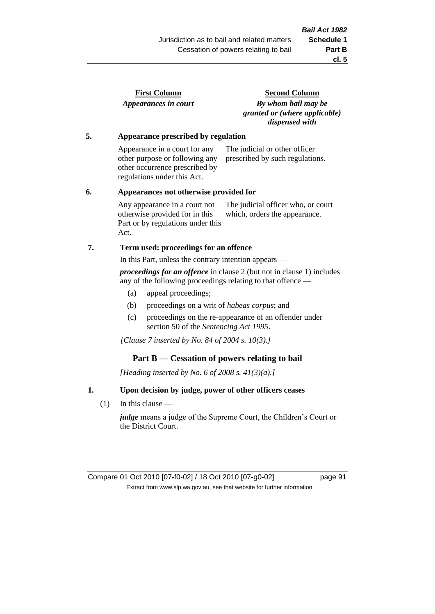| <b>First Column</b>  |  |
|----------------------|--|
| Appearances in court |  |

**Second Column** *By whom bail may be granted or (where applicable) dispensed with*

### **5. Appearance prescribed by regulation**

Appearance in a court for any other purpose or following any other occurrence prescribed by regulations under this Act. The judicial or other officer prescribed by such regulations.

#### **6. Appearances not otherwise provided for**

Any appearance in a court not otherwise provided for in this Part or by regulations under this Act. The judicial officer who, or court which, orders the appearance.

### **7. Term used: proceedings for an offence**

In this Part, unless the contrary intention appears —

*proceedings for an offence* in clause 2 (but not in clause 1) includes any of the following proceedings relating to that offence —

- (a) appeal proceedings;
- (b) proceedings on a writ of *habeas corpus*; and
- (c) proceedings on the re-appearance of an offender under section 50 of the *Sentencing Act 1995*.

*[Clause 7 inserted by No. 84 of 2004 s. 10(3).]*

### **Part B** — **Cessation of powers relating to bail**

*[Heading inserted by No. 6 of 2008 s. 41(3)(a).]*

### **1. Upon decision by judge, power of other officers ceases**

(1) In this clause —

*judge* means a judge of the Supreme Court, the Children's Court or the District Court.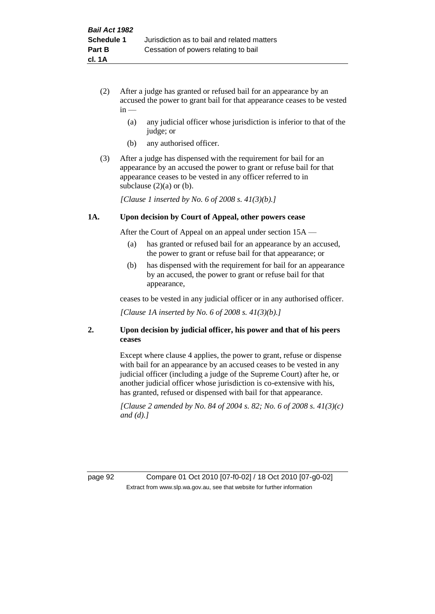- (2) After a judge has granted or refused bail for an appearance by an accused the power to grant bail for that appearance ceases to be vested  $in -$ 
	- (a) any judicial officer whose jurisdiction is inferior to that of the judge; or
	- (b) any authorised officer.
- (3) After a judge has dispensed with the requirement for bail for an appearance by an accused the power to grant or refuse bail for that appearance ceases to be vested in any officer referred to in subclause  $(2)(a)$  or  $(b)$ .

*[Clause 1 inserted by No. 6 of 2008 s. 41(3)(b).]*

#### **1A. Upon decision by Court of Appeal, other powers cease**

After the Court of Appeal on an appeal under section 15A —

- (a) has granted or refused bail for an appearance by an accused, the power to grant or refuse bail for that appearance; or
- (b) has dispensed with the requirement for bail for an appearance by an accused, the power to grant or refuse bail for that appearance,

ceases to be vested in any judicial officer or in any authorised officer.

*[Clause 1A inserted by No. 6 of 2008 s. 41(3)(b).]*

### **2. Upon decision by judicial officer, his power and that of his peers ceases**

Except where clause 4 applies, the power to grant, refuse or dispense with bail for an appearance by an accused ceases to be vested in any judicial officer (including a judge of the Supreme Court) after he, or another judicial officer whose jurisdiction is co-extensive with his, has granted, refused or dispensed with bail for that appearance.

*[Clause 2 amended by No. 84 of 2004 s. 82; No. 6 of 2008 s. 41(3)(c) and (d).]*

page 92 Compare 01 Oct 2010 [07-f0-02] / 18 Oct 2010 [07-g0-02] Extract from www.slp.wa.gov.au, see that website for further information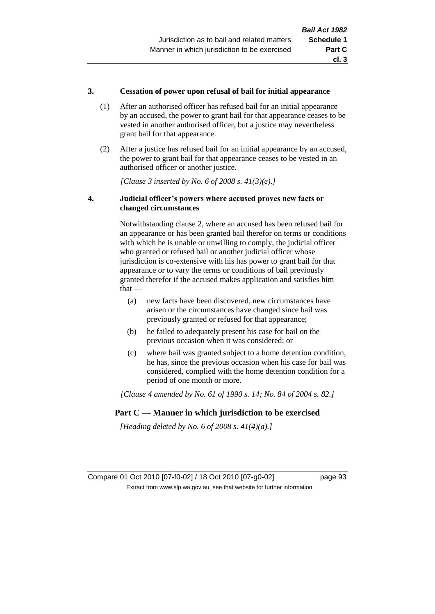### **3. Cessation of power upon refusal of bail for initial appearance**

- (1) After an authorised officer has refused bail for an initial appearance by an accused, the power to grant bail for that appearance ceases to be vested in another authorised officer, but a justice may nevertheless grant bail for that appearance.
- (2) After a justice has refused bail for an initial appearance by an accused, the power to grant bail for that appearance ceases to be vested in an authorised officer or another justice.

*[Clause 3 inserted by No. 6 of 2008 s. 41(3)(e).]*

### **4. Judicial officer's powers where accused proves new facts or changed circumstances**

Notwithstanding clause 2, where an accused has been refused bail for an appearance or has been granted bail therefor on terms or conditions with which he is unable or unwilling to comply, the judicial officer who granted or refused bail or another judicial officer whose jurisdiction is co-extensive with his has power to grant bail for that appearance or to vary the terms or conditions of bail previously granted therefor if the accused makes application and satisfies him  $that -$ 

- (a) new facts have been discovered, new circumstances have arisen or the circumstances have changed since bail was previously granted or refused for that appearance;
- (b) he failed to adequately present his case for bail on the previous occasion when it was considered; or
- (c) where bail was granted subject to a home detention condition, he has, since the previous occasion when his case for bail was considered, complied with the home detention condition for a period of one month or more.

*[Clause 4 amended by No. 61 of 1990 s. 14; No. 84 of 2004 s. 82.]*

# **Part C — Manner in which jurisdiction to be exercised**

*[Heading deleted by No. 6 of 2008 s. 41(4)(a).]*

Compare 01 Oct 2010 [07-f0-02] / 18 Oct 2010 [07-g0-02] page 93 Extract from www.slp.wa.gov.au, see that website for further information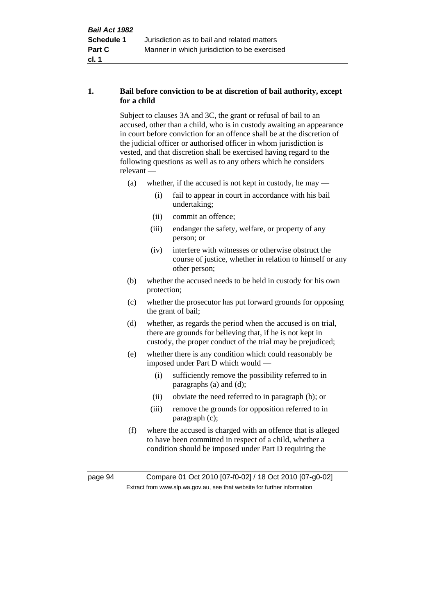# **1. Bail before conviction to be at discretion of bail authority, except for a child**

Subject to clauses 3A and 3C, the grant or refusal of bail to an accused, other than a child, who is in custody awaiting an appearance in court before conviction for an offence shall be at the discretion of the judicial officer or authorised officer in whom jurisdiction is vested, and that discretion shall be exercised having regard to the following questions as well as to any others which he considers relevant —

- (a) whether, if the accused is not kept in custody, he may
	- (i) fail to appear in court in accordance with his bail undertaking;
	- (ii) commit an offence;
	- (iii) endanger the safety, welfare, or property of any person; or
	- (iv) interfere with witnesses or otherwise obstruct the course of justice, whether in relation to himself or any other person;
- (b) whether the accused needs to be held in custody for his own protection;
- (c) whether the prosecutor has put forward grounds for opposing the grant of bail;
- (d) whether, as regards the period when the accused is on trial, there are grounds for believing that, if he is not kept in custody, the proper conduct of the trial may be prejudiced;
- (e) whether there is any condition which could reasonably be imposed under Part D which would —
	- (i) sufficiently remove the possibility referred to in paragraphs (a) and (d);
	- (ii) obviate the need referred to in paragraph (b); or
	- (iii) remove the grounds for opposition referred to in paragraph (c);
- (f) where the accused is charged with an offence that is alleged to have been committed in respect of a child, whether a condition should be imposed under Part D requiring the

page 94 Compare 01 Oct 2010 [07-f0-02] / 18 Oct 2010 [07-g0-02] Extract from www.slp.wa.gov.au, see that website for further information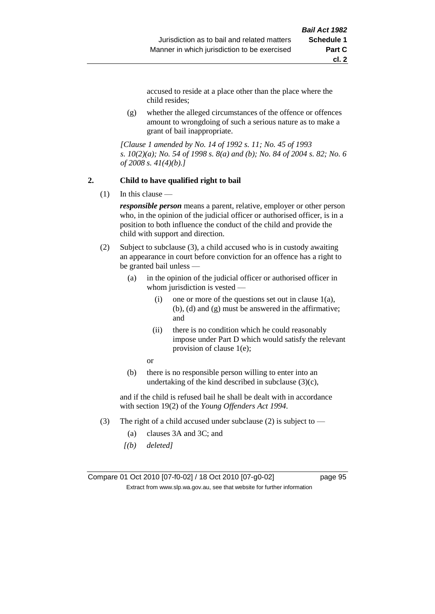accused to reside at a place other than the place where the child resides;

(g) whether the alleged circumstances of the offence or offences amount to wrongdoing of such a serious nature as to make a grant of bail inappropriate.

*[Clause 1 amended by No. 14 of 1992 s. 11; No. 45 of 1993 s. 10(2)(a); No. 54 of 1998 s. 8(a) and (b); No. 84 of 2004 s. 82; No. 6 of 2008 s. 41(4)(b).]*

### **2. Child to have qualified right to bail**

 $(1)$  In this clause —

*responsible person* means a parent, relative, employer or other person who, in the opinion of the judicial officer or authorised officer, is in a position to both influence the conduct of the child and provide the child with support and direction.

- (2) Subject to subclause (3), a child accused who is in custody awaiting an appearance in court before conviction for an offence has a right to be granted bail unless —
	- (a) in the opinion of the judicial officer or authorised officer in whom jurisdiction is vested —
		- (i) one or more of the questions set out in clause  $1(a)$ , (b), (d) and (g) must be answered in the affirmative; and
		- (ii) there is no condition which he could reasonably impose under Part D which would satisfy the relevant provision of clause 1(e);
		- or
	- (b) there is no responsible person willing to enter into an undertaking of the kind described in subclause  $(3)(c)$ ,

and if the child is refused bail he shall be dealt with in accordance with section 19(2) of the *Young Offenders Act 1994*.

- (3) The right of a child accused under subclause (2) is subject to
	- (a) clauses 3A and 3C; and
	- *[(b) deleted]*

Compare 01 Oct 2010 [07-f0-02] / 18 Oct 2010 [07-g0-02] page 95 Extract from www.slp.wa.gov.au, see that website for further information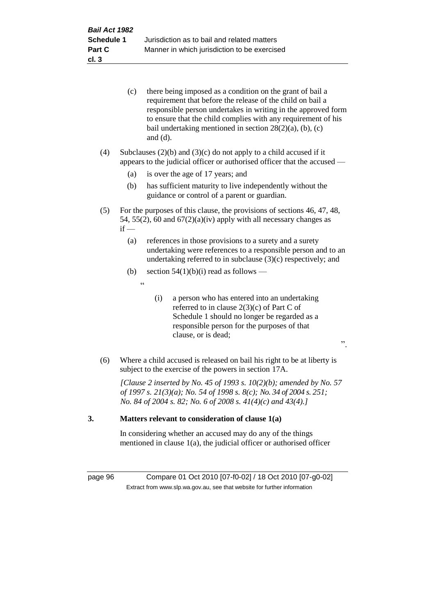|     | (c)    | there being imposed as a condition on the grant of bail a<br>requirement that before the release of the child on bail a<br>responsible person undertakes in writing in the approved form<br>to ensure that the child complies with any requirement of his<br>bail undertaking mentioned in section $28(2)(a)$ , (b), (c)<br>and $(d)$ . |
|-----|--------|-----------------------------------------------------------------------------------------------------------------------------------------------------------------------------------------------------------------------------------------------------------------------------------------------------------------------------------------|
| (4) |        | Subclauses $(2)(b)$ and $(3)(c)$ do not apply to a child accused if it<br>appears to the judicial officer or authorised officer that the accused —                                                                                                                                                                                      |
|     | (a)    | is over the age of 17 years; and                                                                                                                                                                                                                                                                                                        |
|     | (b)    | has sufficient maturity to live independently without the<br>guidance or control of a parent or guardian.                                                                                                                                                                                                                               |
| (5) | $if -$ | For the purposes of this clause, the provisions of sections 46, 47, 48,<br>54, 55(2), 60 and $67(2)(a)(iv)$ apply with all necessary changes as                                                                                                                                                                                         |
|     | (a)    | references in those provisions to a surety and a surety<br>undertaking were references to a responsible person and to an<br>undertaking referred to in subclause (3)(c) respectively; and                                                                                                                                               |
|     | (b)    | section $54(1)(b)(i)$ read as follows —                                                                                                                                                                                                                                                                                                 |
|     |        | $\boldsymbol{\zeta}$ $\boldsymbol{\zeta}$                                                                                                                                                                                                                                                                                               |
|     |        | (i)<br>a person who has entered into an undertaking<br>referred to in clause $2(3)(c)$ of Part C of<br>Schedule 1 should no longer be regarded as a<br>responsible person for the purposes of that<br>clause, or is dead;<br>,,                                                                                                         |
| (6) |        | Where a child accused is released on bail his right to be at liberty is<br>subject to the exercise of the powers in section 17A.                                                                                                                                                                                                        |
|     |        | [Clause 2 inserted by No. 45 of 1993 s. $10(2)(b)$ ; amended by No. 57<br>of 1997 s. 21(3)(a); No. 54 of 1998 s. 8(c); No. 34 of 2004 s. 251;<br>No. 84 of 2004 s. 82; No. 6 of 2008 s. $41(4)(c)$ and $43(4)$ .]                                                                                                                       |
| 3.  |        | Matters relevant to consideration of clause 1(a)                                                                                                                                                                                                                                                                                        |

In considering whether an accused may do any of the things mentioned in clause 1(a), the judicial officer or authorised officer

page 96 Compare 01 Oct 2010 [07-f0-02] / 18 Oct 2010 [07-g0-02] Extract from www.slp.wa.gov.au, see that website for further information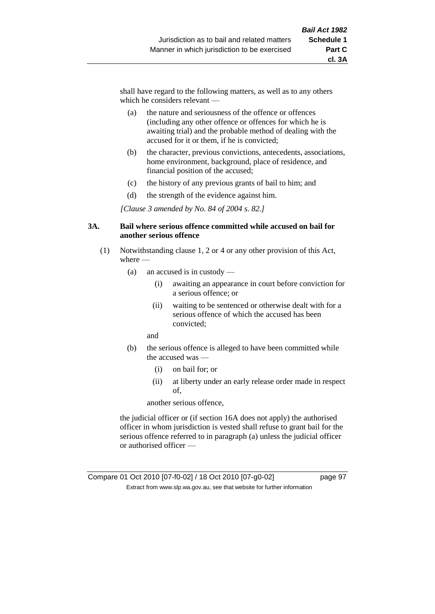shall have regard to the following matters, as well as to any others which he considers relevant —

- (a) the nature and seriousness of the offence or offences (including any other offence or offences for which he is awaiting trial) and the probable method of dealing with the accused for it or them, if he is convicted;
- (b) the character, previous convictions, antecedents, associations, home environment, background, place of residence, and financial position of the accused;
- (c) the history of any previous grants of bail to him; and
- (d) the strength of the evidence against him.

*[Clause 3 amended by No. 84 of 2004 s. 82.]*

#### **3A. Bail where serious offence committed while accused on bail for another serious offence**

- (1) Notwithstanding clause 1, 2 or 4 or any other provision of this Act, where —
	- (a) an accused is in custody
		- (i) awaiting an appearance in court before conviction for a serious offence; or
		- (ii) waiting to be sentenced or otherwise dealt with for a serious offence of which the accused has been convicted;

and

- (b) the serious offence is alleged to have been committed while the accused was —
	- (i) on bail for; or
	- (ii) at liberty under an early release order made in respect of,

another serious offence,

the judicial officer or (if section 16A does not apply) the authorised officer in whom jurisdiction is vested shall refuse to grant bail for the serious offence referred to in paragraph (a) unless the judicial officer or authorised officer —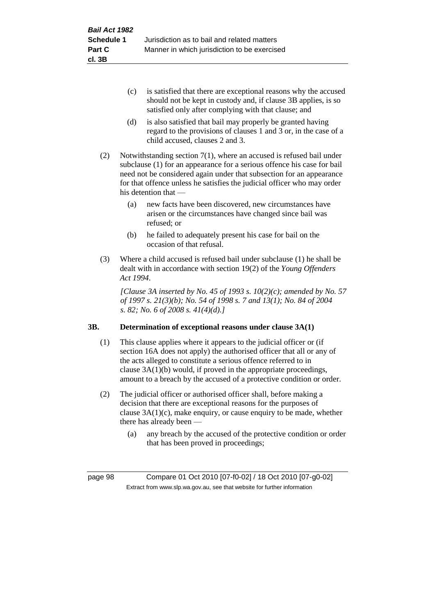- (c) is satisfied that there are exceptional reasons why the accused should not be kept in custody and, if clause 3B applies, is so satisfied only after complying with that clause; and
- (d) is also satisfied that bail may properly be granted having regard to the provisions of clauses 1 and 3 or, in the case of a child accused, clauses 2 and 3.
- (2) Notwithstanding section 7(1), where an accused is refused bail under subclause (1) for an appearance for a serious offence his case for bail need not be considered again under that subsection for an appearance for that offence unless he satisfies the judicial officer who may order his detention that —
	- (a) new facts have been discovered, new circumstances have arisen or the circumstances have changed since bail was refused; or
	- (b) he failed to adequately present his case for bail on the occasion of that refusal.
- (3) Where a child accused is refused bail under subclause (1) he shall be dealt with in accordance with section 19(2) of the *Young Offenders Act 1994*.

*[Clause 3A inserted by No. 45 of 1993 s. 10(2)(c); amended by No. 57 of 1997 s. 21(3)(b); No. 54 of 1998 s. 7 and 13(1); No. 84 of 2004 s. 82; No. 6 of 2008 s. 41(4)(d).]*

# **3B. Determination of exceptional reasons under clause 3A(1)**

- (1) This clause applies where it appears to the judicial officer or (if section 16A does not apply) the authorised officer that all or any of the acts alleged to constitute a serious offence referred to in clause 3A(1)(b) would, if proved in the appropriate proceedings, amount to a breach by the accused of a protective condition or order.
- (2) The judicial officer or authorised officer shall, before making a decision that there are exceptional reasons for the purposes of clause  $3A(1)(c)$ , make enquiry, or cause enquiry to be made, whether there has already been —
	- (a) any breach by the accused of the protective condition or order that has been proved in proceedings;

page 98 Compare 01 Oct 2010 [07-f0-02] / 18 Oct 2010 [07-g0-02] Extract from www.slp.wa.gov.au, see that website for further information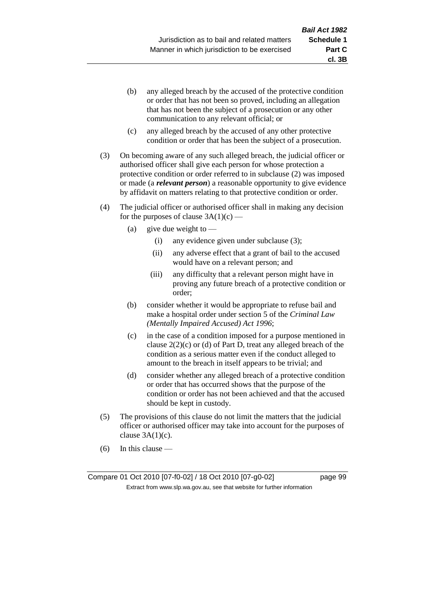- (b) any alleged breach by the accused of the protective condition or order that has not been so proved, including an allegation that has not been the subject of a prosecution or any other communication to any relevant official; or
- (c) any alleged breach by the accused of any other protective condition or order that has been the subject of a prosecution.
- (3) On becoming aware of any such alleged breach, the judicial officer or authorised officer shall give each person for whose protection a protective condition or order referred to in subclause (2) was imposed or made (a *relevant person*) a reasonable opportunity to give evidence by affidavit on matters relating to that protective condition or order.
- (4) The judicial officer or authorised officer shall in making any decision for the purposes of clause  $3A(1)(c)$  —
	- (a) give due weight to  $-$ 
		- (i) any evidence given under subclause (3);
		- (ii) any adverse effect that a grant of bail to the accused would have on a relevant person; and
		- (iii) any difficulty that a relevant person might have in proving any future breach of a protective condition or order;
	- (b) consider whether it would be appropriate to refuse bail and make a hospital order under section 5 of the *Criminal Law (Mentally Impaired Accused) Act 1996*;
	- (c) in the case of a condition imposed for a purpose mentioned in clause  $2(2)(c)$  or (d) of Part D, treat any alleged breach of the condition as a serious matter even if the conduct alleged to amount to the breach in itself appears to be trivial; and
	- (d) consider whether any alleged breach of a protective condition or order that has occurred shows that the purpose of the condition or order has not been achieved and that the accused should be kept in custody.
- (5) The provisions of this clause do not limit the matters that the judicial officer or authorised officer may take into account for the purposes of clause  $3A(1)(c)$ .
- (6) In this clause —

Compare 01 Oct 2010 [07-f0-02] / 18 Oct 2010 [07-g0-02] page 99 Extract from www.slp.wa.gov.au, see that website for further information

**cl. 3B**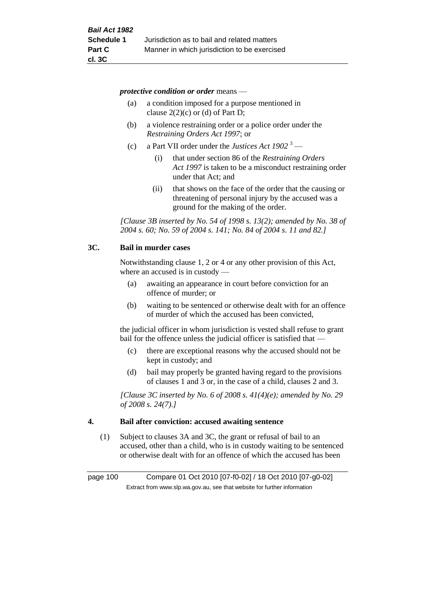*protective condition or order* means —

- (a) a condition imposed for a purpose mentioned in clause  $2(2)(c)$  or (d) of Part D;
- (b) a violence restraining order or a police order under the *Restraining Orders Act 1997*; or
- (c) a Part VII order under the *Justices Act 1902* <sup>3</sup>
	- (i) that under section 86 of the *Restraining Orders Act 1997* is taken to be a misconduct restraining order under that Act; and
	- (ii) that shows on the face of the order that the causing or threatening of personal injury by the accused was a ground for the making of the order.

*[Clause 3B inserted by No. 54 of 1998 s. 13(2); amended by No. 38 of 2004 s. 60; No. 59 of 2004 s. 141; No. 84 of 2004 s. 11 and 82.]*

### **3C. Bail in murder cases**

Notwithstanding clause 1, 2 or 4 or any other provision of this Act, where an accused is in custody —

- (a) awaiting an appearance in court before conviction for an offence of murder; or
- (b) waiting to be sentenced or otherwise dealt with for an offence of murder of which the accused has been convicted,

the judicial officer in whom jurisdiction is vested shall refuse to grant bail for the offence unless the judicial officer is satisfied that —

- (c) there are exceptional reasons why the accused should not be kept in custody; and
- (d) bail may properly be granted having regard to the provisions of clauses 1 and 3 or, in the case of a child, clauses 2 and 3.

*[Clause 3C inserted by No. 6 of 2008 s. 41(4)(e); amended by No. 29 of 2008 s. 24(7).]*

### **4. Bail after conviction: accused awaiting sentence**

(1) Subject to clauses 3A and 3C, the grant or refusal of bail to an accused, other than a child, who is in custody waiting to be sentenced or otherwise dealt with for an offence of which the accused has been

page 100 Compare 01 Oct 2010 [07-f0-02] / 18 Oct 2010 [07-g0-02] Extract from www.slp.wa.gov.au, see that website for further information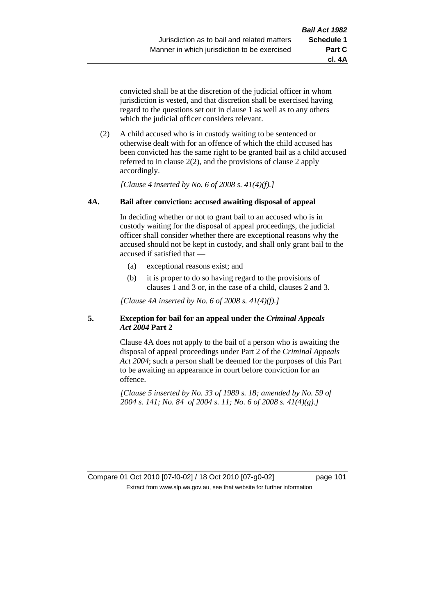**cl. 4A**

convicted shall be at the discretion of the judicial officer in whom jurisdiction is vested, and that discretion shall be exercised having regard to the questions set out in clause 1 as well as to any others which the judicial officer considers relevant.

(2) A child accused who is in custody waiting to be sentenced or otherwise dealt with for an offence of which the child accused has been convicted has the same right to be granted bail as a child accused referred to in clause 2(2), and the provisions of clause 2 apply accordingly.

*[Clause 4 inserted by No. 6 of 2008 s. 41(4)(f).]*

# **4A. Bail after conviction: accused awaiting disposal of appeal**

In deciding whether or not to grant bail to an accused who is in custody waiting for the disposal of appeal proceedings, the judicial officer shall consider whether there are exceptional reasons why the accused should not be kept in custody, and shall only grant bail to the accused if satisfied that —

- (a) exceptional reasons exist; and
- (b) it is proper to do so having regard to the provisions of clauses 1 and 3 or, in the case of a child, clauses 2 and 3.

*[Clause 4A inserted by No. 6 of 2008 s. 41(4)(f).]*

# **5. Exception for bail for an appeal under the** *Criminal Appeals Act 2004* **Part 2**

Clause 4A does not apply to the bail of a person who is awaiting the disposal of appeal proceedings under Part 2 of the *Criminal Appeals Act 2004*; such a person shall be deemed for the purposes of this Part to be awaiting an appearance in court before conviction for an offence.

*[Clause 5 inserted by No. 33 of 1989 s. 18; amended by No. 59 of 2004 s. 141; No. 84 of 2004 s. 11; No. 6 of 2008 s. 41(4)(g).]*

Compare 01 Oct 2010 [07-f0-02] / 18 Oct 2010 [07-g0-02] page 101 Extract from www.slp.wa.gov.au, see that website for further information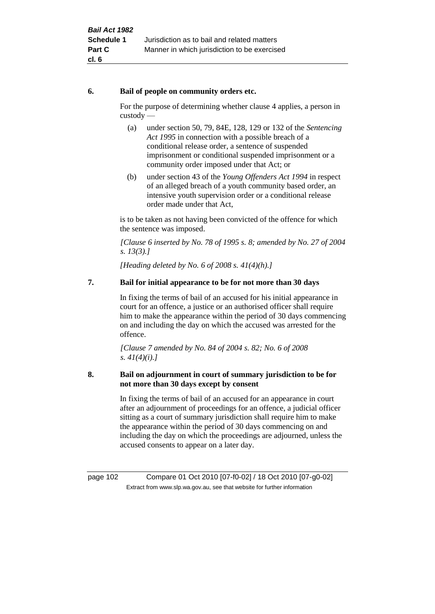# **6. Bail of people on community orders etc.**

For the purpose of determining whether clause 4 applies, a person in custody —

- (a) under section 50, 79, 84E, 128, 129 or 132 of the *Sentencing Act 1995* in connection with a possible breach of a conditional release order, a sentence of suspended imprisonment or conditional suspended imprisonment or a community order imposed under that Act; or
- (b) under section 43 of the *Young Offenders Act 1994* in respect of an alleged breach of a youth community based order, an intensive youth supervision order or a conditional release order made under that Act,

is to be taken as not having been convicted of the offence for which the sentence was imposed.

*[Clause 6 inserted by No. 78 of 1995 s. 8; amended by No. 27 of 2004 s. 13(3).]*

*[Heading deleted by No. 6 of 2008 s. 41(4)(h).]*

# **7. Bail for initial appearance to be for not more than 30 days**

In fixing the terms of bail of an accused for his initial appearance in court for an offence, a justice or an authorised officer shall require him to make the appearance within the period of 30 days commencing on and including the day on which the accused was arrested for the offence.

*[Clause 7 amended by No. 84 of 2004 s. 82; No. 6 of 2008 s. 41(4)(i).]*

# **8. Bail on adjournment in court of summary jurisdiction to be for not more than 30 days except by consent**

In fixing the terms of bail of an accused for an appearance in court after an adjournment of proceedings for an offence, a judicial officer sitting as a court of summary jurisdiction shall require him to make the appearance within the period of 30 days commencing on and including the day on which the proceedings are adjourned, unless the accused consents to appear on a later day.

page 102 Compare 01 Oct 2010 [07-f0-02] / 18 Oct 2010 [07-g0-02] Extract from www.slp.wa.gov.au, see that website for further information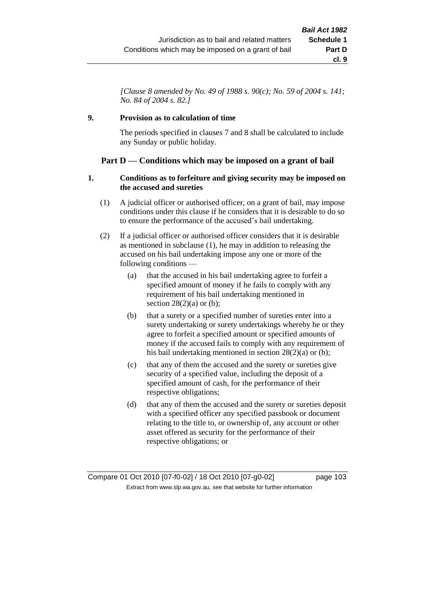*[Clause 8 amended by No. 49 of 1988 s. 90(c); No. 59 of 2004 s. 141; No. 84 of 2004 s. 82.]*

# **9. Provision as to calculation of time**

The periods specified in clauses 7 and 8 shall be calculated to include any Sunday or public holiday.

# **Part D — Conditions which may be imposed on a grant of bail**

### **1. Conditions as to forfeiture and giving security may be imposed on the accused and sureties**

- (1) A judicial officer or authorised officer, on a grant of bail, may impose conditions under this clause if he considers that it is desirable to do so to ensure the performance of the accused's bail undertaking.
- (2) If a judicial officer or authorised officer considers that it is desirable as mentioned in subclause (1), he may in addition to releasing the accused on his bail undertaking impose any one or more of the following conditions —
	- (a) that the accused in his bail undertaking agree to forfeit a specified amount of money if he fails to comply with any requirement of his bail undertaking mentioned in section  $28(2)(a)$  or (b);
	- (b) that a surety or a specified number of sureties enter into a surety undertaking or surety undertakings whereby he or they agree to forfeit a specified amount or specified amounts of money if the accused fails to comply with any requirement of his bail undertaking mentioned in section 28(2)(a) or (b);
	- (c) that any of them the accused and the surety or sureties give security of a specified value, including the deposit of a specified amount of cash, for the performance of their respective obligations;
	- (d) that any of them the accused and the surety or sureties deposit with a specified officer any specified passbook or document relating to the title to, or ownership of, any account or other asset offered as security for the performance of their respective obligations; or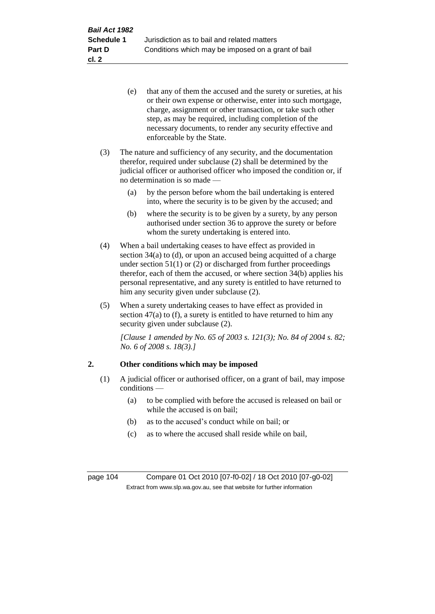- (e) that any of them the accused and the surety or sureties, at his or their own expense or otherwise, enter into such mortgage, charge, assignment or other transaction, or take such other step, as may be required, including completion of the necessary documents, to render any security effective and enforceable by the State.
- (3) The nature and sufficiency of any security, and the documentation therefor, required under subclause (2) shall be determined by the judicial officer or authorised officer who imposed the condition or, if no determination is so made —
	- (a) by the person before whom the bail undertaking is entered into, where the security is to be given by the accused; and
	- (b) where the security is to be given by a surety, by any person authorised under section 36 to approve the surety or before whom the surety undertaking is entered into.
- (4) When a bail undertaking ceases to have effect as provided in section 34(a) to (d), or upon an accused being acquitted of a charge under section  $51(1)$  or (2) or discharged from further proceedings therefor, each of them the accused, or where section 34(b) applies his personal representative, and any surety is entitled to have returned to him any security given under subclause (2).
- (5) When a surety undertaking ceases to have effect as provided in section  $47(a)$  to (f), a surety is entitled to have returned to him any security given under subclause (2).

*[Clause 1 amended by No. 65 of 2003 s. 121(3); No. 84 of 2004 s. 82; No. 6 of 2008 s. 18(3).]*

# **2. Other conditions which may be imposed**

- (1) A judicial officer or authorised officer, on a grant of bail, may impose conditions —
	- (a) to be complied with before the accused is released on bail or while the accused is on bail;
	- (b) as to the accused's conduct while on bail; or
	- (c) as to where the accused shall reside while on bail,

page 104 Compare 01 Oct 2010 [07-f0-02] / 18 Oct 2010 [07-g0-02] Extract from www.slp.wa.gov.au, see that website for further information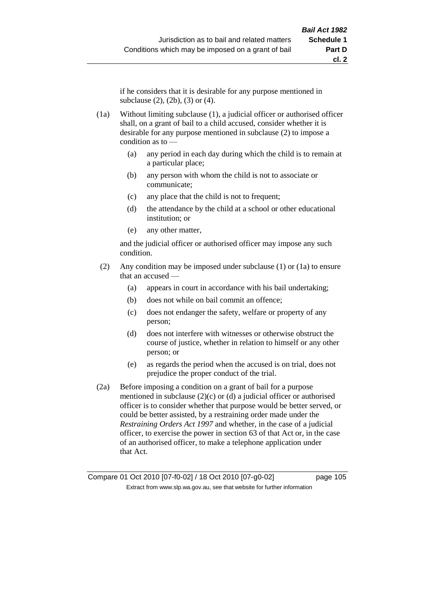if he considers that it is desirable for any purpose mentioned in subclause (2), (2b), (3) or (4).

(1a) Without limiting subclause (1), a judicial officer or authorised officer shall, on a grant of bail to a child accused, consider whether it is desirable for any purpose mentioned in subclause (2) to impose a condition as to —

- (a) any period in each day during which the child is to remain at a particular place;
- (b) any person with whom the child is not to associate or communicate;
- (c) any place that the child is not to frequent;
- (d) the attendance by the child at a school or other educational institution; or
- (e) any other matter,

and the judicial officer or authorised officer may impose any such condition.

- (2) Any condition may be imposed under subclause (1) or (1a) to ensure that an accused —
	- (a) appears in court in accordance with his bail undertaking;
	- (b) does not while on bail commit an offence;
	- (c) does not endanger the safety, welfare or property of any person;
	- (d) does not interfere with witnesses or otherwise obstruct the course of justice, whether in relation to himself or any other person; or
	- (e) as regards the period when the accused is on trial, does not prejudice the proper conduct of the trial.
- (2a) Before imposing a condition on a grant of bail for a purpose mentioned in subclause  $(2)(c)$  or  $(d)$  a judicial officer or authorised officer is to consider whether that purpose would be better served, or could be better assisted, by a restraining order made under the *Restraining Orders Act 1997* and whether, in the case of a judicial officer, to exercise the power in section 63 of that Act or, in the case of an authorised officer, to make a telephone application under that Act.

Compare 01 Oct 2010 [07-f0-02] / 18 Oct 2010 [07-g0-02] page 105 Extract from www.slp.wa.gov.au, see that website for further information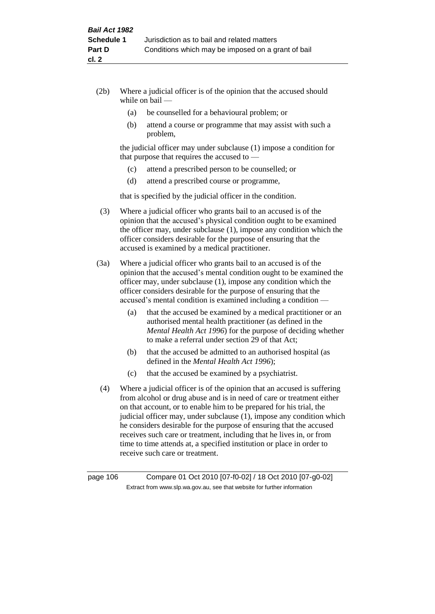- (2b) Where a judicial officer is of the opinion that the accused should while on bail —
	- (a) be counselled for a behavioural problem; or
	- (b) attend a course or programme that may assist with such a problem,

the judicial officer may under subclause (1) impose a condition for that purpose that requires the accused to —

- (c) attend a prescribed person to be counselled; or
- (d) attend a prescribed course or programme,

that is specified by the judicial officer in the condition.

- (3) Where a judicial officer who grants bail to an accused is of the opinion that the accused's physical condition ought to be examined the officer may, under subclause (1), impose any condition which the officer considers desirable for the purpose of ensuring that the accused is examined by a medical practitioner.
- (3a) Where a judicial officer who grants bail to an accused is of the opinion that the accused's mental condition ought to be examined the officer may, under subclause (1), impose any condition which the officer considers desirable for the purpose of ensuring that the accused's mental condition is examined including a condition —
	- (a) that the accused be examined by a medical practitioner or an authorised mental health practitioner (as defined in the *Mental Health Act 1996*) for the purpose of deciding whether to make a referral under section 29 of that Act;
	- (b) that the accused be admitted to an authorised hospital (as defined in the *Mental Health Act 1996*);
	- (c) that the accused be examined by a psychiatrist.
- (4) Where a judicial officer is of the opinion that an accused is suffering from alcohol or drug abuse and is in need of care or treatment either on that account, or to enable him to be prepared for his trial, the judicial officer may, under subclause (1), impose any condition which he considers desirable for the purpose of ensuring that the accused receives such care or treatment, including that he lives in, or from time to time attends at, a specified institution or place in order to receive such care or treatment.

page 106 Compare 01 Oct 2010 [07-f0-02] / 18 Oct 2010 [07-g0-02] Extract from www.slp.wa.gov.au, see that website for further information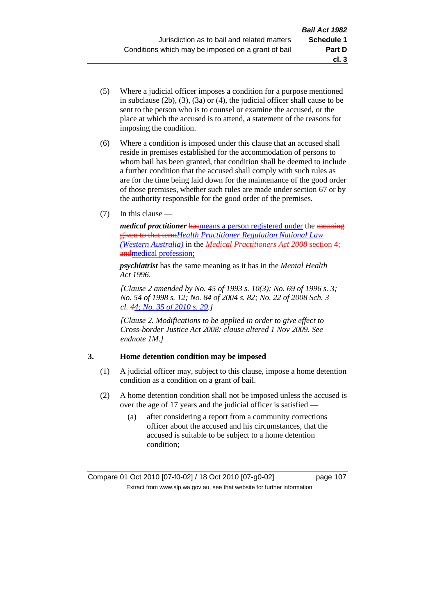- (5) Where a judicial officer imposes a condition for a purpose mentioned in subclause (2b), (3), (3a) or (4), the judicial officer shall cause to be sent to the person who is to counsel or examine the accused, or the place at which the accused is to attend, a statement of the reasons for imposing the condition.
- (6) Where a condition is imposed under this clause that an accused shall reside in premises established for the accommodation of persons to whom bail has been granted, that condition shall be deemed to include a further condition that the accused shall comply with such rules as are for the time being laid down for the maintenance of the good order of those premises, whether such rules are made under section 67 or by the authority responsible for the good order of the premises.
- (7) In this clause —

*medical practitioner* hasmeans a person registered under the meaning given to that term*Health Practitioner Regulation National Law (Western Australia)* in the *Medical Practitioners Act 2008* section 4; andmedical profession;

*psychiatrist* has the same meaning as it has in the *Mental Health Act 1996*.

*[Clause 2 amended by No. 45 of 1993 s. 10(3); No. 69 of 1996 s. 3; No. 54 of 1998 s. 12; No. 84 of 2004 s. 82; No. 22 of 2008 Sch. 3 cl. 44; No. 35 of 2010 s. 29.]*

*[Clause 2. Modifications to be applied in order to give effect to Cross-border Justice Act 2008: clause altered 1 Nov 2009. See endnote 1M.]*

## **3. Home detention condition may be imposed**

- (1) A judicial officer may, subject to this clause, impose a home detention condition as a condition on a grant of bail.
- (2) A home detention condition shall not be imposed unless the accused is over the age of 17 years and the judicial officer is satisfied —
	- (a) after considering a report from a community corrections officer about the accused and his circumstances, that the accused is suitable to be subject to a home detention condition;

**cl. 3**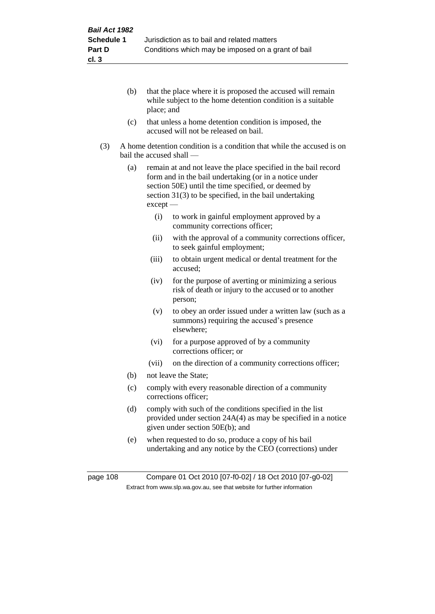- (b) that the place where it is proposed the accused will remain while subject to the home detention condition is a suitable place; and
- (c) that unless a home detention condition is imposed, the accused will not be released on bail.
- (3) A home detention condition is a condition that while the accused is on bail the accused shall —
	- (a) remain at and not leave the place specified in the bail record form and in the bail undertaking (or in a notice under section 50E) until the time specified, or deemed by section 31(3) to be specified, in the bail undertaking except —
		- (i) to work in gainful employment approved by a community corrections officer;
		- (ii) with the approval of a community corrections officer, to seek gainful employment;
		- (iii) to obtain urgent medical or dental treatment for the accused;
		- (iv) for the purpose of averting or minimizing a serious risk of death or injury to the accused or to another person;
		- (v) to obey an order issued under a written law (such as a summons) requiring the accused's presence elsewhere;
		- (vi) for a purpose approved of by a community corrections officer; or
		- (vii) on the direction of a community corrections officer;
	- (b) not leave the State;
	- (c) comply with every reasonable direction of a community corrections officer;
	- (d) comply with such of the conditions specified in the list provided under section 24A(4) as may be specified in a notice given under section 50E(b); and
	- (e) when requested to do so, produce a copy of his bail undertaking and any notice by the CEO (corrections) under

page 108 Compare 01 Oct 2010 [07-f0-02] / 18 Oct 2010 [07-g0-02] Extract from www.slp.wa.gov.au, see that website for further information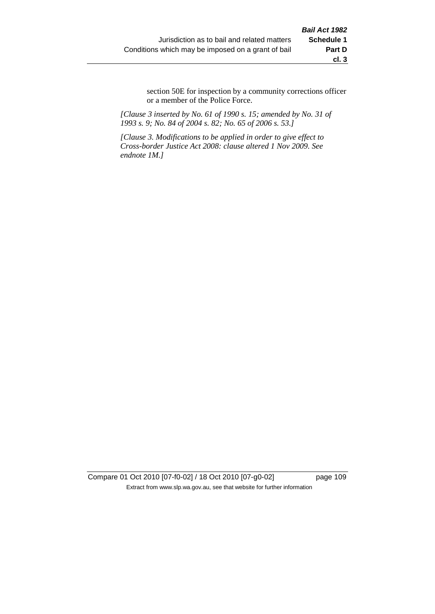section 50E for inspection by a community corrections officer or a member of the Police Force.

*[Clause 3 inserted by No. 61 of 1990 s. 15; amended by No. 31 of 1993 s. 9; No. 84 of 2004 s. 82; No. 65 of 2006 s. 53.]*

*[Clause 3. Modifications to be applied in order to give effect to Cross-border Justice Act 2008: clause altered 1 Nov 2009. See endnote 1M.]*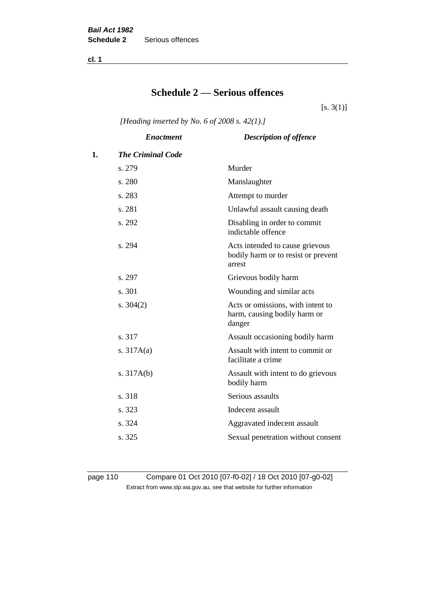**cl. 1**

# **Schedule 2 — Serious offences**

 $[s. 3(1)]$ 

*[Heading inserted by No. 6 of 2008 s. 42(1).]*

|    | <b>Enactment</b>         | <b>Description of offence</b>                                                    |
|----|--------------------------|----------------------------------------------------------------------------------|
| 1. | <b>The Criminal Code</b> |                                                                                  |
|    | s. 279                   | Murder                                                                           |
|    | s. 280                   | Manslaughter                                                                     |
|    | s. 283                   | Attempt to murder                                                                |
|    | s. 281                   | Unlawful assault causing death                                                   |
|    | s. 292                   | Disabling in order to commit<br>indictable offence                               |
|    | s. 294                   | Acts intended to cause grievous<br>bodily harm or to resist or prevent<br>arrest |
|    | s. 297                   | Grievous bodily harm                                                             |
|    | s. 301                   | Wounding and similar acts                                                        |
|    | s. $304(2)$              | Acts or omissions, with intent to<br>harm, causing bodily harm or<br>danger      |
|    | s. 317                   | Assault occasioning bodily harm                                                  |
|    | s. $317A(a)$             | Assault with intent to commit or<br>facilitate a crime                           |
|    | s. $317A(b)$             | Assault with intent to do grievous<br>bodily harm                                |
|    | s. 318                   | Serious assaults                                                                 |
|    | s. 323                   | Indecent assault                                                                 |
|    | s. 324                   | Aggravated indecent assault                                                      |
|    | s. 325                   | Sexual penetration without consent                                               |
|    |                          |                                                                                  |

page 110 Compare 01 Oct 2010 [07-f0-02] / 18 Oct 2010 [07-g0-02] Extract from www.slp.wa.gov.au, see that website for further information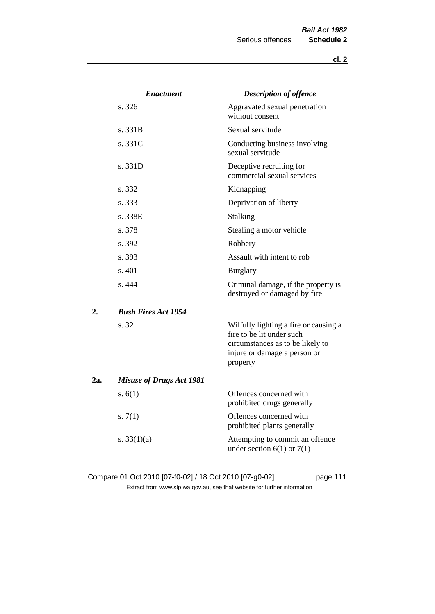|     | <b>Enactment</b>                | <b>Description of offence</b>                                                                                                                      |
|-----|---------------------------------|----------------------------------------------------------------------------------------------------------------------------------------------------|
|     | s.326                           | Aggravated sexual penetration<br>without consent                                                                                                   |
|     | s. 331B                         | Sexual servitude                                                                                                                                   |
|     | s. 331C                         | Conducting business involving<br>sexual servitude                                                                                                  |
|     | s. 331D                         | Deceptive recruiting for<br>commercial sexual services                                                                                             |
|     | s. 332                          | Kidnapping                                                                                                                                         |
|     | s. 333                          | Deprivation of liberty                                                                                                                             |
|     | s. 338E                         | <b>Stalking</b>                                                                                                                                    |
|     | s. 378                          | Stealing a motor vehicle                                                                                                                           |
|     | s. 392                          | Robbery                                                                                                                                            |
|     | s. 393                          | Assault with intent to rob                                                                                                                         |
|     | s. 401                          | <b>Burglary</b>                                                                                                                                    |
|     | s. 444                          | Criminal damage, if the property is<br>destroyed or damaged by fire                                                                                |
| 2.  | <b>Bush Fires Act 1954</b>      |                                                                                                                                                    |
|     | s. 32                           | Wilfully lighting a fire or causing a<br>fire to be lit under such<br>circumstances as to be likely to<br>injure or damage a person or<br>property |
| 2a. | <b>Misuse of Drugs Act 1981</b> |                                                                                                                                                    |
|     | s. $6(1)$                       | Offences concerned with<br>prohibited drugs generally                                                                                              |
|     | s. $7(1)$                       | Offences concerned with<br>prohibited plants generally                                                                                             |
|     | s. $33(1)(a)$                   | Attempting to commit an offence<br>under section $6(1)$ or $7(1)$                                                                                  |

Compare 01 Oct 2010 [07-f0-02] / 18 Oct 2010 [07-g0-02] page 111 Extract from www.slp.wa.gov.au, see that website for further information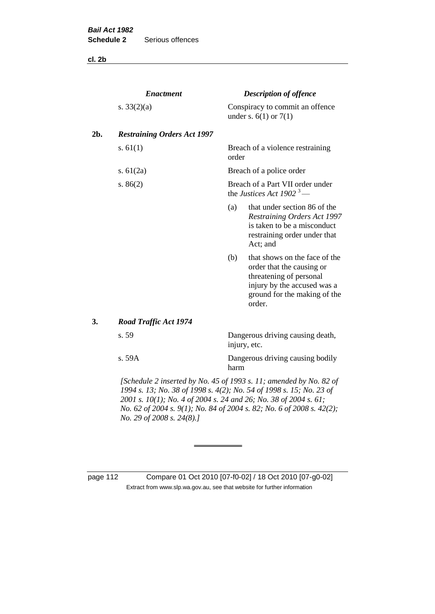**cl. 2b**

|     | <b>Enactment</b>                                                                                                                          |       | <b>Description of offence</b>                                                                                                                                  |
|-----|-------------------------------------------------------------------------------------------------------------------------------------------|-------|----------------------------------------------------------------------------------------------------------------------------------------------------------------|
|     | s. $33(2)(a)$                                                                                                                             |       | Conspiracy to commit an offence<br>under s. $6(1)$ or $7(1)$                                                                                                   |
| 2b. | <b>Restraining Orders Act 1997</b>                                                                                                        |       |                                                                                                                                                                |
|     | s. $61(1)$                                                                                                                                | order | Breach of a violence restraining                                                                                                                               |
|     | s. $61(2a)$                                                                                                                               |       | Breach of a police order                                                                                                                                       |
|     | s. $86(2)$                                                                                                                                |       | Breach of a Part VII order under<br>the Justices Act 1902 <sup>3</sup> —                                                                                       |
|     |                                                                                                                                           | (a)   | that under section 86 of the<br><b>Restraining Orders Act 1997</b><br>is taken to be a misconduct<br>restraining order under that<br>Act; and                  |
|     |                                                                                                                                           | (b)   | that shows on the face of the<br>order that the causing or<br>threatening of personal<br>injury by the accused was a<br>ground for the making of the<br>order. |
| 3.  | <b>Road Traffic Act 1974</b>                                                                                                              |       |                                                                                                                                                                |
|     | s. 59                                                                                                                                     |       | Dangerous driving causing death,<br>injury, etc.                                                                                                               |
|     | s. 59A                                                                                                                                    | harm  | Dangerous driving causing bodily                                                                                                                               |
|     | [Schedule 2 inserted by No. 45 of 1993 s. 11; amended by No. 82 of<br>1994 s. 13; No. 38 of 1998 s. 4(2); No. 54 of 1998 s. 15; No. 23 of |       |                                                                                                                                                                |

*2001 s. 10(1); No. 4 of 2004 s. 24 and 26; No. 38 of 2004 s. 61; No. 62 of 2004 s. 9(1); No. 84 of 2004 s. 82; No. 6 of 2008 s. 42(2); No. 29 of 2008 s. 24(8).]* 

page 112 Compare 01 Oct 2010 [07-f0-02] / 18 Oct 2010 [07-g0-02] Extract from www.slp.wa.gov.au, see that website for further information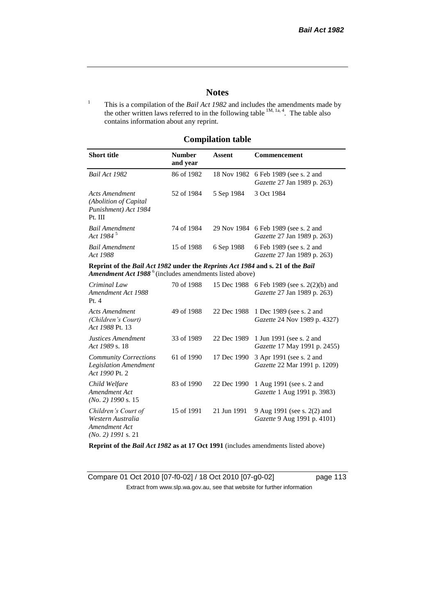# **Notes**

<sup>1</sup> This is a compilation of the *Bail Act 1982* and includes the amendments made by the other written laws referred to in the following table  $^{1M, 1a, 4}$ . The table also contains information about any reprint.

# **Compilation table**

| <b>Short title</b>                                                                                                                                   | <b>Number</b><br>and year | Assent     | Commencement                                                                     |
|------------------------------------------------------------------------------------------------------------------------------------------------------|---------------------------|------------|----------------------------------------------------------------------------------|
| Bail Act 1982                                                                                                                                        | 86 of 1982                |            | 18 Nov 1982 6 Feb 1989 (see s. 2 and<br><i>Gazette</i> 27 Jan 1989 p. 263)       |
| Acts Amendment<br>(Abolition of Capital<br>Punishment) Act 1984<br>Pt. III                                                                           | 52 of 1984                | 5 Sep 1984 | 3 Oct 1984                                                                       |
| Bail Amendment<br>Act 1984 <sup>5</sup>                                                                                                              | 74 of 1984                |            | 29 Nov 1984 6 Feb 1989 (see s. 2 and<br><i>Gazette</i> 27 Jan 1989 p. 263)       |
| Bail Amendment<br>Act 1988                                                                                                                           | 15 of 1988                | 6 Sep 1988 | 6 Feb 1989 (see s. 2 and<br><i>Gazette</i> 27 Jan 1989 p. 263)                   |
| Reprint of the Bail Act 1982 under the Reprints Act 1984 and s. 21 of the Bail<br>Amendment Act 1988 <sup>6</sup> (includes amendments listed above) |                           |            |                                                                                  |
| Criminal Law<br>Amendment Act 1988<br>Pt.4                                                                                                           | 70 of 1988                |            | 15 Dec 1988 6 Feb 1989 (see s. 2(2)(b) and<br><i>Gazette</i> 27 Jan 1989 p. 263) |
|                                                                                                                                                      |                           |            |                                                                                  |

| Acts Amendment<br>(Children's Court)<br>Act 1988 Pt. 13                           | 49 of 1988 |             | 22 Dec 1988 1 Dec 1989 (see s. 2 and<br>Gazette 24 Nov 1989 p. 4327)        |
|-----------------------------------------------------------------------------------|------------|-------------|-----------------------------------------------------------------------------|
| Justices Amendment<br>Act 1989 s. 18                                              | 33 of 1989 |             | 22 Dec 1989 1 Jun 1991 (see s. 2 and<br><i>Gazette</i> 17 May 1991 p. 2455) |
| <b>Community Corrections</b><br><b>Legislation Amendment</b><br>Act 1990 Pt. 2    | 61 of 1990 | 17 Dec 1990 | 3 Apr 1991 (see s. 2 and<br>Gazette 22 Mar 1991 p. 1209)                    |
| Child Welfare<br>Amendment Act<br>$(No. 2)$ 1990 s. 15                            | 83 of 1990 | 22 Dec 1990 | 1 Aug 1991 (see s. 2 and<br><i>Gazette</i> 1 Aug 1991 p. 3983)              |
| Children's Court of<br>Western Australia<br>Amendment Act<br>$(No. 2)$ 1991 s. 21 | 15 of 1991 | 21 Jun 1991 | 9 Aug 1991 (see s. 2(2) and<br>Gazette 9 Aug 1991 p. 4101)                  |

**Reprint of the** *Bail Act 1982* **as at 17 Oct 1991** (includes amendments listed above)

Compare 01 Oct 2010 [07-f0-02] / 18 Oct 2010 [07-g0-02] page 113 Extract from www.slp.wa.gov.au, see that website for further information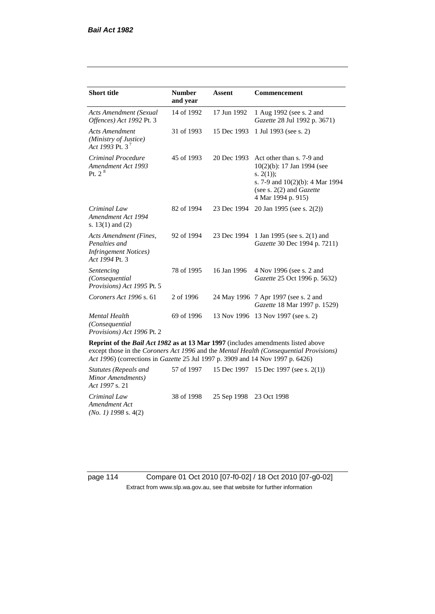| <b>Short title</b>                                                                         | <b>Number</b><br>and year | <b>Assent</b> | Commencement                                                                                                                                                      |
|--------------------------------------------------------------------------------------------|---------------------------|---------------|-------------------------------------------------------------------------------------------------------------------------------------------------------------------|
| Acts Amendment (Sexual<br>Offences) Act 1992 Pt. 3                                         | 14 of 1992                | 17 Jun 1992   | 1 Aug 1992 (see s. 2 and<br>Gazette 28 Jul 1992 p. 3671)                                                                                                          |
| <b>Acts Amendment</b><br>(Ministry of Justice)<br>Act 1993 Pt. 3 <sup>7</sup>              | 31 of 1993                | 15 Dec 1993   | 1 Jul 1993 (see s. 2)                                                                                                                                             |
| Criminal Procedure<br>Amendment Act 1993<br>Pt. $2^8$                                      | 45 of 1993                | 20 Dec 1993   | Act other than s. 7-9 and<br>$10(2)(b)$ : 17 Jan 1994 (see<br>s. $2(1)$ ;<br>s. 7-9 and $10(2)(b)$ : 4 Mar 1994<br>(see s. 2(2) and Gazette<br>4 Mar 1994 p. 915) |
| Criminal Law<br>Amendment Act 1994<br>s. $13(1)$ and $(2)$                                 | 82 of 1994                | 23 Dec 1994   | 20 Jan 1995 (see s. 2(2))                                                                                                                                         |
| Acts Amendment (Fines,<br>Penalties and<br><b>Infringement Notices</b> )<br>Act 1994 Pt. 3 | 92 of 1994                | 23 Dec 1994   | 1 Jan 1995 (see s. 2(1) and<br>Gazette 30 Dec 1994 p. 7211)                                                                                                       |
| Sentencing<br>(Consequential)<br>Provisions) Act 1995 Pt. 5                                | 78 of 1995                | 16 Jan 1996   | 4 Nov 1996 (see s. 2 and<br>Gazette 25 Oct 1996 p. 5632)                                                                                                          |
| Coroners Act 1996 s. 61                                                                    | 2 of 1996                 |               | 24 May 1996 7 Apr 1997 (see s. 2 and<br>Gazette 18 Mar 1997 p. 1529)                                                                                              |
| <b>Mental Health</b><br>(Consequential)<br>Provisions) Act 1996 Pt. 2                      | 69 of 1996                | 13 Nov 1996   | 13 Nov 1997 (see s. 2)                                                                                                                                            |

**Reprint of the** *Bail Act 1982* **as at 13 Mar 1997** (includes amendments listed above except those in the *Coroners Act 1996* and the *Mental Health (Consequential Provisions) Act 1996*) (corrections in *Gazette* 25 Jul 1997 p. 3909 and 14 Nov 1997 p. 6426)

*Statutes (Repeals and Minor Amendments) Act 1997* s. 21 57 of 1997 15 Dec 1997 15 Dec 1997 (see s. 2(1)) *Criminal Law Amendment Act (No. 1) 1998* s. 4(2) 38 of 1998 25 Sep 1998 23 Oct 1998

page 114 Compare 01 Oct 2010 [07-f0-02] / 18 Oct 2010 [07-g0-02] Extract from www.slp.wa.gov.au, see that website for further information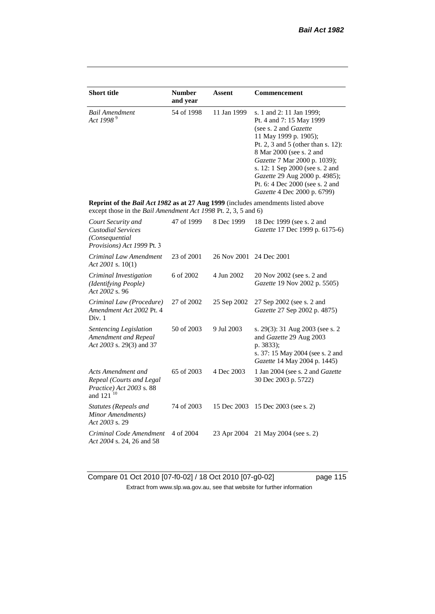| <b>Short title</b>                                                                                                                                 | <b>Number</b><br>and year | Assent      | <b>Commencement</b>                                                                                                                                                                                                                                                                                                                                     |
|----------------------------------------------------------------------------------------------------------------------------------------------------|---------------------------|-------------|---------------------------------------------------------------------------------------------------------------------------------------------------------------------------------------------------------------------------------------------------------------------------------------------------------------------------------------------------------|
| <b>Bail Amendment</b><br>Act 1998 <sup>9</sup>                                                                                                     | 54 of 1998                | 11 Jan 1999 | s. 1 and 2: 11 Jan 1999;<br>Pt. 4 and 7: 15 May 1999<br>(see s. 2 and <i>Gazette</i> )<br>11 May 1999 p. 1905);<br>Pt. 2, 3 and 5 (other than s. 12):<br>8 Mar 2000 (see s. 2 and<br>Gazette 7 Mar 2000 p. 1039);<br>s. 12: 1 Sep 2000 (see s. 2 and<br>Gazette 29 Aug 2000 p. 4985);<br>Pt. 6: 4 Dec 2000 (see s. 2 and<br>Gazette 4 Dec 2000 p. 6799) |
| Reprint of the Bail Act 1982 as at 27 Aug 1999 (includes amendments listed above<br>except those in the Bail Amendment Act 1998 Pt. 2, 3, 5 and 6) |                           |             |                                                                                                                                                                                                                                                                                                                                                         |
| Court Security and<br><b>Custodial Services</b><br>(Consequential<br>Provisions) Act 1999 Pt. 3                                                    | 47 of 1999                | 8 Dec 1999  | 18 Dec 1999 (see s. 2 and<br>Gazette 17 Dec 1999 p. 6175-6)                                                                                                                                                                                                                                                                                             |
| Criminal Law Amendment<br>Act 2001 s. $10(1)$                                                                                                      | 23 of 2001                | 26 Nov 2001 | 24 Dec 2001                                                                                                                                                                                                                                                                                                                                             |
| Criminal Investigation<br>(Identifying People)<br>Act 2002 s. 96                                                                                   | 6 of 2002                 | 4 Jun 2002  | 20 Nov 2002 (see s. 2 and<br>Gazette 19 Nov 2002 p. 5505)                                                                                                                                                                                                                                                                                               |
| Criminal Law (Procedure)<br>Amendment Act 2002 Pt. 4<br>Div. 1                                                                                     | 27 of 2002                | 25 Sep 2002 | 27 Sep 2002 (see s. 2 and<br>Gazette 27 Sep 2002 p. 4875)                                                                                                                                                                                                                                                                                               |
| Sentencing Legislation<br>Amendment and Repeal<br>Act 2003 s. 29(3) and 37                                                                         | 50 of 2003                | 9 Jul 2003  | s. 29(3): 31 Aug 2003 (see s. 2<br>and Gazette 29 Aug 2003<br>p. 3833);<br>s. 37: 15 May 2004 (see s. 2 and<br>Gazette 14 May 2004 p. 1445)                                                                                                                                                                                                             |
| Acts Amendment and<br>Repeal (Courts and Legal<br>Practice) Act 2003 s. 88<br>and 121 <sup>10</sup>                                                | 65 of 2003                | 4 Dec 2003  | 1 Jan 2004 (see s. 2 and <i>Gazette</i><br>30 Dec 2003 p. 5722)                                                                                                                                                                                                                                                                                         |
| Statutes (Repeals and<br>Minor Amendments)<br>Act 2003 s. 29                                                                                       | 74 of 2003                | 15 Dec 2003 | 15 Dec 2003 (see s. 2)                                                                                                                                                                                                                                                                                                                                  |
| Criminal Code Amendment<br>Act 2004 s. 24, 26 and 58                                                                                               | 4 of 2004                 | 23 Apr 2004 | 21 May 2004 (see s. 2)                                                                                                                                                                                                                                                                                                                                  |

Compare 01 Oct 2010 [07-f0-02] / 18 Oct 2010 [07-g0-02] page 115 Extract from www.slp.wa.gov.au, see that website for further information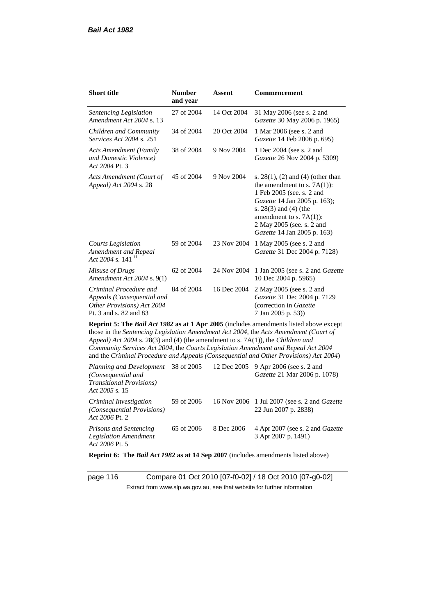| <b>Short title</b>                                                                                                                                                   | <b>Number</b><br>and year | Assent      | <b>Commencement</b>                                                                                                                                                                                                                                                     |
|----------------------------------------------------------------------------------------------------------------------------------------------------------------------|---------------------------|-------------|-------------------------------------------------------------------------------------------------------------------------------------------------------------------------------------------------------------------------------------------------------------------------|
| Sentencing Legislation<br>Amendment Act 2004 s. 13                                                                                                                   | 27 of 2004                | 14 Oct 2004 | 31 May 2006 (see s. 2 and<br>Gazette 30 May 2006 p. 1965)                                                                                                                                                                                                               |
| Children and Community<br><i>Services Act 2004 s. 251</i>                                                                                                            | 34 of 2004                | 20 Oct 2004 | 1 Mar 2006 (see s. 2 and<br>Gazette 14 Feb 2006 p. 695)                                                                                                                                                                                                                 |
| <b>Acts Amendment (Family</b><br>and Domestic Violence)<br>Act 2004 Pt. 3                                                                                            | 38 of 2004                | 9 Nov 2004  | 1 Dec 2004 (see s. 2 and<br>Gazette 26 Nov 2004 p. 5309)                                                                                                                                                                                                                |
| Acts Amendment (Court of<br>Appeal) Act 2004 s. 28                                                                                                                   | 45 of 2004                | 9 Nov 2004  | s. $28(1)$ , (2) and (4) (other than<br>the amendment to s. $7A(1)$ :<br>1 Feb 2005 (see. s. 2 and<br>Gazette 14 Jan 2005 p. 163);<br>s. 28(3) and (4) (the<br>amendment to s. $7A(1)$ :<br>2 May 2005 (see. s. 2 and<br>Gazette 14 Jan 2005 p. 163)                    |
| <b>Courts Legislation</b><br>Amendment and Repeal<br>Act 2004 s. 141 <sup>11</sup>                                                                                   | 59 of 2004                | 23 Nov 2004 | 1 May 2005 (see s. 2 and<br>Gazette 31 Dec 2004 p. 7128)                                                                                                                                                                                                                |
| Misuse of Drugs<br>Amendment Act 2004 s. 9(1)                                                                                                                        | 62 of 2004                | 24 Nov 2004 | 1 Jan 2005 (see s. 2 and Gazette<br>10 Dec 2004 p. 5965)                                                                                                                                                                                                                |
| Criminal Procedure and<br>Appeals (Consequential and<br>Other Provisions) Act 2004<br>Pt. 3 and s. 82 and 83                                                         | 84 of 2004                | 16 Dec 2004 | 2 May 2005 (see s. 2 and<br>Gazette 31 Dec 2004 p. 7129<br>(correction in Gazette<br>7 Jan 2005 p. 53))                                                                                                                                                                 |
| Appeal) Act 2004 s. 28(3) and (4) (the amendment to s. 7A(1)), the Children and<br>Community Services Act 2004, the Courts Legislation Amendment and Repeal Act 2004 |                           |             | Reprint 5: The Bail Act 1982 as at 1 Apr 2005 (includes amendments listed above except<br>those in the Sentencing Legislation Amendment Act 2004, the Acts Amendment (Court of<br>and the Criminal Procedure and Appeals (Consequential and Other Provisions) Act 2004) |
| Planning and Development<br>(Consequential and<br><b>Transitional Provisions)</b><br>Act 2005 s. 15                                                                  | 38 of 2005                | 12 Dec 2005 | 9 Apr 2006 (see s. 2 and<br>Gazette 21 Mar 2006 p. 1078)                                                                                                                                                                                                                |
| Criminal Investigation<br>(Consequential Provisions)                                                                                                                 | 59 of 2006                | 16 Nov 2006 | 1 Jul 2007 (see s. 2 and Gazette<br>22 Jun 2007 p. 2838)                                                                                                                                                                                                                |

*Act 2006* Pt. 2 *Prisons and Sentencing Legislation Amendment Act 2006* Pt. 5 65 of 2006 8 Dec 2006 4 Apr 2007 (see s. 2 and *Gazette* 3 Apr 2007 p. 1491)

**Reprint 6: The** *Bail Act 1982* **as at 14 Sep 2007** (includes amendments listed above)

page 116 Compare 01 Oct 2010 [07-f0-02] / 18 Oct 2010 [07-g0-02] Extract from www.slp.wa.gov.au, see that website for further information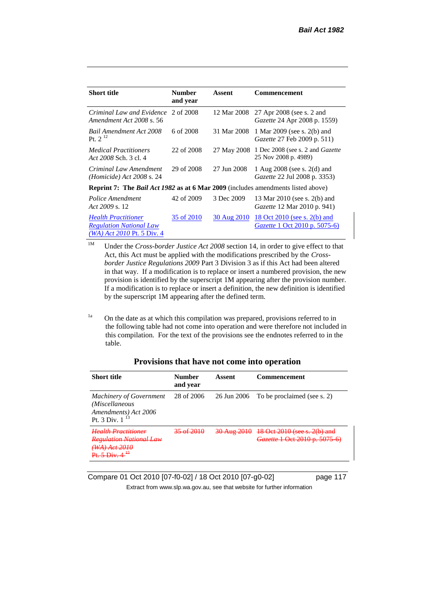| <b>Short title</b>                                                                             | <b>Number</b><br>and year | Assent      | Commencement                                                         |
|------------------------------------------------------------------------------------------------|---------------------------|-------------|----------------------------------------------------------------------|
| Criminal Law and Evidence<br>Amendment Act 2008 s. 56                                          | 2 of 2008                 | 12 Mar 2008 | 27 Apr 2008 (see s. 2 and<br><i>Gazette</i> 24 Apr 2008 p. 1559)     |
| <b>Bail Amendment Act 2008</b><br>Pt. $2^{12}$                                                 | 6 of 2008                 | 31 Mar 2008 | 1 Mar 2009 (see s. 2(b) and<br><i>Gazette</i> 27 Feb 2009 p. 511)    |
| <i>Medical Practitioners</i><br>Act 2008 Sch. 3 cl. 4                                          | 22 of 2008                | 27 May 2008 | 1 Dec 2008 (see s. 2 and <i>Gazette</i><br>25 Nov 2008 p. 4989)      |
| Criminal Law Amendment<br><i>(Homicide)</i> Act 2008 s. 24                                     | 29 of 2008                | 27 Jun 2008 | 1 Aug $2008$ (see s. $2(d)$ and<br>Gazette 22 Jul 2008 p. 3353)      |
| <b>Reprint 7:</b> The <i>Bail Act 1982</i> as at 6 Mar 2009 (includes amendments listed above) |                           |             |                                                                      |
| Police Amendment<br>Act 2009 s. 12                                                             | 42 of 2009                | 3 Dec 2009  | 13 Mar 2010 (see s. 2(b) and<br><i>Gazette</i> 12 Mar 2010 p. 941)   |
| <b>Health Practitioner</b><br><b>Regulation National Law</b><br>$(WA)$ Act 2010 Pt. 5 Div. 4   | 35 of 2010                | 30 Aug 2010 | 18 Oct 2010 (see s. 2(b) and<br><i>Gazette</i> 1 Oct 2010 p. 5075-6) |

<sup>1M</sup> Under the *Cross-border Justice Act 2008* section 14, in order to give effect to that Act, this Act must be applied with the modifications prescribed by the *Crossborder Justice Regulations 2009* Part 3 Division 3 as if this Act had been altered in that way. If a modification is to replace or insert a numbered provision, the new provision is identified by the superscript 1M appearing after the provision number. If a modification is to replace or insert a definition, the new definition is identified by the superscript 1M appearing after the defined term.

<sup>1a</sup> On the date as at which this compilation was prepared, provisions referred to in the following table had not come into operation and were therefore not included in this compilation. For the text of the provisions see the endnotes referred to in the table.

| <b>Short title</b>                                                                              | <b>Number</b><br>and year | Assent                 | <b>Commencement</b>                                                       |
|-------------------------------------------------------------------------------------------------|---------------------------|------------------------|---------------------------------------------------------------------------|
| <b>Machinery of Government</b><br>(Miscellaneous<br>Amendments) Act 2006<br>Pt. 3 Div. $1^{13}$ | 28 of 2006                | 26 Jun 2006            | To be proclaimed (see s. 2)                                               |
| Hoalth Dractitionar<br>Regulation National Law<br>(WA) Act 2010<br>45                           |                           | <del>30 Aug 2010</del> | 18 Oct 2010 (see s. 2(b) and<br><del>Gazette 1 Oct 2010 p. 5075-6</del> ) |

## **Provisions that have not come into operation**

Compare 01 Oct 2010 [07-f0-02] / 18 Oct 2010 [07-g0-02] page 117

Extract from www.slp.wa.gov.au, see that website for further information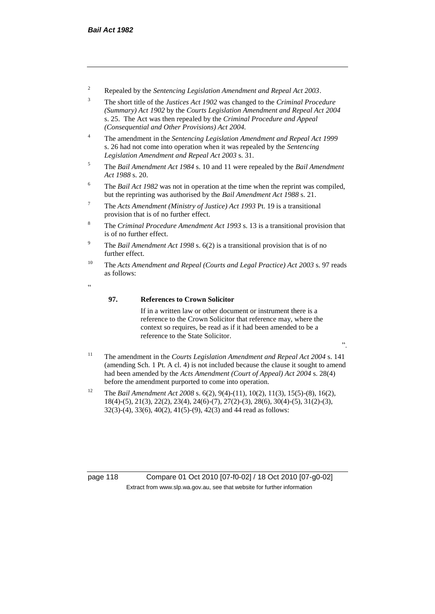- <sup>2</sup> Repealed by the *Sentencing Legislation Amendment and Repeal Act 2003*.
- <sup>3</sup> The short title of the *Justices Act 1902* was changed to the *Criminal Procedure (Summary) Act 1902* by the *Courts Legislation Amendment and Repeal Act 2004*  s. 25. The Act was then repealed by the *Criminal Procedure and Appeal (Consequential and Other Provisions) Act 2004.*
- <sup>4</sup> The amendment in the *Sentencing Legislation Amendment and Repeal Act 1999* s. 26 had not come into operation when it was repealed by the *Sentencing Legislation Amendment and Repeal Act 2003* s. 31.
- <sup>5</sup> The *Bail Amendment Act 1984* s. 10 and 11 were repealed by the *Bail Amendment Act 1988* s. 20.
- <sup>6</sup> The *Bail Act 1982* was not in operation at the time when the reprint was compiled, but the reprinting was authorised by the *Bail Amendment Act 1988* s. 21.
- <sup>7</sup> The *Acts Amendment (Ministry of Justice) Act 1993* Pt. 19 is a transitional provision that is of no further effect.
- <sup>8</sup> The *Criminal Procedure Amendment Act 1993* s. 13 is a transitional provision that is of no further effect.
- <sup>9</sup> The *Bail Amendment Act 1998* s. 6(2) is a transitional provision that is of no further effect.
- <sup>10</sup> The *Acts Amendment and Repeal (Courts and Legal Practice) Act 2003* s. 97 reads as follows:
- <u>،</u>

#### **97. References to Crown Solicitor**

If in a written law or other document or instrument there is a reference to the Crown Solicitor that reference may, where the context so requires, be read as if it had been amended to be a reference to the State Solicitor.

- ".
- <sup>11</sup> The amendment in the *Courts Legislation Amendment and Repeal Act 2004* s. 141 (amending Sch. 1 Pt. A cl. 4) is not included because the clause it sought to amend had been amended by the *Acts Amendment (Court of Appeal) Act 2004* s. 28(4) before the amendment purported to come into operation.
- <sup>12</sup> The *Bail Amendment Act 2008* s. 6(2), 9(4)-(11), 10(2), 11(3), 15(5)-(8), 16(2), 18(4)-(5), 21(3), 22(2), 23(4), 24(6)-(7), 27(2)-(3), 28(6), 30(4)-(5), 31(2)-(3), 32(3)-(4), 33(6), 40(2), 41(5)-(9), 42(3) and 44 read as follows:

page 118 Compare 01 Oct 2010 [07-f0-02] / 18 Oct 2010 [07-g0-02] Extract from www.slp.wa.gov.au, see that website for further information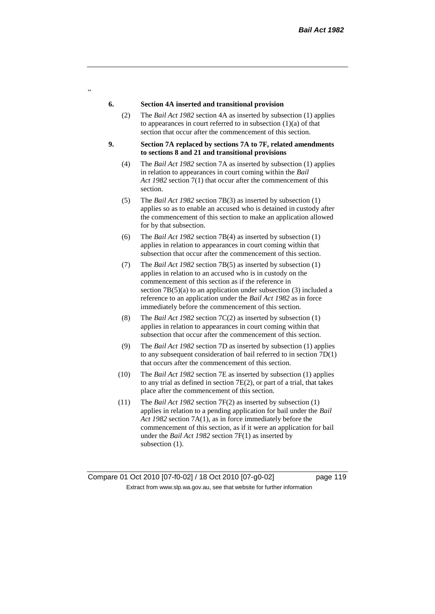#### **6. Section 4A inserted and transitional provision**

 $\alpha$ 

- (2) The *Bail Act 1982* section 4A as inserted by subsection (1) applies to appearances in court referred to in subsection  $(1)(a)$  of that section that occur after the commencement of this section.
- **9. Section 7A replaced by sections 7A to 7F, related amendments to sections 8 and 21 and transitional provisions**
	- (4) The *Bail Act 1982* section 7A as inserted by subsection (1) applies in relation to appearances in court coming within the *Bail Act 1982* section 7(1) that occur after the commencement of this section.
	- (5) The *Bail Act 1982* section 7B(3) as inserted by subsection (1) applies so as to enable an accused who is detained in custody after the commencement of this section to make an application allowed for by that subsection.
	- (6) The *Bail Act 1982* section 7B(4) as inserted by subsection (1) applies in relation to appearances in court coming within that subsection that occur after the commencement of this section.
	- (7) The *Bail Act 1982* section 7B(5) as inserted by subsection (1) applies in relation to an accused who is in custody on the commencement of this section as if the reference in section 7B(5)(a) to an application under subsection (3) included a reference to an application under the *Bail Act 1982* as in force immediately before the commencement of this section.
	- (8) The *Bail Act 1982* section 7C(2) as inserted by subsection (1) applies in relation to appearances in court coming within that subsection that occur after the commencement of this section.
	- (9) The *Bail Act 1982* section 7D as inserted by subsection (1) applies to any subsequent consideration of bail referred to in section 7D(1) that occurs after the commencement of this section.
	- (10) The *Bail Act 1982* section 7E as inserted by subsection (1) applies to any trial as defined in section 7E(2), or part of a trial, that takes place after the commencement of this section.
	- (11) The *Bail Act 1982* section 7F(2) as inserted by subsection (1) applies in relation to a pending application for bail under the *Bail Act 1982* section 7A(1), as in force immediately before the commencement of this section, as if it were an application for bail under the *Bail Act 1982* section 7F(1) as inserted by subsection  $(1)$ .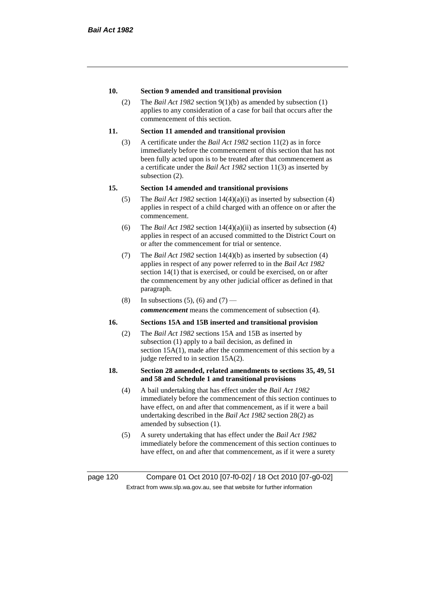### **10. Section 9 amended and transitional provision**

(2) The *Bail Act 1982* section 9(1)(b) as amended by subsection (1) applies to any consideration of a case for bail that occurs after the commencement of this section.

## **11. Section 11 amended and transitional provision**

(3) A certificate under the *Bail Act 1982* section 11(2) as in force immediately before the commencement of this section that has not been fully acted upon is to be treated after that commencement as a certificate under the *Bail Act 1982* section 11(3) as inserted by subsection (2).

### **15. Section 14 amended and transitional provisions**

- (5) The *Bail Act 1982* section 14(4)(a)(i) as inserted by subsection (4) applies in respect of a child charged with an offence on or after the commencement.
- (6) The *Bail Act 1982* section 14(4)(a)(ii) as inserted by subsection (4) applies in respect of an accused committed to the District Court on or after the commencement for trial or sentence.
- (7) The *Bail Act 1982* section 14(4)(b) as inserted by subsection (4) applies in respect of any power referred to in the *Bail Act 1982* section 14(1) that is exercised, or could be exercised, on or after the commencement by any other judicial officer as defined in that paragraph.
- (8) In subsections (5), (6) and (7) *commencement* means the commencement of subsection (4).

## **16. Sections 15A and 15B inserted and transitional provision**

(2) The *Bail Act 1982* sections 15A and 15B as inserted by subsection (1) apply to a bail decision, as defined in section 15A(1), made after the commencement of this section by a judge referred to in section 15A(2).

#### **18. Section 28 amended, related amendments to sections 35, 49, 51 and 58 and Schedule 1 and transitional provisions**

- (4) A bail undertaking that has effect under the *Bail Act 1982* immediately before the commencement of this section continues to have effect, on and after that commencement, as if it were a bail undertaking described in the *Bail Act 1982* section 28(2) as amended by subsection (1).
- (5) A surety undertaking that has effect under the *Bail Act 1982* immediately before the commencement of this section continues to have effect, on and after that commencement, as if it were a surety

page 120 Compare 01 Oct 2010 [07-f0-02] / 18 Oct 2010 [07-g0-02] Extract from www.slp.wa.gov.au, see that website for further information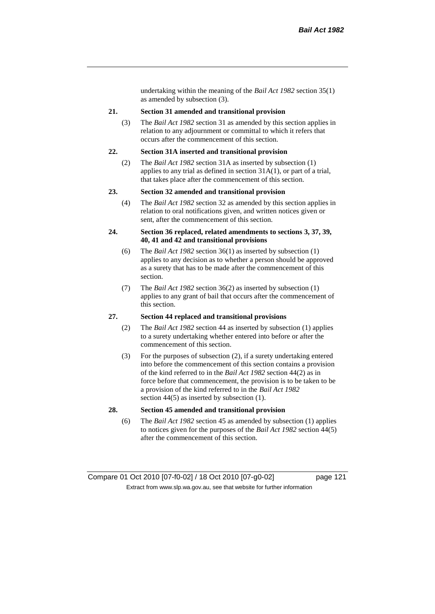undertaking within the meaning of the *Bail Act 1982* section 35(1) as amended by subsection (3).

#### **21. Section 31 amended and transitional provision**

(3) The *Bail Act 1982* section 31 as amended by this section applies in relation to any adjournment or committal to which it refers that occurs after the commencement of this section.

#### **22. Section 31A inserted and transitional provision**

(2) The *Bail Act 1982* section 31A as inserted by subsection (1) applies to any trial as defined in section 31A(1), or part of a trial, that takes place after the commencement of this section.

#### **23. Section 32 amended and transitional provision**

(4) The *Bail Act 1982* section 32 as amended by this section applies in relation to oral notifications given, and written notices given or sent, after the commencement of this section.

#### **24. Section 36 replaced, related amendments to sections 3, 37, 39, 40, 41 and 42 and transitional provisions**

- (6) The *Bail Act 1982* section 36(1) as inserted by subsection (1) applies to any decision as to whether a person should be approved as a surety that has to be made after the commencement of this section.
- (7) The *Bail Act 1982* section 36(2) as inserted by subsection (1) applies to any grant of bail that occurs after the commencement of this section.

#### **27. Section 44 replaced and transitional provisions**

- (2) The *Bail Act 1982* section 44 as inserted by subsection (1) applies to a surety undertaking whether entered into before or after the commencement of this section.
- (3) For the purposes of subsection (2), if a surety undertaking entered into before the commencement of this section contains a provision of the kind referred to in the *Bail Act 1982* section 44(2) as in force before that commencement, the provision is to be taken to be a provision of the kind referred to in the *Bail Act 1982*  section 44(5) as inserted by subsection (1).

### **28. Section 45 amended and transitional provision**

(6) The *Bail Act 1982* section 45 as amended by subsection (1) applies to notices given for the purposes of the *Bail Act 1982* section 44(5) after the commencement of this section.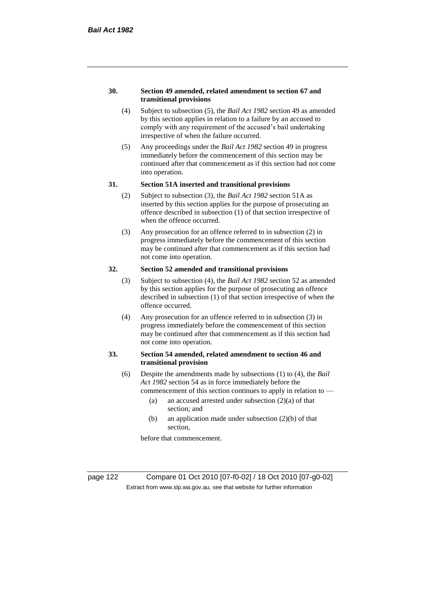#### **30. Section 49 amended, related amendment to section 67 and transitional provisions**

- (4) Subject to subsection (5), the *Bail Act 1982* section 49 as amended by this section applies in relation to a failure by an accused to comply with any requirement of the accused's bail undertaking irrespective of when the failure occurred.
- (5) Any proceedings under the *Bail Act 1982* section 49 in progress immediately before the commencement of this section may be continued after that commencement as if this section had not come into operation.

#### **31. Section 51A inserted and transitional provisions**

- (2) Subject to subsection (3), the *Bail Act 1982* section 51A as inserted by this section applies for the purpose of prosecuting an offence described in subsection (1) of that section irrespective of when the offence occurred.
- (3) Any prosecution for an offence referred to in subsection (2) in progress immediately before the commencement of this section may be continued after that commencement as if this section had not come into operation.

# **32. Section 52 amended and transitional provisions**

- (3) Subject to subsection (4), the *Bail Act 1982* section 52 as amended by this section applies for the purpose of prosecuting an offence described in subsection (1) of that section irrespective of when the offence occurred.
- (4) Any prosecution for an offence referred to in subsection (3) in progress immediately before the commencement of this section may be continued after that commencement as if this section had not come into operation.

### **33. Section 54 amended, related amendment to section 46 and transitional provision**

- (6) Despite the amendments made by subsections (1) to (4), the *Bail Act 1982* section 54 as in force immediately before the
	- commencement of this section continues to apply in relation to
		- (a) an accused arrested under subsection  $(2)(a)$  of that section; and
		- (b) an application made under subsection (2)(b) of that section,

before that commencement.

page 122 Compare 01 Oct 2010 [07-f0-02] / 18 Oct 2010 [07-g0-02] Extract from www.slp.wa.gov.au, see that website for further information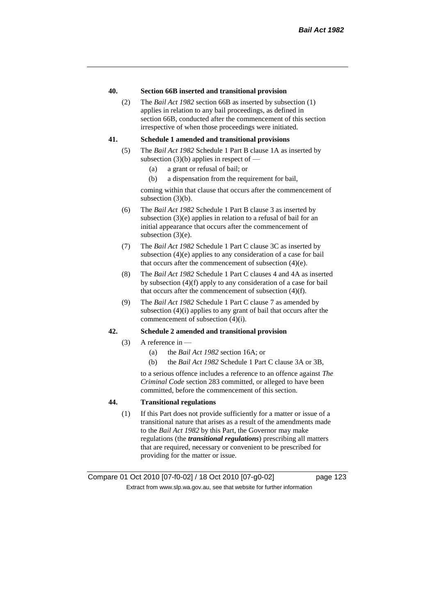#### **40. Section 66B inserted and transitional provision**

(2) The *Bail Act 1982* section 66B as inserted by subsection (1) applies in relation to any bail proceedings, as defined in section 66B, conducted after the commencement of this section irrespective of when those proceedings were initiated.

#### **41. Schedule 1 amended and transitional provisions**

- (5) The *Bail Act 1982* Schedule 1 Part B clause 1A as inserted by subsection  $(3)(b)$  applies in respect of —
	- (a) a grant or refusal of bail; or
	- (b) a dispensation from the requirement for bail,

coming within that clause that occurs after the commencement of subsection (3)(b).

- (6) The *Bail Act 1982* Schedule 1 Part B clause 3 as inserted by subsection (3)(e) applies in relation to a refusal of bail for an initial appearance that occurs after the commencement of subsection (3)(e).
- (7) The *Bail Act 1982* Schedule 1 Part C clause 3C as inserted by subsection (4)(e) applies to any consideration of a case for bail that occurs after the commencement of subsection (4)(e).
- (8) The *Bail Act 1982* Schedule 1 Part C clauses 4 and 4A as inserted by subsection (4)(f) apply to any consideration of a case for bail that occurs after the commencement of subsection (4)(f).
- (9) The *Bail Act 1982* Schedule 1 Part C clause 7 as amended by subsection (4)(i) applies to any grant of bail that occurs after the commencement of subsection (4)(i).

#### **42. Schedule 2 amended and transitional provision**

- (3) A reference in  $-$ 
	- (a) the *Bail Act 1982* section 16A; or
	- (b) the *Bail Act 1982* Schedule 1 Part C clause 3A or 3B,

to a serious offence includes a reference to an offence against *The Criminal Code* section 283 committed, or alleged to have been committed, before the commencement of this section.

## **44. Transitional regulations**

(1) If this Part does not provide sufficiently for a matter or issue of a transitional nature that arises as a result of the amendments made to the *Bail Act 1982* by this Part, the Governor may make regulations (the *transitional regulations*) prescribing all matters that are required, necessary or convenient to be prescribed for providing for the matter or issue.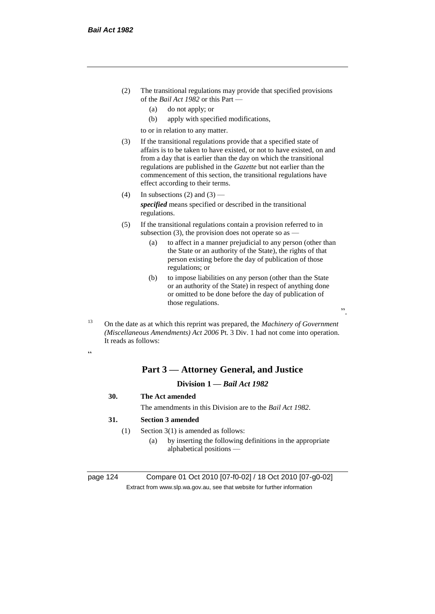- (2) The transitional regulations may provide that specified provisions of the *Bail Act 1982* or this Part —
	- (a) do not apply; or
	- (b) apply with specified modifications,

to or in relation to any matter.

- (3) If the transitional regulations provide that a specified state of affairs is to be taken to have existed, or not to have existed, on and from a day that is earlier than the day on which the transitional regulations are published in the *Gazette* but not earlier than the commencement of this section, the transitional regulations have effect according to their terms.
- (4) In subsections (2) and  $(3)$  *specified* means specified or described in the transitional regulations.
- (5) If the transitional regulations contain a provision referred to in subsection (3), the provision does not operate so as  $-$ 
	- (a) to affect in a manner prejudicial to any person (other than the State or an authority of the State), the rights of that person existing before the day of publication of those regulations; or
	- (b) to impose liabilities on any person (other than the State or an authority of the State) in respect of anything done or omitted to be done before the day of publication of those regulations.

".

<sup>13</sup> On the date as at which this reprint was prepared, the *Machinery of Government (Miscellaneous Amendments) Act 2006* Pt. 3 Div. 1 had not come into operation. It reads as follows:

.<br>.

# **Part 3 — Attorney General, and Justice**

# **Division 1 —** *Bail Act 1982*

- **30. The Act amended**
	- The amendments in this Division are to the *Bail Act 1982*.

### **31. Section 3 amended**

- (1) Section 3(1) is amended as follows:
	- (a) by inserting the following definitions in the appropriate alphabetical positions —

page 124 Compare 01 Oct 2010 [07-f0-02] / 18 Oct 2010 [07-g0-02] Extract from www.slp.wa.gov.au, see that website for further information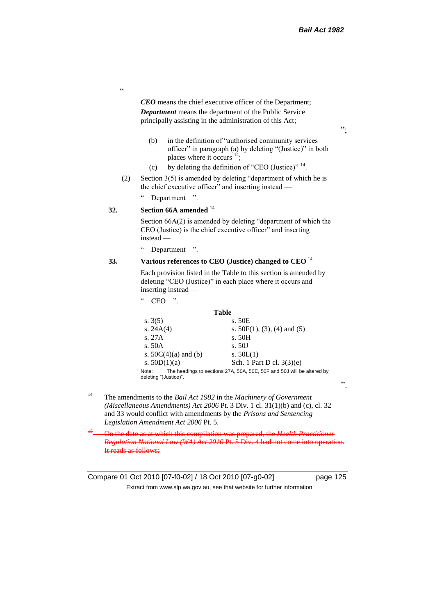$, ,$ 

*CEO* means the chief executive officer of the Department; *Department* means the department of the Public Service principally assisting in the administration of this Act;

- (b) in the definition of "authorised community services officer" in paragraph (a) by deleting "(Justice)" in both places where it occurs <sup>14</sup>;
- (c) by deleting the definition of "CEO (Justice)"  $14$ .
- (2) Section 3(5) is amended by deleting "department of which he is the chief executive officer" and inserting instead -

" Department ".

# **32. Section 66A amended** <sup>14</sup>

.<br>C

Section 66A(2) is amended by deleting "department of which the CEO (Justice) is the chief executive officer" and inserting instead —

" Department ".

## **33. Various references to CEO (Justice) changed to CEO** <sup>14</sup>

Each provision listed in the Table to this section is amended by deleting "CEO (Justice)" in each place where it occurs and inserting instead —

 $CEO$  ".

#### **Table**

| s. $3(5)$                      | s. 50E                                                                 |
|--------------------------------|------------------------------------------------------------------------|
| s. $24A(4)$                    | s. $50F(1)$ , (3), (4) and (5)                                         |
| S.27A                          | s. 50H                                                                 |
| s. $50A$                       | s. 50J                                                                 |
| s. $50C(4)(a)$ and (b)         | s. $50L(1)$                                                            |
| s. $50D(1)(a)$                 | Sch. 1 Part D cl. 3(3)(e)                                              |
| Note:<br>deleting "(Justice)". | The headings to sections 27A, 50A, 50E, 50F and 50J will be altered by |

<sup>14</sup> The amendments to the *Bail Act 1982* in the *Machinery of Government (Miscellaneous Amendments) Act 2006* Pt. 3 Div. 1 cl. 31(1)(b) and (c), cl. 32 and 33 would conflict with amendments by the *Prisons and Sentencing Legislation Amendment Act 2006* Pt. 5.

<sup>15</sup> On the date as at which this compilation was prepared, the *Health Practitioner Regulation National Law (WA) Act 2010 Pt. 5 Div. 4 had not come into* It reads as follows:

Compare 01 Oct 2010 [07-f0-02] / 18 Oct 2010 [07-g0-02] page 125 Extract from www.slp.wa.gov.au, see that website for further information

".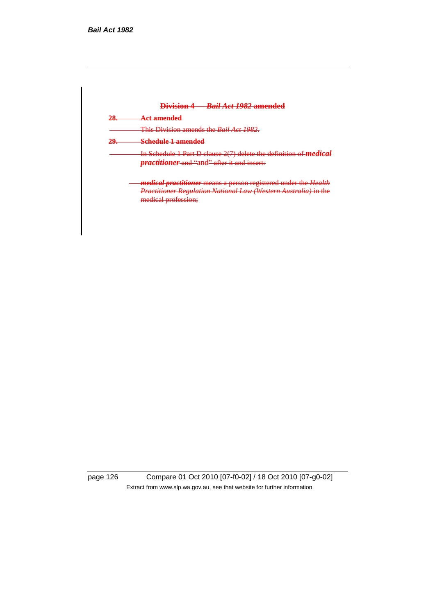|     | Division 4 Rail Act 1982 amended                                                                                            |
|-----|-----------------------------------------------------------------------------------------------------------------------------|
| 28. | <del>Act amended</del>                                                                                                      |
|     | This Division amends the <i>Bail Act 1982</i> .                                                                             |
| 29. | <b>Schedule 1 amended</b>                                                                                                   |
|     | In Schedule 1 Part D clause 2(7) delete the definition of <i>medi</i><br><i>practitioner</i> and "and" after it and insert: |
|     | <i>medical practitioner</i> means a person registered under the Health                                                      |
|     | Practitioner Regulation National Law (Western Australia) in the<br>medical profession;                                      |

page 126 Compare 01 Oct 2010 [07-f0-02] / 18 Oct 2010 [07-g0-02] Extract from www.slp.wa.gov.au, see that website for further information